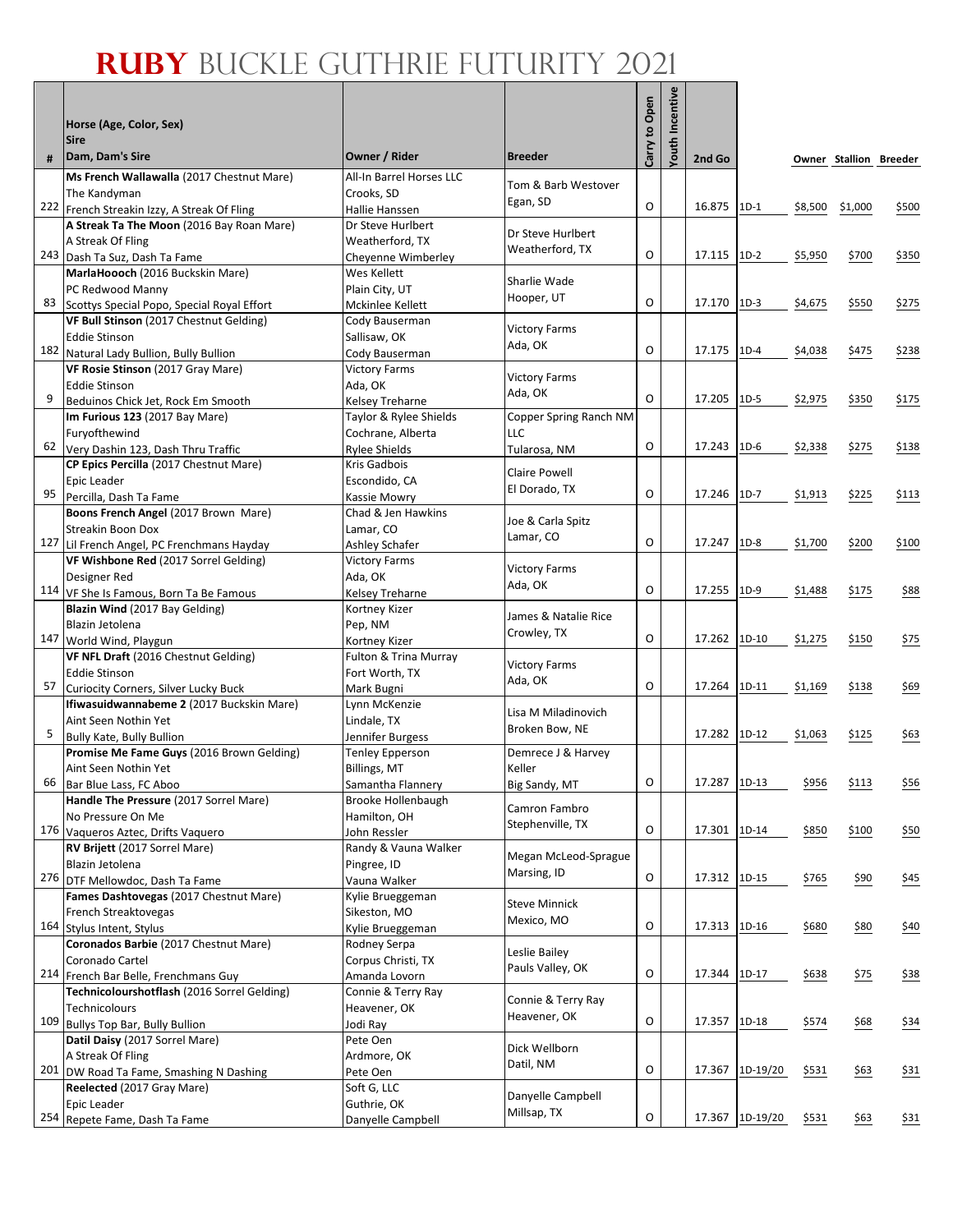٦

|     | Horse (Age, Color, Sex)<br><b>Sire</b>                                                   |                                           |                                     | Carry to Open | ncentive<br>Youth |              |                 |         |                        |                |
|-----|------------------------------------------------------------------------------------------|-------------------------------------------|-------------------------------------|---------------|-------------------|--------------|-----------------|---------|------------------------|----------------|
| #   | Dam, Dam's Sire                                                                          | Owner / Rider                             | <b>Breeder</b>                      |               |                   | 2nd Go       |                 |         | Owner Stallion Breeder |                |
|     | Ms French Wallawalla (2017 Chestnut Mare)                                                | All-In Barrel Horses LLC                  | Tom & Barb Westover                 |               |                   |              |                 |         |                        |                |
|     | The Kandyman                                                                             | Crooks. SD                                | Egan, SD                            | O             |                   |              |                 |         |                        |                |
|     | 222 French Streakin Izzy, A Streak Of Fling<br>A Streak Ta The Moon (2016 Bay Roan Mare) | Hallie Hanssen<br>Dr Steve Hurlbert       |                                     |               |                   | 16.875       | $1D-1$          | \$8,500 | \$1,000                | \$500          |
|     | A Streak Of Fling                                                                        | Weatherford, TX                           | Dr Steve Hurlbert                   |               |                   |              |                 |         |                        |                |
|     | 243 Dash Ta Suz, Dash Ta Fame                                                            | Cheyenne Wimberley                        | Weatherford, TX                     | O             |                   | 17.115       | $1D-2$          | \$5,950 | \$700                  | \$350          |
|     | MarlaHoooch (2016 Buckskin Mare)                                                         | Wes Kellett                               |                                     |               |                   |              |                 |         |                        |                |
|     | PC Redwood Manny                                                                         | Plain City, UT                            | Sharlie Wade                        |               |                   |              |                 |         |                        |                |
| 83  | Scottys Special Popo, Special Royal Effort                                               | Mckinlee Kellett                          | Hooper, UT                          | O             |                   | 17.170       | $1D-3$          | \$4,675 | \$550                  | \$275          |
|     | VF Bull Stinson (2017 Chestnut Gelding)                                                  | Cody Bauserman                            | <b>Victory Farms</b>                |               |                   |              |                 |         |                        |                |
|     | <b>Eddie Stinson</b>                                                                     | Sallisaw, OK                              | Ada, OK                             |               |                   |              |                 |         |                        |                |
| 182 | Natural Lady Bullion, Bully Bullion                                                      | Cody Bauserman                            |                                     | O             |                   | 17.175       | $1D-4$          | \$4,038 | \$475                  | \$238          |
|     | VF Rosie Stinson (2017 Gray Mare)                                                        | <b>Victory Farms</b>                      | <b>Victory Farms</b>                |               |                   |              |                 |         |                        |                |
| 9   | <b>Eddie Stinson</b><br>Beduinos Chick Jet, Rock Em Smooth                               | Ada, OK                                   | Ada, OK                             | O             |                   | 17.205       | $1D-5$          | \$2,975 | \$350                  | \$175          |
|     | Im Furious 123 (2017 Bay Mare)                                                           | Kelsey Treharne<br>Taylor & Rylee Shields | Copper Spring Ranch NM              |               |                   |              |                 |         |                        |                |
|     | Furyofthewind                                                                            | Cochrane, Alberta                         | LLC                                 |               |                   |              |                 |         |                        |                |
| 62  | Very Dashin 123, Dash Thru Traffic                                                       | <b>Rylee Shields</b>                      | Tularosa, NM                        | O             |                   | 17.243       | $1D-6$          | \$2,338 | \$275                  | \$138          |
|     | CP Epics Percilla (2017 Chestnut Mare)                                                   | Kris Gadbois                              |                                     |               |                   |              |                 |         |                        |                |
|     | Epic Leader                                                                              | Escondido, CA                             | Claire Powell                       |               |                   |              |                 |         |                        |                |
| 95  | Percilla, Dash Ta Fame                                                                   | Kassie Mowry                              | El Dorado, TX                       | O             |                   | 17.246       | $1D-7$          | \$1,913 | \$225                  | \$113          |
|     | Boons French Angel (2017 Brown Mare)                                                     | Chad & Jen Hawkins                        | Joe & Carla Spitz                   |               |                   |              |                 |         |                        |                |
|     | <b>Streakin Boon Dox</b>                                                                 | Lamar, CO                                 | Lamar, CO                           |               |                   |              |                 |         |                        |                |
|     | 127 Lil French Angel, PC Frenchmans Hayday                                               | Ashley Schafer                            |                                     | O             |                   | 17.247       | $1D-8$          | \$1,700 | \$200                  | \$100          |
|     | VF Wishbone Red (2017 Sorrel Gelding)                                                    | <b>Victory Farms</b>                      | <b>Victory Farms</b>                |               |                   |              |                 |         |                        |                |
|     | Designer Red                                                                             | Ada, OK                                   | Ada, OK                             | O             |                   | 17.255       | $1D-9$          |         |                        |                |
|     | 114 VF She Is Famous, Born Ta Be Famous<br>Blazin Wind (2017 Bay Gelding)                | Kelsey Treharne<br>Kortney Kizer          |                                     |               |                   |              |                 | \$1,488 | \$175                  | \$88           |
|     | Blazin Jetolena                                                                          | Pep, NM                                   | James & Natalie Rice                |               |                   |              |                 |         |                        |                |
| 147 | World Wind, Playgun                                                                      | Kortney Kizer                             | Crowley, TX                         | O             |                   | 17.262       | $1D-10$         | \$1,275 | \$150                  | \$75           |
|     | VF NFL Draft (2016 Chestnut Gelding)                                                     | Fulton & Trina Murray                     |                                     |               |                   |              |                 |         |                        |                |
|     | <b>Eddie Stinson</b>                                                                     | Fort Worth, TX                            | <b>Victory Farms</b>                |               |                   |              |                 |         |                        |                |
| 57  | <b>Curiocity Corners, Silver Lucky Buck</b>                                              | Mark Bugni                                | Ada, OK                             | O             |                   | 17.264       | 1D-11           | \$1,169 | \$138                  | \$69           |
|     | Ifiwasuidwannabeme 2 (2017 Buckskin Mare)                                                | Lynn McKenzie                             | Lisa M Miladinovich                 |               |                   |              |                 |         |                        |                |
|     | Aint Seen Nothin Yet                                                                     | Lindale, TX                               | Broken Bow, NE                      |               |                   |              |                 |         |                        |                |
| 5   | <b>Bully Kate, Bully Bullion</b>                                                         | Jennifer Burgess                          |                                     |               |                   | 17.282       | $1D-12$         | \$1,063 | \$125                  | \$63           |
|     | Promise Me Fame Guys (2016 Brown Gelding)                                                | <b>Tenley Epperson</b>                    | Demrece J & Harvey                  |               |                   |              |                 |         |                        |                |
| 66  | Aint Seen Nothin Yet                                                                     | Billings, MT                              | Keller                              | O             |                   | 17.287 1D-13 |                 | \$956   | \$113                  | \$56           |
|     | Bar Blue Lass, FC Aboo<br>Handle The Pressure (2017 Sorrel Mare)                         | Samantha Flannery<br>Brooke Hollenbaugh   | Big Sandy, MT                       |               |                   |              |                 |         |                        |                |
|     | No Pressure On Me                                                                        | Hamilton, OH                              | Camron Fambro                       |               |                   |              |                 |         |                        |                |
|     | 176 Vaqueros Aztec, Drifts Vaquero                                                       | John Ressler                              | Stephenville, TX                    | O             |                   | 17.301 1D-14 |                 | \$850   | \$100                  | \$50           |
|     | RV Brijett (2017 Sorrel Mare)                                                            | Randy & Vauna Walker                      |                                     |               |                   |              |                 |         |                        |                |
|     | Blazin Jetolena                                                                          | Pingree, ID                               | Megan McLeod-Sprague<br>Marsing, ID |               |                   |              |                 |         |                        |                |
| 276 | DTF Mellowdoc, Dash Ta Fame                                                              | Vauna Walker                              |                                     | $\mathsf O$   |                   | 17.312 1D-15 |                 | \$765   | \$90                   | 545            |
|     | Fames Dashtovegas (2017 Chestnut Mare)                                                   | Kylie Brueggeman                          | <b>Steve Minnick</b>                |               |                   |              |                 |         |                        |                |
|     | French Streaktovegas                                                                     | Sikeston, MO                              | Mexico, MO                          | O             |                   |              |                 |         |                        |                |
|     | 164 Stylus Intent, Stylus<br>Coronados Barbie (2017 Chestnut Mare)                       | Kylie Brueggeman                          |                                     |               |                   | 17.313 1D-16 |                 | \$680   | \$80                   | 540            |
|     |                                                                                          | Rodney Serpa<br>Corpus Christi, TX        | Leslie Bailey                       |               |                   |              |                 |         |                        |                |
|     | Coronado Cartel<br>214 French Bar Belle, Frenchmans Guy                                  | Amanda Lovorn                             | Pauls Valley, OK                    | O             |                   | 17.344 1D-17 |                 | \$638   | 575                    | 538            |
|     | Technicolourshotflash (2016 Sorrel Gelding)                                              | Connie & Terry Ray                        |                                     |               |                   |              |                 |         |                        |                |
|     | Technicolours                                                                            | Heavener, OK                              | Connie & Terry Ray                  |               |                   |              |                 |         |                        |                |
| 109 | Bullys Top Bar, Bully Bullion                                                            | Jodi Ray                                  | Heavener, OK                        | O             |                   | 17.357 1D-18 |                 | \$574   | 568                    | \$34           |
|     | Datil Daisy (2017 Sorrel Mare)                                                           | Pete Oen                                  | Dick Wellborn                       |               |                   |              |                 |         |                        |                |
|     | A Streak Of Fling                                                                        | Ardmore, OK                               | Datil, NM                           |               |                   |              |                 |         |                        |                |
| 201 | DW Road Ta Fame, Smashing N Dashing                                                      | Pete Oen                                  |                                     | O             |                   |              | 17.367 1D-19/20 | \$531   | \$63                   | 531            |
|     | Reelected (2017 Gray Mare)                                                               | Soft G, LLC                               | Danyelle Campbell                   |               |                   |              |                 |         |                        |                |
|     | Epic Leader                                                                              | Guthrie, OK                               | Millsap, TX                         | O             |                   |              |                 |         |                        |                |
|     | 254 Repete Fame, Dash Ta Fame                                                            | Danyelle Campbell                         |                                     |               |                   |              | 17.367 1D-19/20 | \$531   | \$63                   | $\frac{$31}{}$ |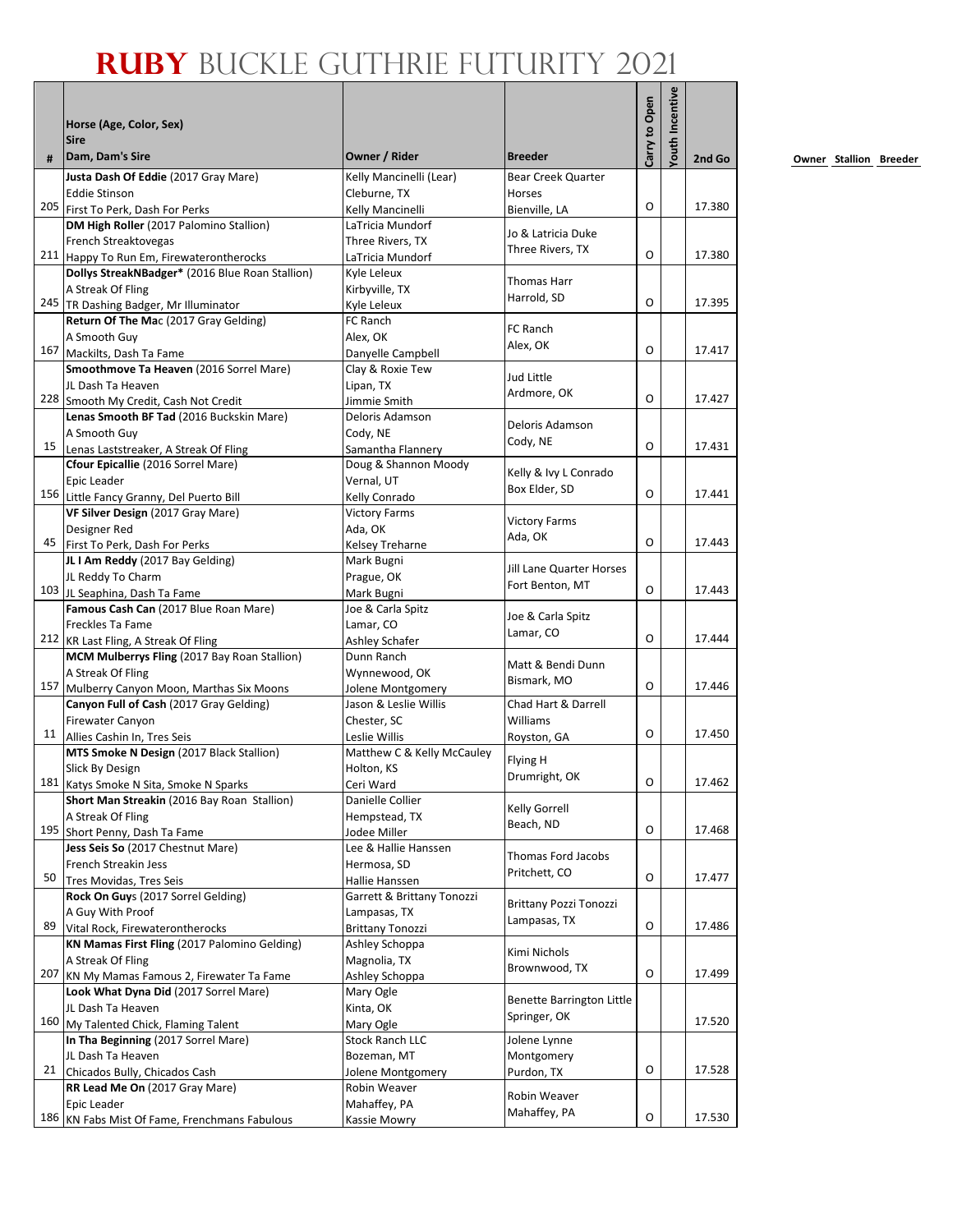|    | Horse (Age, Color, Sex)                                                              |                                          |                                      | Carry to Open | outh Incentive |        |
|----|--------------------------------------------------------------------------------------|------------------------------------------|--------------------------------------|---------------|----------------|--------|
|    | <b>Sire</b>                                                                          |                                          |                                      |               |                |        |
| #  | Dam, Dam's Sire<br>Justa Dash Of Eddie (2017 Gray Mare)                              | Owner / Rider<br>Kelly Mancinelli (Lear) | <b>Breeder</b><br>Bear Creek Quarter |               |                | 2nd Go |
|    | <b>Eddie Stinson</b>                                                                 | Cleburne, TX                             | Horses                               |               |                |        |
|    | 205 First To Perk, Dash For Perks                                                    | Kelly Mancinelli                         | Bienville, LA                        | O             |                | 17.380 |
|    | DM High Roller (2017 Palomino Stallion)                                              | LaTricia Mundorf                         |                                      |               |                |        |
|    | French Streaktovegas                                                                 | Three Rivers, TX                         | Jo & Latricia Duke                   |               |                |        |
|    | 211 Happy To Run Em, Firewaterontherocks                                             | LaTricia Mundorf                         | Three Rivers, TX                     | O             |                | 17.380 |
|    | Dollys StreakNBadger* (2016 Blue Roan Stallion)                                      | Kyle Leleux                              | <b>Thomas Harr</b>                   |               |                |        |
|    | A Streak Of Fling                                                                    | Kirbyville, TX                           | Harrold, SD                          |               |                |        |
|    | 245   TR Dashing Badger, Mr Illuminator                                              | Kyle Leleux                              |                                      | O             |                | 17.395 |
|    | Return Of The Mac (2017 Gray Gelding)                                                | FC Ranch                                 | FC Ranch                             |               |                |        |
|    | A Smooth Guy                                                                         | Alex, OK                                 | Alex, OK                             | O             |                |        |
|    | 167 Mackilts, Dash Ta Fame                                                           | Danyelle Campbell                        |                                      |               |                | 17.417 |
|    | Smoothmove Ta Heaven (2016 Sorrel Mare)<br>JL Dash Ta Heaven                         | Clay & Roxie Tew                         | Jud Little                           |               |                |        |
|    | 228 Smooth My Credit, Cash Not Credit                                                | Lipan, TX<br>Jimmie Smith                | Ardmore, OK                          | O             |                | 17.427 |
|    | Lenas Smooth BF Tad (2016 Buckskin Mare)                                             | Deloris Adamson                          |                                      |               |                |        |
|    | A Smooth Guv                                                                         | Cody, NE                                 | Deloris Adamson                      |               |                |        |
| 15 | Lenas Laststreaker, A Streak Of Fling                                                | Samantha Flannery                        | Cody, NE                             | O             |                | 17.431 |
|    | Cfour Epicallie (2016 Sorrel Mare)                                                   | Doug & Shannon Moody                     |                                      |               |                |        |
|    | Epic Leader                                                                          | Vernal, UT                               | Kelly & Ivy L Conrado                |               |                |        |
|    | 156 Little Fancy Granny, Del Puerto Bill                                             | Kelly Conrado                            | Box Elder, SD                        | O             |                | 17.441 |
|    | VF Silver Design (2017 Gray Mare)                                                    | <b>Victory Farms</b>                     |                                      |               |                |        |
|    | Designer Red                                                                         | Ada, OK                                  | <b>Victory Farms</b>                 |               |                |        |
|    | 45 First To Perk, Dash For Perks                                                     | Kelsey Treharne                          | Ada, OK                              | O             |                | 17.443 |
|    | JL I Am Reddy (2017 Bay Gelding)                                                     | Mark Bugni                               | Jill Lane Quarter Horses             |               |                |        |
|    | JL Reddy To Charm                                                                    | Prague, OK                               | Fort Benton, MT                      |               |                |        |
|    | 103 JL Seaphina, Dash Ta Fame                                                        | Mark Bugni                               |                                      | O             |                | 17.443 |
|    | Famous Cash Can (2017 Blue Roan Mare)                                                | Joe & Carla Spitz                        | Joe & Carla Spitz                    |               |                |        |
|    | Freckles Ta Fame                                                                     | Lamar, CO                                | Lamar, CO                            | O             |                | 17.444 |
|    | 212 KR Last Fling, A Streak Of Fling<br>MCM Mulberrys Fling (2017 Bay Roan Stallion) | Ashley Schafer<br>Dunn Ranch             |                                      |               |                |        |
|    | A Streak Of Fling                                                                    | Wynnewood, OK                            | Matt & Bendi Dunn                    |               |                |        |
|    | 157 Mulberry Canyon Moon, Marthas Six Moons                                          | Jolene Montgomery                        | Bismark, MO                          | O             |                | 17.446 |
|    | Canyon Full of Cash (2017 Gray Gelding)                                              | Jason & Leslie Willis                    | Chad Hart & Darrell                  |               |                |        |
|    | <b>Firewater Canyon</b>                                                              | Chester, SC                              | Williams                             |               |                |        |
|    | 11 Allies Cashin In, Tres Seis                                                       | Leslie Willis                            | Royston, GA                          | O             |                | 17.450 |
|    | MTS Smoke N Design (2017 Black Stallion)                                             | Matthew C & Kelly McCauley               | Flying H                             |               |                |        |
|    | Slick By Design                                                                      | Holton, KS                               | Drumright, OK                        |               |                |        |
|    | 181 Katys Smoke N Sita, Smoke N Sparks                                               | Ceri Ward                                |                                      | 0             |                | 17.462 |
|    | Short Man Streakin (2016 Bay Roan Stallion)                                          | Danielle Collier                         | Kelly Gorrell                        |               |                |        |
|    | A Streak Of Fling                                                                    | Hempstead, TX                            | Beach, ND                            | O             |                | 17.468 |
|    | 195 Short Penny, Dash Ta Fame<br>Jess Seis So (2017 Chestnut Mare)                   | Jodee Miller<br>Lee & Hallie Hanssen     |                                      |               |                |        |
|    | French Streakin Jess                                                                 | Hermosa, SD                              | Thomas Ford Jacobs                   |               |                |        |
| 50 | Tres Movidas. Tres Seis                                                              | Hallie Hanssen                           | Pritchett, CO                        | O             |                | 17.477 |
|    | Rock On Guys (2017 Sorrel Gelding)                                                   | Garrett & Brittany Tonozzi               |                                      |               |                |        |
|    | A Guy With Proof                                                                     | Lampasas, TX                             | <b>Brittany Pozzi Tonozzi</b>        |               |                |        |
| 89 | Vital Rock, Firewaterontherocks                                                      | <b>Brittany Tonozzi</b>                  | Lampasas, TX                         | O             |                | 17.486 |
|    | KN Mamas First Fling (2017 Palomino Gelding)                                         | Ashley Schoppa                           |                                      |               |                |        |
|    | A Streak Of Fling                                                                    | Magnolia, TX                             | Kimi Nichols                         |               |                |        |
|    | 207 KN My Mamas Famous 2, Firewater Ta Fame                                          | Ashley Schoppa                           | Brownwood, TX                        | O             |                | 17.499 |
|    | Look What Dyna Did (2017 Sorrel Mare)                                                | Mary Ogle                                | Benette Barrington Little            |               |                |        |
|    | JL Dash Ta Heaven                                                                    | Kinta, OK                                | Springer, OK                         |               |                |        |
|    | 160 My Talented Chick, Flaming Talent                                                | Mary Ogle                                |                                      |               |                | 17.520 |
|    | In Tha Beginning (2017 Sorrel Mare)                                                  | Stock Ranch LLC                          | Jolene Lynne                         |               |                |        |
| 21 | JL Dash Ta Heaven                                                                    | Bozeman, MT                              | Montgomery                           | O             |                | 17.528 |
|    | Chicados Bully, Chicados Cash<br>RR Lead Me On (2017 Gray Mare)                      | Jolene Montgomery<br>Robin Weaver        | Purdon, TX                           |               |                |        |
|    | Epic Leader                                                                          | Mahaffey, PA                             | Robin Weaver                         |               |                |        |
|    | 186 KN Fabs Mist Of Fame, Frenchmans Fabulous                                        | Kassie Mowry                             | Mahaffey, PA                         | O             |                | 17.530 |
|    |                                                                                      |                                          |                                      |               |                |        |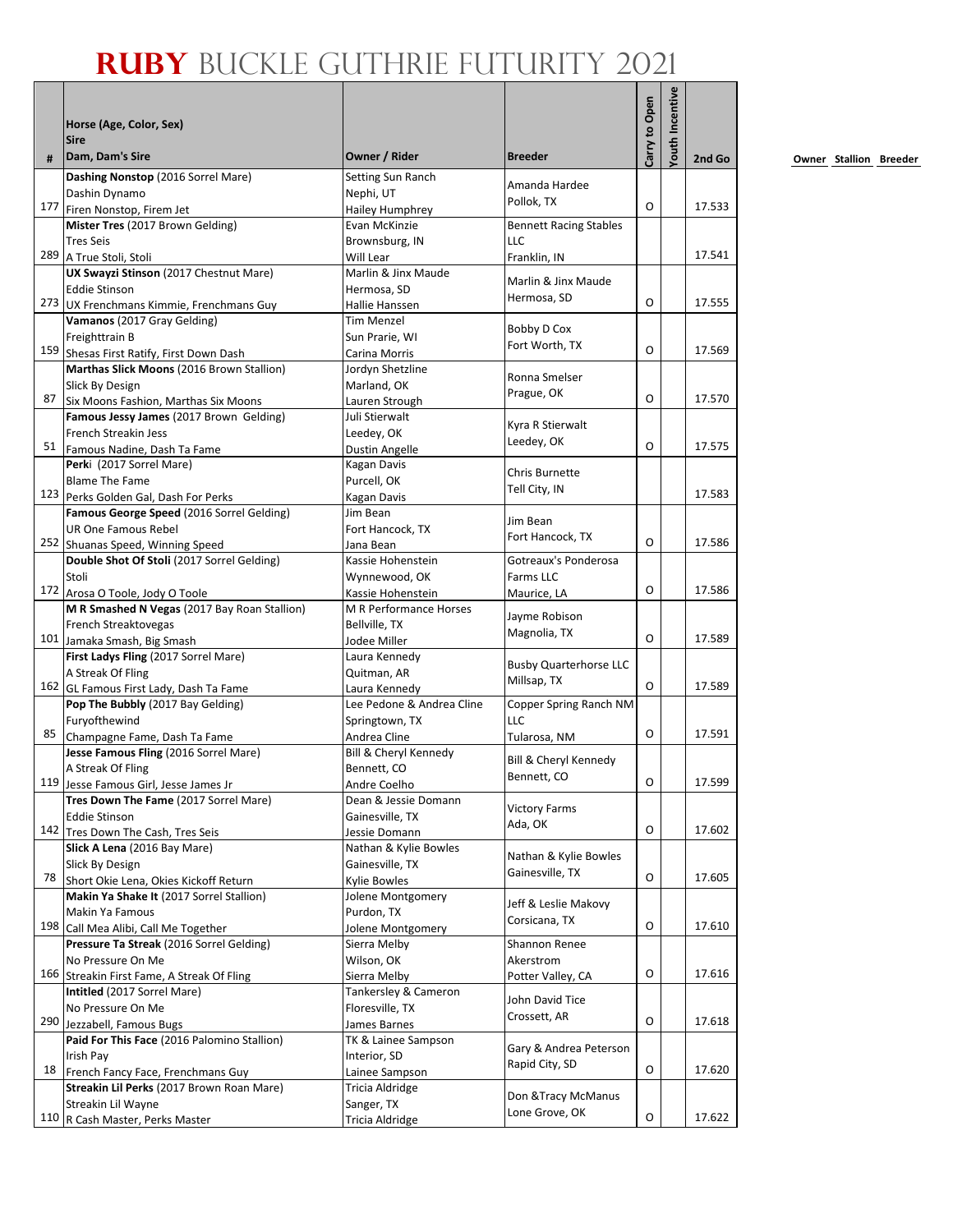| outh Incentive<br>Carry to Open<br>Horse (Age, Color, Sex)<br><b>Sire</b><br>Dam, Dam's Sire<br>Owner / Rider<br><b>Breeder</b><br>#<br>2nd Go<br>Dashing Nonstop (2016 Sorrel Mare)<br>Setting Sun Ranch<br>Amanda Hardee<br>Nephi, UT<br>Dashin Dynamo<br>Pollok, TX<br>O<br>177 Firen Nonstop, Firem Jet<br>17.533<br>Hailey Humphrey<br>Mister Tres (2017 Brown Gelding)<br>Evan McKinzie<br><b>Bennett Racing Stables</b><br>LLC<br><b>Tres Seis</b><br>Brownsburg, IN<br>17.541<br>289 A True Stoli, Stoli<br>Will Lear<br>Franklin, IN<br>UX Swayzi Stinson (2017 Chestnut Mare)<br>Marlin & Jinx Maude<br>Marlin & Jinx Maude<br>Eddie Stinson<br>Hermosa, SD<br>Hermosa, SD<br>O<br>273 UX Frenchmans Kimmie, Frenchmans Guy<br>17.555<br>Hallie Hanssen<br>Vamanos (2017 Gray Gelding)<br><b>Tim Menzel</b><br>Bobby D Cox<br>Freighttrain B<br>Sun Prarie, WI<br>Fort Worth, TX<br>159 Shesas First Ratify, First Down Dash<br>O<br>17.569<br>Carina Morris<br>Marthas Slick Moons (2016 Brown Stallion)<br>Jordyn Shetzline<br>Ronna Smelser<br><b>Slick By Design</b><br>Marland, OK<br>Prague, OK<br>O<br>17.570<br>87<br>Six Moons Fashion, Marthas Six Moons<br>Lauren Strough<br>Famous Jessy James (2017 Brown Gelding)<br>Juli Stierwalt<br>Kyra R Stierwalt<br>French Streakin Jess<br>Leedey, OK<br>Leedey, OK<br>O<br>17.575<br>51<br>Famous Nadine, Dash Ta Fame<br><b>Dustin Angelle</b><br>Perki (2017 Sorrel Mare)<br>Kagan Davis<br>Chris Burnette<br><b>Blame The Fame</b><br>Purcell, OK<br>Tell City, IN<br>123 Perks Golden Gal, Dash For Perks<br>17.583<br><b>Kagan Davis</b><br>Famous George Speed (2016 Sorrel Gelding)<br>Jim Bean<br>Jim Bean<br><b>UR One Famous Rebel</b><br>Fort Hancock, TX<br>Fort Hancock, TX<br>O<br>252 Shuanas Speed, Winning Speed<br>17.586<br>Jana Bean<br>Double Shot Of Stoli (2017 Sorrel Gelding)<br>Gotreaux's Ponderosa<br>Kassie Hohenstein<br>Stoli<br>Wynnewood, OK<br>Farms LLC<br>O<br>17.586<br>172 Arosa O Toole, Jody O Toole<br>Kassie Hohenstein<br>Maurice, LA<br>M R Smashed N Vegas (2017 Bay Roan Stallion)<br>M R Performance Horses<br>Jayme Robison<br>French Streaktovegas<br>Bellville, TX<br>Magnolia, TX<br>$\Omega$<br>17.589<br>101 Jamaka Smash, Big Smash<br>Jodee Miller<br>First Ladys Fling (2017 Sorrel Mare)<br>Laura Kennedy<br><b>Busby Quarterhorse LLC</b><br>A Streak Of Fling<br>Quitman, AR<br>Millsap, TX<br>O<br>17.589<br>162 GL Famous First Lady, Dash Ta Fame<br>Laura Kennedv<br>Pop The Bubbly (2017 Bay Gelding)<br>Lee Pedone & Andrea Cline<br>Copper Spring Ranch NM<br>Furyofthewind<br>Springtown, TX<br>LLC<br>O<br>17.591<br>85<br>Champagne Fame, Dash Ta Fame<br>Andrea Cline<br>Tularosa, NM<br>Jesse Famous Fling (2016 Sorrel Mare)<br>Bill & Cheryl Kennedy<br>Bill & Cheryl Kennedy<br>A Streak Of Fling<br>Bennett, CO<br>Bennett, CO<br>119 Jesse Famous Girl, Jesse James Jr<br>O<br>Andre Coelho<br>Tres Down The Fame (2017 Sorrel Mare)<br>Dean & Jessie Domann<br><b>Victory Farms</b><br><b>Eddie Stinson</b><br>Gainesville, TX<br>Ada, OK<br>O<br>17.602<br>142 Tres Down The Cash, Tres Seis<br>Jessie Domann<br>Slick A Lena (2016 Bay Mare)<br>Nathan & Kylie Bowles<br>Nathan & Kylie Bowles<br>Slick By Design<br>Gainesville, TX<br>Gainesville, TX<br>O<br>78<br>17.605<br>Short Okie Lena, Okies Kickoff Return<br>Kylie Bowles<br>Makin Ya Shake It (2017 Sorrel Stallion)<br>Jolene Montgomery<br>Jeff & Leslie Makovy<br>Makin Ya Famous<br>Purdon, TX<br>Corsicana, TX<br>O<br>198 Call Mea Alibi, Call Me Together<br>17.610<br>Jolene Montgomery<br>Pressure Ta Streak (2016 Sorrel Gelding)<br>Sierra Melby<br>Shannon Renee<br>No Pressure On Me<br>Wilson, OK<br>Akerstrom<br>O<br>17.616<br>166 Streakin First Fame, A Streak Of Fling<br>Sierra Melby<br>Potter Valley, CA<br>Intitled (2017 Sorrel Mare)<br>Tankersley & Cameron<br>John David Tice<br>No Pressure On Me<br>Floresville, TX<br>Crossett, AR<br>O<br>290<br>Jezzabell, Famous Bugs<br>James Barnes<br>Paid For This Face (2016 Palomino Stallion)<br>TK & Lainee Sampson<br>Gary & Andrea Peterson<br>Irish Pay<br>Interior, SD<br>Rapid City, SD<br>O<br>17.620<br>18<br>French Fancy Face, Frenchmans Guy<br>Lainee Sampson<br>Streakin Lil Perks (2017 Brown Roan Mare)<br>Tricia Aldridge<br>Don & Tracy McManus<br>Streakin Lil Wayne<br>Sanger, TX<br>Lone Grove, OK<br>O<br>17.622<br>110 R Cash Master, Perks Master<br>Tricia Aldridge |  |  |  |  |
|----------------------------------------------------------------------------------------------------------------------------------------------------------------------------------------------------------------------------------------------------------------------------------------------------------------------------------------------------------------------------------------------------------------------------------------------------------------------------------------------------------------------------------------------------------------------------------------------------------------------------------------------------------------------------------------------------------------------------------------------------------------------------------------------------------------------------------------------------------------------------------------------------------------------------------------------------------------------------------------------------------------------------------------------------------------------------------------------------------------------------------------------------------------------------------------------------------------------------------------------------------------------------------------------------------------------------------------------------------------------------------------------------------------------------------------------------------------------------------------------------------------------------------------------------------------------------------------------------------------------------------------------------------------------------------------------------------------------------------------------------------------------------------------------------------------------------------------------------------------------------------------------------------------------------------------------------------------------------------------------------------------------------------------------------------------------------------------------------------------------------------------------------------------------------------------------------------------------------------------------------------------------------------------------------------------------------------------------------------------------------------------------------------------------------------------------------------------------------------------------------------------------------------------------------------------------------------------------------------------------------------------------------------------------------------------------------------------------------------------------------------------------------------------------------------------------------------------------------------------------------------------------------------------------------------------------------------------------------------------------------------------------------------------------------------------------------------------------------------------------------------------------------------------------------------------------------------------------------------------------------------------------------------------------------------------------------------------------------------------------------------------------------------------------------------------------------------------------------------------------------------------------------------------------------------------------------------------------------------------------------------------------------------------------------------------------------------------------------------------------------------------------------------------------------------------------------------------------------------------------------------------------------------------------------------------------------------------------------------------------------------------------------------------------------------------------------------------------------------------------------------------------------------------------------------------------------------------------------------------------------------------------------------------------------------------------------------------------------------------------------------------------------------------------------------------------------------------------------------|--|--|--|--|
| 17.599<br>17.618                                                                                                                                                                                                                                                                                                                                                                                                                                                                                                                                                                                                                                                                                                                                                                                                                                                                                                                                                                                                                                                                                                                                                                                                                                                                                                                                                                                                                                                                                                                                                                                                                                                                                                                                                                                                                                                                                                                                                                                                                                                                                                                                                                                                                                                                                                                                                                                                                                                                                                                                                                                                                                                                                                                                                                                                                                                                                                                                                                                                                                                                                                                                                                                                                                                                                                                                                                                                                                                                                                                                                                                                                                                                                                                                                                                                                                                                                                                                                                                                                                                                                                                                                                                                                                                                                                                                                                                                                                                                 |  |  |  |  |
|                                                                                                                                                                                                                                                                                                                                                                                                                                                                                                                                                                                                                                                                                                                                                                                                                                                                                                                                                                                                                                                                                                                                                                                                                                                                                                                                                                                                                                                                                                                                                                                                                                                                                                                                                                                                                                                                                                                                                                                                                                                                                                                                                                                                                                                                                                                                                                                                                                                                                                                                                                                                                                                                                                                                                                                                                                                                                                                                                                                                                                                                                                                                                                                                                                                                                                                                                                                                                                                                                                                                                                                                                                                                                                                                                                                                                                                                                                                                                                                                                                                                                                                                                                                                                                                                                                                                                                                                                                                                                  |  |  |  |  |
|                                                                                                                                                                                                                                                                                                                                                                                                                                                                                                                                                                                                                                                                                                                                                                                                                                                                                                                                                                                                                                                                                                                                                                                                                                                                                                                                                                                                                                                                                                                                                                                                                                                                                                                                                                                                                                                                                                                                                                                                                                                                                                                                                                                                                                                                                                                                                                                                                                                                                                                                                                                                                                                                                                                                                                                                                                                                                                                                                                                                                                                                                                                                                                                                                                                                                                                                                                                                                                                                                                                                                                                                                                                                                                                                                                                                                                                                                                                                                                                                                                                                                                                                                                                                                                                                                                                                                                                                                                                                                  |  |  |  |  |
|                                                                                                                                                                                                                                                                                                                                                                                                                                                                                                                                                                                                                                                                                                                                                                                                                                                                                                                                                                                                                                                                                                                                                                                                                                                                                                                                                                                                                                                                                                                                                                                                                                                                                                                                                                                                                                                                                                                                                                                                                                                                                                                                                                                                                                                                                                                                                                                                                                                                                                                                                                                                                                                                                                                                                                                                                                                                                                                                                                                                                                                                                                                                                                                                                                                                                                                                                                                                                                                                                                                                                                                                                                                                                                                                                                                                                                                                                                                                                                                                                                                                                                                                                                                                                                                                                                                                                                                                                                                                                  |  |  |  |  |
|                                                                                                                                                                                                                                                                                                                                                                                                                                                                                                                                                                                                                                                                                                                                                                                                                                                                                                                                                                                                                                                                                                                                                                                                                                                                                                                                                                                                                                                                                                                                                                                                                                                                                                                                                                                                                                                                                                                                                                                                                                                                                                                                                                                                                                                                                                                                                                                                                                                                                                                                                                                                                                                                                                                                                                                                                                                                                                                                                                                                                                                                                                                                                                                                                                                                                                                                                                                                                                                                                                                                                                                                                                                                                                                                                                                                                                                                                                                                                                                                                                                                                                                                                                                                                                                                                                                                                                                                                                                                                  |  |  |  |  |
|                                                                                                                                                                                                                                                                                                                                                                                                                                                                                                                                                                                                                                                                                                                                                                                                                                                                                                                                                                                                                                                                                                                                                                                                                                                                                                                                                                                                                                                                                                                                                                                                                                                                                                                                                                                                                                                                                                                                                                                                                                                                                                                                                                                                                                                                                                                                                                                                                                                                                                                                                                                                                                                                                                                                                                                                                                                                                                                                                                                                                                                                                                                                                                                                                                                                                                                                                                                                                                                                                                                                                                                                                                                                                                                                                                                                                                                                                                                                                                                                                                                                                                                                                                                                                                                                                                                                                                                                                                                                                  |  |  |  |  |
|                                                                                                                                                                                                                                                                                                                                                                                                                                                                                                                                                                                                                                                                                                                                                                                                                                                                                                                                                                                                                                                                                                                                                                                                                                                                                                                                                                                                                                                                                                                                                                                                                                                                                                                                                                                                                                                                                                                                                                                                                                                                                                                                                                                                                                                                                                                                                                                                                                                                                                                                                                                                                                                                                                                                                                                                                                                                                                                                                                                                                                                                                                                                                                                                                                                                                                                                                                                                                                                                                                                                                                                                                                                                                                                                                                                                                                                                                                                                                                                                                                                                                                                                                                                                                                                                                                                                                                                                                                                                                  |  |  |  |  |
|                                                                                                                                                                                                                                                                                                                                                                                                                                                                                                                                                                                                                                                                                                                                                                                                                                                                                                                                                                                                                                                                                                                                                                                                                                                                                                                                                                                                                                                                                                                                                                                                                                                                                                                                                                                                                                                                                                                                                                                                                                                                                                                                                                                                                                                                                                                                                                                                                                                                                                                                                                                                                                                                                                                                                                                                                                                                                                                                                                                                                                                                                                                                                                                                                                                                                                                                                                                                                                                                                                                                                                                                                                                                                                                                                                                                                                                                                                                                                                                                                                                                                                                                                                                                                                                                                                                                                                                                                                                                                  |  |  |  |  |
|                                                                                                                                                                                                                                                                                                                                                                                                                                                                                                                                                                                                                                                                                                                                                                                                                                                                                                                                                                                                                                                                                                                                                                                                                                                                                                                                                                                                                                                                                                                                                                                                                                                                                                                                                                                                                                                                                                                                                                                                                                                                                                                                                                                                                                                                                                                                                                                                                                                                                                                                                                                                                                                                                                                                                                                                                                                                                                                                                                                                                                                                                                                                                                                                                                                                                                                                                                                                                                                                                                                                                                                                                                                                                                                                                                                                                                                                                                                                                                                                                                                                                                                                                                                                                                                                                                                                                                                                                                                                                  |  |  |  |  |
|                                                                                                                                                                                                                                                                                                                                                                                                                                                                                                                                                                                                                                                                                                                                                                                                                                                                                                                                                                                                                                                                                                                                                                                                                                                                                                                                                                                                                                                                                                                                                                                                                                                                                                                                                                                                                                                                                                                                                                                                                                                                                                                                                                                                                                                                                                                                                                                                                                                                                                                                                                                                                                                                                                                                                                                                                                                                                                                                                                                                                                                                                                                                                                                                                                                                                                                                                                                                                                                                                                                                                                                                                                                                                                                                                                                                                                                                                                                                                                                                                                                                                                                                                                                                                                                                                                                                                                                                                                                                                  |  |  |  |  |
|                                                                                                                                                                                                                                                                                                                                                                                                                                                                                                                                                                                                                                                                                                                                                                                                                                                                                                                                                                                                                                                                                                                                                                                                                                                                                                                                                                                                                                                                                                                                                                                                                                                                                                                                                                                                                                                                                                                                                                                                                                                                                                                                                                                                                                                                                                                                                                                                                                                                                                                                                                                                                                                                                                                                                                                                                                                                                                                                                                                                                                                                                                                                                                                                                                                                                                                                                                                                                                                                                                                                                                                                                                                                                                                                                                                                                                                                                                                                                                                                                                                                                                                                                                                                                                                                                                                                                                                                                                                                                  |  |  |  |  |
|                                                                                                                                                                                                                                                                                                                                                                                                                                                                                                                                                                                                                                                                                                                                                                                                                                                                                                                                                                                                                                                                                                                                                                                                                                                                                                                                                                                                                                                                                                                                                                                                                                                                                                                                                                                                                                                                                                                                                                                                                                                                                                                                                                                                                                                                                                                                                                                                                                                                                                                                                                                                                                                                                                                                                                                                                                                                                                                                                                                                                                                                                                                                                                                                                                                                                                                                                                                                                                                                                                                                                                                                                                                                                                                                                                                                                                                                                                                                                                                                                                                                                                                                                                                                                                                                                                                                                                                                                                                                                  |  |  |  |  |
|                                                                                                                                                                                                                                                                                                                                                                                                                                                                                                                                                                                                                                                                                                                                                                                                                                                                                                                                                                                                                                                                                                                                                                                                                                                                                                                                                                                                                                                                                                                                                                                                                                                                                                                                                                                                                                                                                                                                                                                                                                                                                                                                                                                                                                                                                                                                                                                                                                                                                                                                                                                                                                                                                                                                                                                                                                                                                                                                                                                                                                                                                                                                                                                                                                                                                                                                                                                                                                                                                                                                                                                                                                                                                                                                                                                                                                                                                                                                                                                                                                                                                                                                                                                                                                                                                                                                                                                                                                                                                  |  |  |  |  |
|                                                                                                                                                                                                                                                                                                                                                                                                                                                                                                                                                                                                                                                                                                                                                                                                                                                                                                                                                                                                                                                                                                                                                                                                                                                                                                                                                                                                                                                                                                                                                                                                                                                                                                                                                                                                                                                                                                                                                                                                                                                                                                                                                                                                                                                                                                                                                                                                                                                                                                                                                                                                                                                                                                                                                                                                                                                                                                                                                                                                                                                                                                                                                                                                                                                                                                                                                                                                                                                                                                                                                                                                                                                                                                                                                                                                                                                                                                                                                                                                                                                                                                                                                                                                                                                                                                                                                                                                                                                                                  |  |  |  |  |
|                                                                                                                                                                                                                                                                                                                                                                                                                                                                                                                                                                                                                                                                                                                                                                                                                                                                                                                                                                                                                                                                                                                                                                                                                                                                                                                                                                                                                                                                                                                                                                                                                                                                                                                                                                                                                                                                                                                                                                                                                                                                                                                                                                                                                                                                                                                                                                                                                                                                                                                                                                                                                                                                                                                                                                                                                                                                                                                                                                                                                                                                                                                                                                                                                                                                                                                                                                                                                                                                                                                                                                                                                                                                                                                                                                                                                                                                                                                                                                                                                                                                                                                                                                                                                                                                                                                                                                                                                                                                                  |  |  |  |  |
|                                                                                                                                                                                                                                                                                                                                                                                                                                                                                                                                                                                                                                                                                                                                                                                                                                                                                                                                                                                                                                                                                                                                                                                                                                                                                                                                                                                                                                                                                                                                                                                                                                                                                                                                                                                                                                                                                                                                                                                                                                                                                                                                                                                                                                                                                                                                                                                                                                                                                                                                                                                                                                                                                                                                                                                                                                                                                                                                                                                                                                                                                                                                                                                                                                                                                                                                                                                                                                                                                                                                                                                                                                                                                                                                                                                                                                                                                                                                                                                                                                                                                                                                                                                                                                                                                                                                                                                                                                                                                  |  |  |  |  |
|                                                                                                                                                                                                                                                                                                                                                                                                                                                                                                                                                                                                                                                                                                                                                                                                                                                                                                                                                                                                                                                                                                                                                                                                                                                                                                                                                                                                                                                                                                                                                                                                                                                                                                                                                                                                                                                                                                                                                                                                                                                                                                                                                                                                                                                                                                                                                                                                                                                                                                                                                                                                                                                                                                                                                                                                                                                                                                                                                                                                                                                                                                                                                                                                                                                                                                                                                                                                                                                                                                                                                                                                                                                                                                                                                                                                                                                                                                                                                                                                                                                                                                                                                                                                                                                                                                                                                                                                                                                                                  |  |  |  |  |
|                                                                                                                                                                                                                                                                                                                                                                                                                                                                                                                                                                                                                                                                                                                                                                                                                                                                                                                                                                                                                                                                                                                                                                                                                                                                                                                                                                                                                                                                                                                                                                                                                                                                                                                                                                                                                                                                                                                                                                                                                                                                                                                                                                                                                                                                                                                                                                                                                                                                                                                                                                                                                                                                                                                                                                                                                                                                                                                                                                                                                                                                                                                                                                                                                                                                                                                                                                                                                                                                                                                                                                                                                                                                                                                                                                                                                                                                                                                                                                                                                                                                                                                                                                                                                                                                                                                                                                                                                                                                                  |  |  |  |  |
|                                                                                                                                                                                                                                                                                                                                                                                                                                                                                                                                                                                                                                                                                                                                                                                                                                                                                                                                                                                                                                                                                                                                                                                                                                                                                                                                                                                                                                                                                                                                                                                                                                                                                                                                                                                                                                                                                                                                                                                                                                                                                                                                                                                                                                                                                                                                                                                                                                                                                                                                                                                                                                                                                                                                                                                                                                                                                                                                                                                                                                                                                                                                                                                                                                                                                                                                                                                                                                                                                                                                                                                                                                                                                                                                                                                                                                                                                                                                                                                                                                                                                                                                                                                                                                                                                                                                                                                                                                                                                  |  |  |  |  |
|                                                                                                                                                                                                                                                                                                                                                                                                                                                                                                                                                                                                                                                                                                                                                                                                                                                                                                                                                                                                                                                                                                                                                                                                                                                                                                                                                                                                                                                                                                                                                                                                                                                                                                                                                                                                                                                                                                                                                                                                                                                                                                                                                                                                                                                                                                                                                                                                                                                                                                                                                                                                                                                                                                                                                                                                                                                                                                                                                                                                                                                                                                                                                                                                                                                                                                                                                                                                                                                                                                                                                                                                                                                                                                                                                                                                                                                                                                                                                                                                                                                                                                                                                                                                                                                                                                                                                                                                                                                                                  |  |  |  |  |
|                                                                                                                                                                                                                                                                                                                                                                                                                                                                                                                                                                                                                                                                                                                                                                                                                                                                                                                                                                                                                                                                                                                                                                                                                                                                                                                                                                                                                                                                                                                                                                                                                                                                                                                                                                                                                                                                                                                                                                                                                                                                                                                                                                                                                                                                                                                                                                                                                                                                                                                                                                                                                                                                                                                                                                                                                                                                                                                                                                                                                                                                                                                                                                                                                                                                                                                                                                                                                                                                                                                                                                                                                                                                                                                                                                                                                                                                                                                                                                                                                                                                                                                                                                                                                                                                                                                                                                                                                                                                                  |  |  |  |  |
|                                                                                                                                                                                                                                                                                                                                                                                                                                                                                                                                                                                                                                                                                                                                                                                                                                                                                                                                                                                                                                                                                                                                                                                                                                                                                                                                                                                                                                                                                                                                                                                                                                                                                                                                                                                                                                                                                                                                                                                                                                                                                                                                                                                                                                                                                                                                                                                                                                                                                                                                                                                                                                                                                                                                                                                                                                                                                                                                                                                                                                                                                                                                                                                                                                                                                                                                                                                                                                                                                                                                                                                                                                                                                                                                                                                                                                                                                                                                                                                                                                                                                                                                                                                                                                                                                                                                                                                                                                                                                  |  |  |  |  |
|                                                                                                                                                                                                                                                                                                                                                                                                                                                                                                                                                                                                                                                                                                                                                                                                                                                                                                                                                                                                                                                                                                                                                                                                                                                                                                                                                                                                                                                                                                                                                                                                                                                                                                                                                                                                                                                                                                                                                                                                                                                                                                                                                                                                                                                                                                                                                                                                                                                                                                                                                                                                                                                                                                                                                                                                                                                                                                                                                                                                                                                                                                                                                                                                                                                                                                                                                                                                                                                                                                                                                                                                                                                                                                                                                                                                                                                                                                                                                                                                                                                                                                                                                                                                                                                                                                                                                                                                                                                                                  |  |  |  |  |
|                                                                                                                                                                                                                                                                                                                                                                                                                                                                                                                                                                                                                                                                                                                                                                                                                                                                                                                                                                                                                                                                                                                                                                                                                                                                                                                                                                                                                                                                                                                                                                                                                                                                                                                                                                                                                                                                                                                                                                                                                                                                                                                                                                                                                                                                                                                                                                                                                                                                                                                                                                                                                                                                                                                                                                                                                                                                                                                                                                                                                                                                                                                                                                                                                                                                                                                                                                                                                                                                                                                                                                                                                                                                                                                                                                                                                                                                                                                                                                                                                                                                                                                                                                                                                                                                                                                                                                                                                                                                                  |  |  |  |  |
|                                                                                                                                                                                                                                                                                                                                                                                                                                                                                                                                                                                                                                                                                                                                                                                                                                                                                                                                                                                                                                                                                                                                                                                                                                                                                                                                                                                                                                                                                                                                                                                                                                                                                                                                                                                                                                                                                                                                                                                                                                                                                                                                                                                                                                                                                                                                                                                                                                                                                                                                                                                                                                                                                                                                                                                                                                                                                                                                                                                                                                                                                                                                                                                                                                                                                                                                                                                                                                                                                                                                                                                                                                                                                                                                                                                                                                                                                                                                                                                                                                                                                                                                                                                                                                                                                                                                                                                                                                                                                  |  |  |  |  |
|                                                                                                                                                                                                                                                                                                                                                                                                                                                                                                                                                                                                                                                                                                                                                                                                                                                                                                                                                                                                                                                                                                                                                                                                                                                                                                                                                                                                                                                                                                                                                                                                                                                                                                                                                                                                                                                                                                                                                                                                                                                                                                                                                                                                                                                                                                                                                                                                                                                                                                                                                                                                                                                                                                                                                                                                                                                                                                                                                                                                                                                                                                                                                                                                                                                                                                                                                                                                                                                                                                                                                                                                                                                                                                                                                                                                                                                                                                                                                                                                                                                                                                                                                                                                                                                                                                                                                                                                                                                                                  |  |  |  |  |
|                                                                                                                                                                                                                                                                                                                                                                                                                                                                                                                                                                                                                                                                                                                                                                                                                                                                                                                                                                                                                                                                                                                                                                                                                                                                                                                                                                                                                                                                                                                                                                                                                                                                                                                                                                                                                                                                                                                                                                                                                                                                                                                                                                                                                                                                                                                                                                                                                                                                                                                                                                                                                                                                                                                                                                                                                                                                                                                                                                                                                                                                                                                                                                                                                                                                                                                                                                                                                                                                                                                                                                                                                                                                                                                                                                                                                                                                                                                                                                                                                                                                                                                                                                                                                                                                                                                                                                                                                                                                                  |  |  |  |  |
|                                                                                                                                                                                                                                                                                                                                                                                                                                                                                                                                                                                                                                                                                                                                                                                                                                                                                                                                                                                                                                                                                                                                                                                                                                                                                                                                                                                                                                                                                                                                                                                                                                                                                                                                                                                                                                                                                                                                                                                                                                                                                                                                                                                                                                                                                                                                                                                                                                                                                                                                                                                                                                                                                                                                                                                                                                                                                                                                                                                                                                                                                                                                                                                                                                                                                                                                                                                                                                                                                                                                                                                                                                                                                                                                                                                                                                                                                                                                                                                                                                                                                                                                                                                                                                                                                                                                                                                                                                                                                  |  |  |  |  |
|                                                                                                                                                                                                                                                                                                                                                                                                                                                                                                                                                                                                                                                                                                                                                                                                                                                                                                                                                                                                                                                                                                                                                                                                                                                                                                                                                                                                                                                                                                                                                                                                                                                                                                                                                                                                                                                                                                                                                                                                                                                                                                                                                                                                                                                                                                                                                                                                                                                                                                                                                                                                                                                                                                                                                                                                                                                                                                                                                                                                                                                                                                                                                                                                                                                                                                                                                                                                                                                                                                                                                                                                                                                                                                                                                                                                                                                                                                                                                                                                                                                                                                                                                                                                                                                                                                                                                                                                                                                                                  |  |  |  |  |
|                                                                                                                                                                                                                                                                                                                                                                                                                                                                                                                                                                                                                                                                                                                                                                                                                                                                                                                                                                                                                                                                                                                                                                                                                                                                                                                                                                                                                                                                                                                                                                                                                                                                                                                                                                                                                                                                                                                                                                                                                                                                                                                                                                                                                                                                                                                                                                                                                                                                                                                                                                                                                                                                                                                                                                                                                                                                                                                                                                                                                                                                                                                                                                                                                                                                                                                                                                                                                                                                                                                                                                                                                                                                                                                                                                                                                                                                                                                                                                                                                                                                                                                                                                                                                                                                                                                                                                                                                                                                                  |  |  |  |  |
|                                                                                                                                                                                                                                                                                                                                                                                                                                                                                                                                                                                                                                                                                                                                                                                                                                                                                                                                                                                                                                                                                                                                                                                                                                                                                                                                                                                                                                                                                                                                                                                                                                                                                                                                                                                                                                                                                                                                                                                                                                                                                                                                                                                                                                                                                                                                                                                                                                                                                                                                                                                                                                                                                                                                                                                                                                                                                                                                                                                                                                                                                                                                                                                                                                                                                                                                                                                                                                                                                                                                                                                                                                                                                                                                                                                                                                                                                                                                                                                                                                                                                                                                                                                                                                                                                                                                                                                                                                                                                  |  |  |  |  |
|                                                                                                                                                                                                                                                                                                                                                                                                                                                                                                                                                                                                                                                                                                                                                                                                                                                                                                                                                                                                                                                                                                                                                                                                                                                                                                                                                                                                                                                                                                                                                                                                                                                                                                                                                                                                                                                                                                                                                                                                                                                                                                                                                                                                                                                                                                                                                                                                                                                                                                                                                                                                                                                                                                                                                                                                                                                                                                                                                                                                                                                                                                                                                                                                                                                                                                                                                                                                                                                                                                                                                                                                                                                                                                                                                                                                                                                                                                                                                                                                                                                                                                                                                                                                                                                                                                                                                                                                                                                                                  |  |  |  |  |
|                                                                                                                                                                                                                                                                                                                                                                                                                                                                                                                                                                                                                                                                                                                                                                                                                                                                                                                                                                                                                                                                                                                                                                                                                                                                                                                                                                                                                                                                                                                                                                                                                                                                                                                                                                                                                                                                                                                                                                                                                                                                                                                                                                                                                                                                                                                                                                                                                                                                                                                                                                                                                                                                                                                                                                                                                                                                                                                                                                                                                                                                                                                                                                                                                                                                                                                                                                                                                                                                                                                                                                                                                                                                                                                                                                                                                                                                                                                                                                                                                                                                                                                                                                                                                                                                                                                                                                                                                                                                                  |  |  |  |  |
|                                                                                                                                                                                                                                                                                                                                                                                                                                                                                                                                                                                                                                                                                                                                                                                                                                                                                                                                                                                                                                                                                                                                                                                                                                                                                                                                                                                                                                                                                                                                                                                                                                                                                                                                                                                                                                                                                                                                                                                                                                                                                                                                                                                                                                                                                                                                                                                                                                                                                                                                                                                                                                                                                                                                                                                                                                                                                                                                                                                                                                                                                                                                                                                                                                                                                                                                                                                                                                                                                                                                                                                                                                                                                                                                                                                                                                                                                                                                                                                                                                                                                                                                                                                                                                                                                                                                                                                                                                                                                  |  |  |  |  |
|                                                                                                                                                                                                                                                                                                                                                                                                                                                                                                                                                                                                                                                                                                                                                                                                                                                                                                                                                                                                                                                                                                                                                                                                                                                                                                                                                                                                                                                                                                                                                                                                                                                                                                                                                                                                                                                                                                                                                                                                                                                                                                                                                                                                                                                                                                                                                                                                                                                                                                                                                                                                                                                                                                                                                                                                                                                                                                                                                                                                                                                                                                                                                                                                                                                                                                                                                                                                                                                                                                                                                                                                                                                                                                                                                                                                                                                                                                                                                                                                                                                                                                                                                                                                                                                                                                                                                                                                                                                                                  |  |  |  |  |
|                                                                                                                                                                                                                                                                                                                                                                                                                                                                                                                                                                                                                                                                                                                                                                                                                                                                                                                                                                                                                                                                                                                                                                                                                                                                                                                                                                                                                                                                                                                                                                                                                                                                                                                                                                                                                                                                                                                                                                                                                                                                                                                                                                                                                                                                                                                                                                                                                                                                                                                                                                                                                                                                                                                                                                                                                                                                                                                                                                                                                                                                                                                                                                                                                                                                                                                                                                                                                                                                                                                                                                                                                                                                                                                                                                                                                                                                                                                                                                                                                                                                                                                                                                                                                                                                                                                                                                                                                                                                                  |  |  |  |  |
|                                                                                                                                                                                                                                                                                                                                                                                                                                                                                                                                                                                                                                                                                                                                                                                                                                                                                                                                                                                                                                                                                                                                                                                                                                                                                                                                                                                                                                                                                                                                                                                                                                                                                                                                                                                                                                                                                                                                                                                                                                                                                                                                                                                                                                                                                                                                                                                                                                                                                                                                                                                                                                                                                                                                                                                                                                                                                                                                                                                                                                                                                                                                                                                                                                                                                                                                                                                                                                                                                                                                                                                                                                                                                                                                                                                                                                                                                                                                                                                                                                                                                                                                                                                                                                                                                                                                                                                                                                                                                  |  |  |  |  |
|                                                                                                                                                                                                                                                                                                                                                                                                                                                                                                                                                                                                                                                                                                                                                                                                                                                                                                                                                                                                                                                                                                                                                                                                                                                                                                                                                                                                                                                                                                                                                                                                                                                                                                                                                                                                                                                                                                                                                                                                                                                                                                                                                                                                                                                                                                                                                                                                                                                                                                                                                                                                                                                                                                                                                                                                                                                                                                                                                                                                                                                                                                                                                                                                                                                                                                                                                                                                                                                                                                                                                                                                                                                                                                                                                                                                                                                                                                                                                                                                                                                                                                                                                                                                                                                                                                                                                                                                                                                                                  |  |  |  |  |
|                                                                                                                                                                                                                                                                                                                                                                                                                                                                                                                                                                                                                                                                                                                                                                                                                                                                                                                                                                                                                                                                                                                                                                                                                                                                                                                                                                                                                                                                                                                                                                                                                                                                                                                                                                                                                                                                                                                                                                                                                                                                                                                                                                                                                                                                                                                                                                                                                                                                                                                                                                                                                                                                                                                                                                                                                                                                                                                                                                                                                                                                                                                                                                                                                                                                                                                                                                                                                                                                                                                                                                                                                                                                                                                                                                                                                                                                                                                                                                                                                                                                                                                                                                                                                                                                                                                                                                                                                                                                                  |  |  |  |  |
|                                                                                                                                                                                                                                                                                                                                                                                                                                                                                                                                                                                                                                                                                                                                                                                                                                                                                                                                                                                                                                                                                                                                                                                                                                                                                                                                                                                                                                                                                                                                                                                                                                                                                                                                                                                                                                                                                                                                                                                                                                                                                                                                                                                                                                                                                                                                                                                                                                                                                                                                                                                                                                                                                                                                                                                                                                                                                                                                                                                                                                                                                                                                                                                                                                                                                                                                                                                                                                                                                                                                                                                                                                                                                                                                                                                                                                                                                                                                                                                                                                                                                                                                                                                                                                                                                                                                                                                                                                                                                  |  |  |  |  |
|                                                                                                                                                                                                                                                                                                                                                                                                                                                                                                                                                                                                                                                                                                                                                                                                                                                                                                                                                                                                                                                                                                                                                                                                                                                                                                                                                                                                                                                                                                                                                                                                                                                                                                                                                                                                                                                                                                                                                                                                                                                                                                                                                                                                                                                                                                                                                                                                                                                                                                                                                                                                                                                                                                                                                                                                                                                                                                                                                                                                                                                                                                                                                                                                                                                                                                                                                                                                                                                                                                                                                                                                                                                                                                                                                                                                                                                                                                                                                                                                                                                                                                                                                                                                                                                                                                                                                                                                                                                                                  |  |  |  |  |
|                                                                                                                                                                                                                                                                                                                                                                                                                                                                                                                                                                                                                                                                                                                                                                                                                                                                                                                                                                                                                                                                                                                                                                                                                                                                                                                                                                                                                                                                                                                                                                                                                                                                                                                                                                                                                                                                                                                                                                                                                                                                                                                                                                                                                                                                                                                                                                                                                                                                                                                                                                                                                                                                                                                                                                                                                                                                                                                                                                                                                                                                                                                                                                                                                                                                                                                                                                                                                                                                                                                                                                                                                                                                                                                                                                                                                                                                                                                                                                                                                                                                                                                                                                                                                                                                                                                                                                                                                                                                                  |  |  |  |  |
|                                                                                                                                                                                                                                                                                                                                                                                                                                                                                                                                                                                                                                                                                                                                                                                                                                                                                                                                                                                                                                                                                                                                                                                                                                                                                                                                                                                                                                                                                                                                                                                                                                                                                                                                                                                                                                                                                                                                                                                                                                                                                                                                                                                                                                                                                                                                                                                                                                                                                                                                                                                                                                                                                                                                                                                                                                                                                                                                                                                                                                                                                                                                                                                                                                                                                                                                                                                                                                                                                                                                                                                                                                                                                                                                                                                                                                                                                                                                                                                                                                                                                                                                                                                                                                                                                                                                                                                                                                                                                  |  |  |  |  |
|                                                                                                                                                                                                                                                                                                                                                                                                                                                                                                                                                                                                                                                                                                                                                                                                                                                                                                                                                                                                                                                                                                                                                                                                                                                                                                                                                                                                                                                                                                                                                                                                                                                                                                                                                                                                                                                                                                                                                                                                                                                                                                                                                                                                                                                                                                                                                                                                                                                                                                                                                                                                                                                                                                                                                                                                                                                                                                                                                                                                                                                                                                                                                                                                                                                                                                                                                                                                                                                                                                                                                                                                                                                                                                                                                                                                                                                                                                                                                                                                                                                                                                                                                                                                                                                                                                                                                                                                                                                                                  |  |  |  |  |
|                                                                                                                                                                                                                                                                                                                                                                                                                                                                                                                                                                                                                                                                                                                                                                                                                                                                                                                                                                                                                                                                                                                                                                                                                                                                                                                                                                                                                                                                                                                                                                                                                                                                                                                                                                                                                                                                                                                                                                                                                                                                                                                                                                                                                                                                                                                                                                                                                                                                                                                                                                                                                                                                                                                                                                                                                                                                                                                                                                                                                                                                                                                                                                                                                                                                                                                                                                                                                                                                                                                                                                                                                                                                                                                                                                                                                                                                                                                                                                                                                                                                                                                                                                                                                                                                                                                                                                                                                                                                                  |  |  |  |  |
|                                                                                                                                                                                                                                                                                                                                                                                                                                                                                                                                                                                                                                                                                                                                                                                                                                                                                                                                                                                                                                                                                                                                                                                                                                                                                                                                                                                                                                                                                                                                                                                                                                                                                                                                                                                                                                                                                                                                                                                                                                                                                                                                                                                                                                                                                                                                                                                                                                                                                                                                                                                                                                                                                                                                                                                                                                                                                                                                                                                                                                                                                                                                                                                                                                                                                                                                                                                                                                                                                                                                                                                                                                                                                                                                                                                                                                                                                                                                                                                                                                                                                                                                                                                                                                                                                                                                                                                                                                                                                  |  |  |  |  |
|                                                                                                                                                                                                                                                                                                                                                                                                                                                                                                                                                                                                                                                                                                                                                                                                                                                                                                                                                                                                                                                                                                                                                                                                                                                                                                                                                                                                                                                                                                                                                                                                                                                                                                                                                                                                                                                                                                                                                                                                                                                                                                                                                                                                                                                                                                                                                                                                                                                                                                                                                                                                                                                                                                                                                                                                                                                                                                                                                                                                                                                                                                                                                                                                                                                                                                                                                                                                                                                                                                                                                                                                                                                                                                                                                                                                                                                                                                                                                                                                                                                                                                                                                                                                                                                                                                                                                                                                                                                                                  |  |  |  |  |
|                                                                                                                                                                                                                                                                                                                                                                                                                                                                                                                                                                                                                                                                                                                                                                                                                                                                                                                                                                                                                                                                                                                                                                                                                                                                                                                                                                                                                                                                                                                                                                                                                                                                                                                                                                                                                                                                                                                                                                                                                                                                                                                                                                                                                                                                                                                                                                                                                                                                                                                                                                                                                                                                                                                                                                                                                                                                                                                                                                                                                                                                                                                                                                                                                                                                                                                                                                                                                                                                                                                                                                                                                                                                                                                                                                                                                                                                                                                                                                                                                                                                                                                                                                                                                                                                                                                                                                                                                                                                                  |  |  |  |  |
|                                                                                                                                                                                                                                                                                                                                                                                                                                                                                                                                                                                                                                                                                                                                                                                                                                                                                                                                                                                                                                                                                                                                                                                                                                                                                                                                                                                                                                                                                                                                                                                                                                                                                                                                                                                                                                                                                                                                                                                                                                                                                                                                                                                                                                                                                                                                                                                                                                                                                                                                                                                                                                                                                                                                                                                                                                                                                                                                                                                                                                                                                                                                                                                                                                                                                                                                                                                                                                                                                                                                                                                                                                                                                                                                                                                                                                                                                                                                                                                                                                                                                                                                                                                                                                                                                                                                                                                                                                                                                  |  |  |  |  |
|                                                                                                                                                                                                                                                                                                                                                                                                                                                                                                                                                                                                                                                                                                                                                                                                                                                                                                                                                                                                                                                                                                                                                                                                                                                                                                                                                                                                                                                                                                                                                                                                                                                                                                                                                                                                                                                                                                                                                                                                                                                                                                                                                                                                                                                                                                                                                                                                                                                                                                                                                                                                                                                                                                                                                                                                                                                                                                                                                                                                                                                                                                                                                                                                                                                                                                                                                                                                                                                                                                                                                                                                                                                                                                                                                                                                                                                                                                                                                                                                                                                                                                                                                                                                                                                                                                                                                                                                                                                                                  |  |  |  |  |
|                                                                                                                                                                                                                                                                                                                                                                                                                                                                                                                                                                                                                                                                                                                                                                                                                                                                                                                                                                                                                                                                                                                                                                                                                                                                                                                                                                                                                                                                                                                                                                                                                                                                                                                                                                                                                                                                                                                                                                                                                                                                                                                                                                                                                                                                                                                                                                                                                                                                                                                                                                                                                                                                                                                                                                                                                                                                                                                                                                                                                                                                                                                                                                                                                                                                                                                                                                                                                                                                                                                                                                                                                                                                                                                                                                                                                                                                                                                                                                                                                                                                                                                                                                                                                                                                                                                                                                                                                                                                                  |  |  |  |  |
|                                                                                                                                                                                                                                                                                                                                                                                                                                                                                                                                                                                                                                                                                                                                                                                                                                                                                                                                                                                                                                                                                                                                                                                                                                                                                                                                                                                                                                                                                                                                                                                                                                                                                                                                                                                                                                                                                                                                                                                                                                                                                                                                                                                                                                                                                                                                                                                                                                                                                                                                                                                                                                                                                                                                                                                                                                                                                                                                                                                                                                                                                                                                                                                                                                                                                                                                                                                                                                                                                                                                                                                                                                                                                                                                                                                                                                                                                                                                                                                                                                                                                                                                                                                                                                                                                                                                                                                                                                                                                  |  |  |  |  |
|                                                                                                                                                                                                                                                                                                                                                                                                                                                                                                                                                                                                                                                                                                                                                                                                                                                                                                                                                                                                                                                                                                                                                                                                                                                                                                                                                                                                                                                                                                                                                                                                                                                                                                                                                                                                                                                                                                                                                                                                                                                                                                                                                                                                                                                                                                                                                                                                                                                                                                                                                                                                                                                                                                                                                                                                                                                                                                                                                                                                                                                                                                                                                                                                                                                                                                                                                                                                                                                                                                                                                                                                                                                                                                                                                                                                                                                                                                                                                                                                                                                                                                                                                                                                                                                                                                                                                                                                                                                                                  |  |  |  |  |
|                                                                                                                                                                                                                                                                                                                                                                                                                                                                                                                                                                                                                                                                                                                                                                                                                                                                                                                                                                                                                                                                                                                                                                                                                                                                                                                                                                                                                                                                                                                                                                                                                                                                                                                                                                                                                                                                                                                                                                                                                                                                                                                                                                                                                                                                                                                                                                                                                                                                                                                                                                                                                                                                                                                                                                                                                                                                                                                                                                                                                                                                                                                                                                                                                                                                                                                                                                                                                                                                                                                                                                                                                                                                                                                                                                                                                                                                                                                                                                                                                                                                                                                                                                                                                                                                                                                                                                                                                                                                                  |  |  |  |  |
|                                                                                                                                                                                                                                                                                                                                                                                                                                                                                                                                                                                                                                                                                                                                                                                                                                                                                                                                                                                                                                                                                                                                                                                                                                                                                                                                                                                                                                                                                                                                                                                                                                                                                                                                                                                                                                                                                                                                                                                                                                                                                                                                                                                                                                                                                                                                                                                                                                                                                                                                                                                                                                                                                                                                                                                                                                                                                                                                                                                                                                                                                                                                                                                                                                                                                                                                                                                                                                                                                                                                                                                                                                                                                                                                                                                                                                                                                                                                                                                                                                                                                                                                                                                                                                                                                                                                                                                                                                                                                  |  |  |  |  |
|                                                                                                                                                                                                                                                                                                                                                                                                                                                                                                                                                                                                                                                                                                                                                                                                                                                                                                                                                                                                                                                                                                                                                                                                                                                                                                                                                                                                                                                                                                                                                                                                                                                                                                                                                                                                                                                                                                                                                                                                                                                                                                                                                                                                                                                                                                                                                                                                                                                                                                                                                                                                                                                                                                                                                                                                                                                                                                                                                                                                                                                                                                                                                                                                                                                                                                                                                                                                                                                                                                                                                                                                                                                                                                                                                                                                                                                                                                                                                                                                                                                                                                                                                                                                                                                                                                                                                                                                                                                                                  |  |  |  |  |
|                                                                                                                                                                                                                                                                                                                                                                                                                                                                                                                                                                                                                                                                                                                                                                                                                                                                                                                                                                                                                                                                                                                                                                                                                                                                                                                                                                                                                                                                                                                                                                                                                                                                                                                                                                                                                                                                                                                                                                                                                                                                                                                                                                                                                                                                                                                                                                                                                                                                                                                                                                                                                                                                                                                                                                                                                                                                                                                                                                                                                                                                                                                                                                                                                                                                                                                                                                                                                                                                                                                                                                                                                                                                                                                                                                                                                                                                                                                                                                                                                                                                                                                                                                                                                                                                                                                                                                                                                                                                                  |  |  |  |  |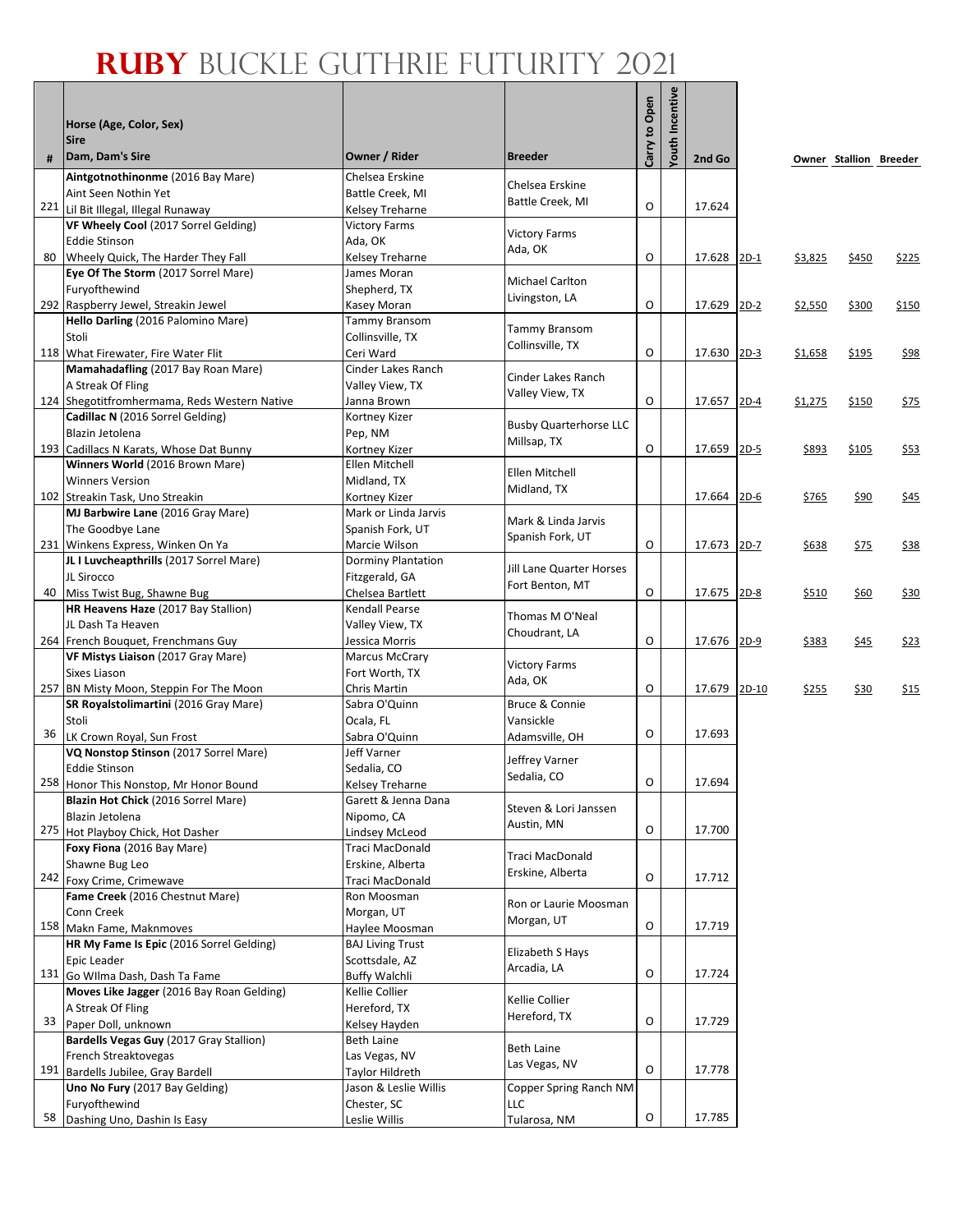| #  | Horse (Age, Color, Sex)<br><b>Sire</b><br>Dam, Dam's Sire | Owner / Rider                | <b>Breeder</b>                | Carry to Open | Incentive<br>Youth | 2nd Go      |         |         | Owner Stallion Breeder |             |
|----|-----------------------------------------------------------|------------------------------|-------------------------------|---------------|--------------------|-------------|---------|---------|------------------------|-------------|
|    | Aintgotnothinonme (2016 Bay Mare)                         | Chelsea Erskine              |                               |               |                    |             |         |         |                        |             |
|    | Aint Seen Nothin Yet                                      | Battle Creek, MI             | Chelsea Erskine               |               |                    |             |         |         |                        |             |
|    | 221 Lil Bit Illegal, Illegal Runaway                      | Kelsey Treharne              | Battle Creek, MI              | O             |                    | 17.624      |         |         |                        |             |
|    | VF Wheely Cool (2017 Sorrel Gelding)                      | <b>Victory Farms</b>         |                               |               |                    |             |         |         |                        |             |
|    | <b>Eddie Stinson</b>                                      | Ada, OK                      | <b>Victory Farms</b>          |               |                    |             |         |         |                        |             |
|    | 80 Wheely Quick, The Harder They Fall                     | Kelsey Treharne              | Ada, OK                       | O             |                    | 17.628 2D-1 |         | \$3,825 | \$450                  | \$225       |
|    | Eye Of The Storm (2017 Sorrel Mare)                       | James Moran                  |                               |               |                    |             |         |         |                        |             |
|    | Furyofthewind                                             | Shepherd, TX                 | <b>Michael Carlton</b>        |               |                    |             |         |         |                        |             |
|    | 292 Raspberry Jewel, Streakin Jewel                       | Kasey Moran                  | Livingston, LA                | O             |                    | 17.629 2D-2 |         | \$2,550 | \$300                  | \$150       |
|    | Hello Darling (2016 Palomino Mare)                        | Tammy Bransom                |                               |               |                    |             |         |         |                        |             |
|    | Stoli                                                     | Collinsville, TX             | <b>Tammy Bransom</b>          |               |                    |             |         |         |                        |             |
|    | 118 What Firewater, Fire Water Flit                       | Ceri Ward                    | Collinsville, TX              | O             |                    | 17.630 2D-3 |         | \$1,658 | \$195                  | \$98        |
|    | Mamahadafling (2017 Bay Roan Mare)                        | Cinder Lakes Ranch           |                               |               |                    |             |         |         |                        |             |
|    | A Streak Of Fling                                         | Valley View, TX              | Cinder Lakes Ranch            |               |                    |             |         |         |                        |             |
|    | 124 Shegotitfromhermama, Reds Western Native              | Janna Brown                  | Valley View, TX               | O             |                    | 17.657 2D-4 |         | \$1,275 | \$150                  | \$75        |
|    | Cadillac N (2016 Sorrel Gelding)                          | Kortney Kizer                |                               |               |                    |             |         |         |                        |             |
|    | Blazin Jetolena                                           | Pep, NM                      | <b>Busby Quarterhorse LLC</b> |               |                    |             |         |         |                        |             |
|    | 193 Cadillacs N Karats, Whose Dat Bunny                   | Kortney Kizer                | Millsap, TX                   | O             |                    | 17.659 2D-5 |         | \$893   | \$105                  | \$53        |
|    | Winners World (2016 Brown Mare)                           | Ellen Mitchell               |                               |               |                    |             |         |         |                        |             |
|    | <b>Winners Version</b>                                    | Midland, TX                  | Ellen Mitchell                |               |                    |             |         |         |                        |             |
|    | 102 Streakin Task, Uno Streakin                           | Kortney Kizer                | Midland, TX                   |               |                    | 17.664 2D-6 |         | \$765   | \$90                   | \$45        |
|    | MJ Barbwire Lane (2016 Gray Mare)                         | Mark or Linda Jarvis         | Mark & Linda Jarvis           |               |                    |             |         |         |                        |             |
|    | The Goodbye Lane                                          | Spanish Fork, UT             | Spanish Fork, UT              |               |                    |             |         |         |                        |             |
|    | 231 Winkens Express, Winken On Ya                         | Marcie Wilson                |                               | O             |                    | 17.673 2D-7 |         | \$638   | \$75                   | <u>\$38</u> |
|    | JL I Luvcheapthrills (2017 Sorrel Mare)                   | Dorminy Plantation           | Jill Lane Quarter Horses      |               |                    |             |         |         |                        |             |
|    | JL Sirocco                                                | Fitzgerald, GA               | Fort Benton, MT               |               |                    |             |         |         |                        |             |
|    | 40 Miss Twist Bug, Shawne Bug                             | Chelsea Bartlett             |                               | O             |                    | 17.675 2D-8 |         | \$510   | \$60                   | \$30        |
|    | HR Heavens Haze (2017 Bay Stallion)                       | Kendall Pearse               | Thomas M O'Neal               |               |                    |             |         |         |                        |             |
|    | JL Dash Ta Heaven                                         | Valley View, TX              | Choudrant, LA                 |               |                    |             |         |         |                        |             |
|    | 264 French Bouquet, Frenchmans Guy                        | Jessica Morris               |                               | O             |                    | 17.676 2D-9 |         | \$383   | \$45                   | \$23        |
|    | VF Mistys Liaison (2017 Gray Mare)                        | <b>Marcus McCrary</b>        | <b>Victory Farms</b>          |               |                    |             |         |         |                        |             |
|    | Sixes Liason                                              | Fort Worth, TX               | Ada, OK                       |               |                    |             |         |         |                        |             |
|    | 257 BN Misty Moon, Steppin For The Moon                   | Chris Martin                 |                               | O             |                    | 17.679      | $2D-10$ | \$255   | \$30                   | \$15        |
|    | SR Royalstolimartini (2016 Gray Mare)                     | Sabra O'Quinn                | Bruce & Connie                |               |                    |             |         |         |                        |             |
| 36 | Stoli<br>LK Crown Royal, Sun Frost                        | Ocala, FL                    | Vansickle                     | O             |                    | 17.693      |         |         |                        |             |
|    | VQ Nonstop Stinson (2017 Sorrel Mare)                     | Sabra O'Quinn<br>Jeff Varner | Adamsville, OH                |               |                    |             |         |         |                        |             |
|    | <b>Eddie Stinson</b>                                      | Sedalia, CO                  | Jeffrey Varner                |               |                    |             |         |         |                        |             |
|    | 258 Honor This Nonstop, Mr Honor Bound                    | <b>Kelsey Treharne</b>       | Sedalia, CO                   | O             |                    | 17.694      |         |         |                        |             |
|    | Blazin Hot Chick (2016 Sorrel Mare)                       | Garett & Jenna Dana          |                               |               |                    |             |         |         |                        |             |
|    | Blazin Jetolena                                           | Nipomo, CA                   | Steven & Lori Janssen         |               |                    |             |         |         |                        |             |
|    | 275 Hot Playboy Chick, Hot Dasher                         | Lindsey McLeod               | Austin, MN                    | O             |                    | 17.700      |         |         |                        |             |
|    | Foxy Fiona (2016 Bay Mare)                                | Traci MacDonald              |                               |               |                    |             |         |         |                        |             |
|    | Shawne Bug Leo                                            | Erskine, Alberta             | Traci MacDonald               |               |                    |             |         |         |                        |             |
|    | 242 Foxy Crime, Crimewave                                 | Traci MacDonald              | Erskine, Alberta              | O             |                    | 17.712      |         |         |                        |             |
|    | Fame Creek (2016 Chestnut Mare)                           | Ron Moosman                  |                               |               |                    |             |         |         |                        |             |
|    | Conn Creek                                                | Morgan, UT                   | Ron or Laurie Moosman         |               |                    |             |         |         |                        |             |
|    | 158 Makn Fame, Maknmoves                                  | Haylee Moosman               | Morgan, UT                    | O             |                    | 17.719      |         |         |                        |             |
|    | HR My Fame Is Epic (2016 Sorrel Gelding)                  | <b>BAJ Living Trust</b>      |                               |               |                    |             |         |         |                        |             |
|    | Epic Leader                                               | Scottsdale, AZ               | Elizabeth S Hays              |               |                    |             |         |         |                        |             |
|    | 131 Go Wilma Dash, Dash Ta Fame                           | <b>Buffy Walchli</b>         | Arcadia, LA                   | O             |                    | 17.724      |         |         |                        |             |
|    | Moves Like Jagger (2016 Bay Roan Gelding)                 | Kellie Collier               |                               |               |                    |             |         |         |                        |             |
|    | A Streak Of Fling                                         | Hereford, TX                 | Kellie Collier                |               |                    |             |         |         |                        |             |
|    | 33 Paper Doll, unknown                                    | Kelsey Hayden                | Hereford, TX                  | O             |                    | 17.729      |         |         |                        |             |
|    | Bardells Vegas Guy (2017 Gray Stallion)                   | Beth Laine                   | <b>Beth Laine</b>             |               |                    |             |         |         |                        |             |
|    | French Streaktovegas                                      | Las Vegas, NV                | Las Vegas, NV                 |               |                    |             |         |         |                        |             |
|    | 191 Bardells Jubilee, Gray Bardell                        | Taylor Hildreth              |                               | O             |                    | 17.778      |         |         |                        |             |
|    | Uno No Fury (2017 Bay Gelding)                            | Jason & Leslie Willis        | Copper Spring Ranch NM        |               |                    |             |         |         |                        |             |
|    | Furyofthewind                                             | Chester, SC                  | LLC                           |               |                    |             |         |         |                        |             |
|    | 58 Dashing Uno, Dashin Is Easy                            | Leslie Willis                | Tularosa, NM                  | O             |                    | 17.785      |         |         |                        |             |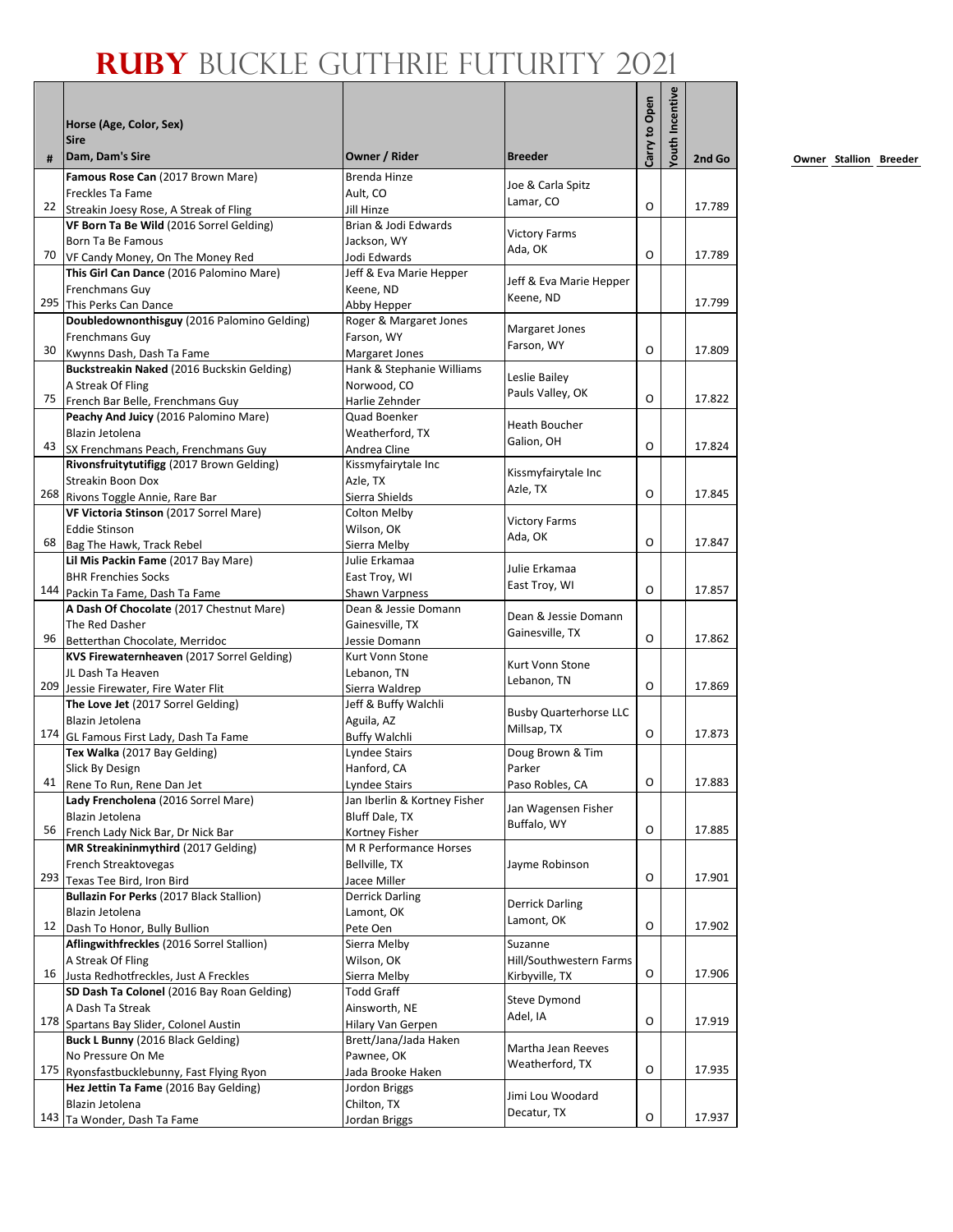|    |                                                                              |                                         |                                   | Carry to Open | <b>Touth Incentive</b> |        |
|----|------------------------------------------------------------------------------|-----------------------------------------|-----------------------------------|---------------|------------------------|--------|
|    | Horse (Age, Color, Sex)<br><b>Sire</b>                                       |                                         |                                   |               |                        |        |
| #  | Dam, Dam's Sire                                                              | Owner / Rider                           | <b>Breeder</b>                    |               |                        | 2nd Go |
|    | Famous Rose Can (2017 Brown Mare)                                            | <b>Brenda Hinze</b>                     |                                   |               |                        |        |
|    | Freckles Ta Fame                                                             | Ault, CO                                | Joe & Carla Spitz<br>Lamar, CO    |               |                        |        |
|    | 22 Streakin Joesy Rose, A Streak of Fling                                    | Jill Hinze                              |                                   | O             |                        | 17.789 |
|    | VF Born Ta Be Wild (2016 Sorrel Gelding)                                     | Brian & Jodi Edwards                    | <b>Victory Farms</b>              |               |                        |        |
| 70 | Born Ta Be Famous                                                            | Jackson, WY                             | Ada, OK                           | O             |                        | 17.789 |
|    | VF Candy Money, On The Money Red<br>This Girl Can Dance (2016 Palomino Mare) | Jodi Edwards<br>Jeff & Eva Marie Hepper |                                   |               |                        |        |
|    | Frenchmans Guy                                                               | Keene. ND                               | Jeff & Eva Marie Hepper           |               |                        |        |
|    | 295 This Perks Can Dance                                                     | Abby Hepper                             | Keene, ND                         |               |                        | 17.799 |
|    | Doubledownonthisguy (2016 Palomino Gelding)                                  | Roger & Margaret Jones                  |                                   |               |                        |        |
|    | Frenchmans Guy                                                               | Farson, WY                              | Margaret Jones                    |               |                        |        |
| 30 | Kwynns Dash, Dash Ta Fame                                                    | Margaret Jones                          | Farson, WY                        | O             |                        | 17.809 |
|    | Buckstreakin Naked (2016 Buckskin Gelding)                                   | Hank & Stephanie Williams               |                                   |               |                        |        |
|    | A Streak Of Fling                                                            | Norwood, CO                             | Leslie Bailey<br>Pauls Valley, OK |               |                        |        |
| 75 | French Bar Belle, Frenchmans Guy                                             | Harlie Zehnder                          |                                   | O             |                        | 17.822 |
|    | Peachy And Juicy (2016 Palomino Mare)                                        | Quad Boenker                            | Heath Boucher                     |               |                        |        |
| 43 | Blazin Jetolena                                                              | Weatherford. TX                         | Galion, OH                        | O             |                        | 17.824 |
|    | SX Frenchmans Peach, Frenchmans Guy                                          | Andrea Cline                            |                                   |               |                        |        |
|    | Rivonsfruitytutifigg (2017 Brown Gelding)                                    | Kissmyfairytale Inc                     | Kissmyfairytale Inc               |               |                        |        |
|    | <b>Streakin Boon Dox</b><br>268 Rivons Toggle Annie, Rare Bar                | Azle, TX<br>Sierra Shields              | Azle, TX                          | O             |                        | 17.845 |
|    | VF Victoria Stinson (2017 Sorrel Mare)                                       | Colton Melby                            |                                   |               |                        |        |
|    | <b>Eddie Stinson</b>                                                         | Wilson, OK                              | <b>Victory Farms</b>              |               |                        |        |
| 68 | Bag The Hawk, Track Rebel                                                    | Sierra Melby                            | Ada, OK                           | O             |                        | 17.847 |
|    | Lil Mis Packin Fame (2017 Bay Mare)                                          | Julie Erkamaa                           |                                   |               |                        |        |
|    | <b>BHR Frenchies Socks</b>                                                   | East Troy, WI                           | Julie Erkamaa                     |               |                        |        |
|    | 144 Packin Ta Fame, Dash Ta Fame                                             | Shawn Varpness                          | East Troy, WI                     | O             |                        | 17.857 |
|    | A Dash Of Chocolate (2017 Chestnut Mare)                                     | Dean & Jessie Domann                    | Dean & Jessie Domann              |               |                        |        |
|    | The Red Dasher                                                               | Gainesville, TX                         | Gainesville, TX                   |               |                        |        |
| 96 | Betterthan Chocolate, Merridoc                                               | Jessie Domann                           |                                   | O             |                        | 17.862 |
|    | KVS Firewaternheaven (2017 Sorrel Gelding)                                   | Kurt Vonn Stone                         | Kurt Vonn Stone                   |               |                        |        |
|    | JL Dash Ta Heaven<br>209 Jessie Firewater, Fire Water Flit                   | Lebanon, TN                             | Lebanon, TN                       | O             |                        | 17.869 |
|    | The Love Jet (2017 Sorrel Gelding)                                           | Sierra Waldrep<br>Jeff & Buffy Walchli  |                                   |               |                        |        |
|    | Blazin Jetolena                                                              | Aguila, AZ                              | <b>Busby Quarterhorse LLC</b>     |               |                        |        |
|    | 174 GL Famous First Lady, Dash Ta Fame                                       | <b>Buffy Walchli</b>                    | Millsap, TX                       | 0             |                        | 17.873 |
|    | Tex Walka (2017 Bay Gelding)                                                 | Lyndee Stairs                           | Doug Brown & Tim                  |               |                        |        |
|    | Slick By Design                                                              | Hanford, CA                             | Parker                            |               |                        |        |
|    | 41 Rene To Run, Rene Dan Jet                                                 | Lyndee Stairs                           | Paso Robles, CA                   | о             |                        | 17.883 |
|    | Lady Frencholena (2016 Sorrel Mare)                                          | Jan Iberlin & Kortney Fisher            | Jan Wagensen Fisher               |               |                        |        |
|    | Blazin Jetolena                                                              | Bluff Dale, TX                          | Buffalo, WY                       |               |                        |        |
| 56 | French Lady Nick Bar, Dr Nick Bar                                            | Kortney Fisher                          |                                   | O             |                        | 17.885 |
|    | MR Streakininmythird (2017 Gelding)                                          | M R Performance Horses                  |                                   |               |                        |        |
|    | French Streaktovegas                                                         | Bellville, TX                           | Jayme Robinson                    | O             |                        | 17.901 |
|    | 293 Texas Tee Bird, Iron Bird                                                | Jacee Miller<br><b>Derrick Darling</b>  |                                   |               |                        |        |
|    | Bullazin For Perks (2017 Black Stallion)<br>Blazin Jetolena                  | Lamont, OK                              | <b>Derrick Darling</b>            |               |                        |        |
| 12 | Dash To Honor, Bully Bullion                                                 | Pete Oen                                | Lamont, OK                        | O             |                        | 17.902 |
|    | Aflingwithfreckles (2016 Sorrel Stallion)                                    | Sierra Melby                            | Suzanne                           |               |                        |        |
|    | A Streak Of Fling                                                            | Wilson, OK                              | Hill/Southwestern Farms           |               |                        |        |
| 16 | Justa Redhotfreckles, Just A Freckles                                        | Sierra Melby                            | Kirbyville, TX                    | O             |                        | 17.906 |
|    | SD Dash Ta Colonel (2016 Bay Roan Gelding)                                   | <b>Todd Graff</b>                       |                                   |               |                        |        |
|    | A Dash Ta Streak                                                             | Ainsworth, NE                           | Steve Dymond<br>Adel, IA          |               |                        |        |
|    | 178 Spartans Bay Slider, Colonel Austin                                      | Hilary Van Gerpen                       |                                   | O             |                        | 17.919 |
|    | Buck L Bunny (2016 Black Gelding)                                            | Brett/Jana/Jada Haken                   | Martha Jean Reeves                |               |                        |        |
|    | No Pressure On Me                                                            | Pawnee, OK                              | Weatherford, TX                   |               |                        |        |
|    | 175 Ryonsfastbucklebunny, Fast Flying Ryon                                   | Jada Brooke Haken                       |                                   | O             |                        | 17.935 |
|    | Hez Jettin Ta Fame (2016 Bay Gelding)                                        | Jordon Briggs                           | Jimi Lou Woodard                  |               |                        |        |
|    | Blazin Jetolena                                                              | Chilton, TX                             | Decatur, TX                       | O             |                        | 17.937 |
|    | 143 Ta Wonder, Dash Ta Fame                                                  | Jordan Briggs                           |                                   |               |                        |        |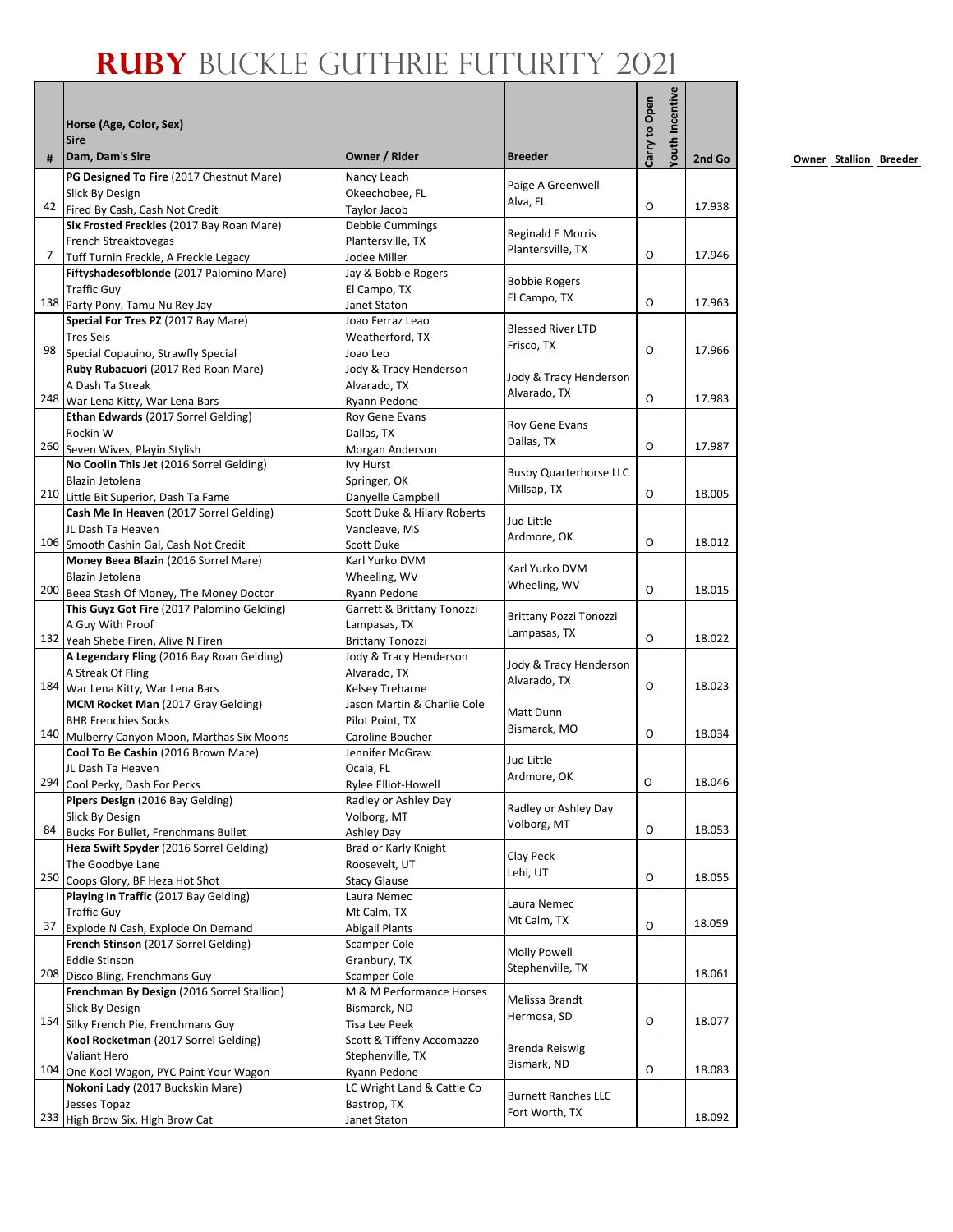|    |                                                                                  |                                                  |                               |               | outh Incentive |        |
|----|----------------------------------------------------------------------------------|--------------------------------------------------|-------------------------------|---------------|----------------|--------|
|    | Horse (Age, Color, Sex)                                                          |                                                  |                               |               |                |        |
| #  | <b>Sire</b><br>Dam, Dam's Sire                                                   | Owner / Rider                                    | <b>Breeder</b>                | Carry to Open |                | 2nd Go |
|    | PG Designed To Fire (2017 Chestnut Mare)                                         | Nancy Leach                                      | Paige A Greenwell             |               |                |        |
|    | Slick By Design                                                                  | Okeechobee, FL                                   | Alva, FL                      |               |                |        |
|    | 42 Fired By Cash, Cash Not Credit                                                | Taylor Jacob                                     |                               | O             |                | 17.938 |
|    | Six Frosted Freckles (2017 Bay Roan Mare)                                        | Debbie Cummings                                  | <b>Reginald E Morris</b>      |               |                |        |
| 7  | French Streaktovegas<br>Tuff Turnin Freckle, A Freckle Legacy                    | Plantersville, TX<br>Jodee Miller                | Plantersville, TX             | O             |                | 17.946 |
|    | Fiftyshadesofblonde (2017 Palomino Mare)                                         | Jay & Bobbie Rogers                              |                               |               |                |        |
|    | <b>Traffic Guy</b>                                                               | El Campo, TX                                     | <b>Bobbie Rogers</b>          |               |                |        |
|    | 138 Party Pony, Tamu Nu Rey Jay                                                  | Janet Staton                                     | El Campo, TX                  | O             |                | 17.963 |
|    | Special For Tres PZ (2017 Bay Mare)                                              | Joao Ferraz Leao                                 |                               |               |                |        |
|    | <b>Tres Seis</b>                                                                 | Weatherford, TX                                  | <b>Blessed River LTD</b>      |               |                |        |
| 98 | Special Copauino, Strawfly Special                                               | Joao Leo                                         | Frisco, TX                    | $\Omega$      |                | 17.966 |
|    | Ruby Rubacuori (2017 Red Roan Mare)                                              | Jody & Tracy Henderson                           | Jody & Tracy Henderson        |               |                |        |
|    | A Dash Ta Streak                                                                 | Alvarado, TX                                     | Alvarado, TX                  |               |                |        |
|    | 248 War Lena Kitty, War Lena Bars                                                | Ryann Pedone                                     |                               | O             |                | 17.983 |
|    | Ethan Edwards (2017 Sorrel Gelding)                                              | Roy Gene Evans                                   | Roy Gene Evans                |               |                |        |
|    | Rockin W                                                                         | Dallas, TX                                       | Dallas, TX                    | O             |                | 17.987 |
|    | 260 Seven Wives, Playin Stylish                                                  | Morgan Anderson                                  |                               |               |                |        |
|    | No Coolin This Jet (2016 Sorrel Gelding)                                         | Ivy Hurst                                        | <b>Busby Quarterhorse LLC</b> |               |                |        |
|    | Blazin Jetolena                                                                  | Springer, OK                                     | Millsap, TX                   | O             |                | 18.005 |
|    | 210 Little Bit Superior, Dash Ta Fame<br>Cash Me In Heaven (2017 Sorrel Gelding) | Danyelle Campbell<br>Scott Duke & Hilary Roberts |                               |               |                |        |
|    | JL Dash Ta Heaven                                                                | Vancleave, MS                                    | Jud Little                    |               |                |        |
|    | 106 Smooth Cashin Gal, Cash Not Credit                                           | Scott Duke                                       | Ardmore, OK                   | O             |                | 18.012 |
|    | Money Beea Blazin (2016 Sorrel Mare)                                             | Karl Yurko DVM                                   |                               |               |                |        |
|    | Blazin Jetolena                                                                  | Wheeling, WV                                     | Karl Yurko DVM                |               |                |        |
|    | 200 Beea Stash Of Money, The Money Doctor                                        | Ryann Pedone                                     | Wheeling, WV                  | O             |                | 18.015 |
|    | This Guyz Got Fire (2017 Palomino Gelding)                                       | Garrett & Brittany Tonozzi                       |                               |               |                |        |
|    | A Guy With Proof                                                                 | Lampasas, TX                                     | <b>Brittany Pozzi Tonozzi</b> |               |                |        |
|    | 132 Yeah Shebe Firen, Alive N Firen                                              | <b>Brittany Tonozzi</b>                          | Lampasas, TX                  | O             |                | 18.022 |
|    | A Legendary Fling (2016 Bay Roan Gelding)                                        | Jody & Tracy Henderson                           | Jody & Tracy Henderson        |               |                |        |
|    | A Streak Of Fling                                                                | Alvarado, TX                                     | Alvarado, TX                  |               |                |        |
|    | 184 War Lena Kitty, War Lena Bars                                                | <b>Kelsev Treharne</b>                           |                               | O             |                | 18.023 |
|    | MCM Rocket Man (2017 Gray Gelding)                                               | Jason Martin & Charlie Cole                      | Matt Dunn                     |               |                |        |
|    | <b>BHR Frenchies Socks</b>                                                       | Pilot Point, TX                                  | Bismarck, MO                  |               |                |        |
|    | 140 Mulberry Canyon Moon, Marthas Six Moons                                      | Caroline Boucher                                 |                               | O             |                | 18.034 |
|    | Cool To Be Cashin (2016 Brown Mare)                                              | Jennifer McGraw                                  | Jud Little                    |               |                |        |
|    | JL Dash Ta Heaven                                                                | Ocala, FL                                        | Ardmore, OK                   | O             |                | 18.046 |
|    | 294 Cool Perky, Dash For Perks                                                   | Rylee Elliot-Howell                              |                               |               |                |        |
|    | Pipers Design (2016 Bay Gelding)<br>Slick By Design                              | Radley or Ashley Day<br>Volborg, MT              | Radley or Ashley Day          |               |                |        |
| 84 | Bucks For Bullet, Frenchmans Bullet                                              | Ashley Day                                       | Volborg, MT                   | O             |                | 18.053 |
|    | Heza Swift Spyder (2016 Sorrel Gelding)                                          | Brad or Karly Knight                             |                               |               |                |        |
|    | The Goodbye Lane                                                                 | Roosevelt, UT                                    | Clay Peck                     |               |                |        |
|    | 250 Coops Glory, BF Heza Hot Shot                                                | <b>Stacy Glause</b>                              | Lehi, UT                      | O             |                | 18.055 |
|    | Playing In Traffic (2017 Bay Gelding)                                            | Laura Nemec                                      |                               |               |                |        |
|    | <b>Traffic Guy</b>                                                               | Mt Calm, TX                                      | Laura Nemec                   |               |                |        |
| 37 | Explode N Cash, Explode On Demand                                                | Abigail Plants                                   | Mt Calm, TX                   | O             |                | 18.059 |
|    | French Stinson (2017 Sorrel Gelding)                                             | Scamper Cole                                     | Molly Powell                  |               |                |        |
|    | <b>Eddie Stinson</b>                                                             | Granbury, TX                                     | Stephenville, TX              |               |                |        |
|    | 208 Disco Bling, Frenchmans Guy                                                  | <b>Scamper Cole</b>                              |                               |               |                | 18.061 |
|    | Frenchman By Design (2016 Sorrel Stallion)                                       | M & M Performance Horses                         | Melissa Brandt                |               |                |        |
|    | Slick By Design                                                                  | Bismarck, ND                                     | Hermosa, SD                   |               |                |        |
|    | 154 Silky French Pie, Frenchmans Guy                                             | Tisa Lee Peek                                    |                               | O             |                | 18.077 |
|    | Kool Rocketman (2017 Sorrel Gelding)                                             | Scott & Tiffeny Accomazzo                        | Brenda Reiswig                |               |                |        |
|    | Valiant Hero                                                                     | Stephenville, TX                                 | Bismark, ND                   | O             |                | 18.083 |
|    | 104 One Kool Wagon, PYC Paint Your Wagon                                         | Ryann Pedone                                     |                               |               |                |        |
|    | Nokoni Lady (2017 Buckskin Mare)<br>Jesses Topaz                                 | LC Wright Land & Cattle Co<br>Bastrop, TX        | <b>Burnett Ranches LLC</b>    |               |                |        |
|    | 233 High Brow Six, High Brow Cat                                                 | Janet Staton                                     | Fort Worth, TX                |               |                | 18.092 |
|    |                                                                                  |                                                  |                               |               |                |        |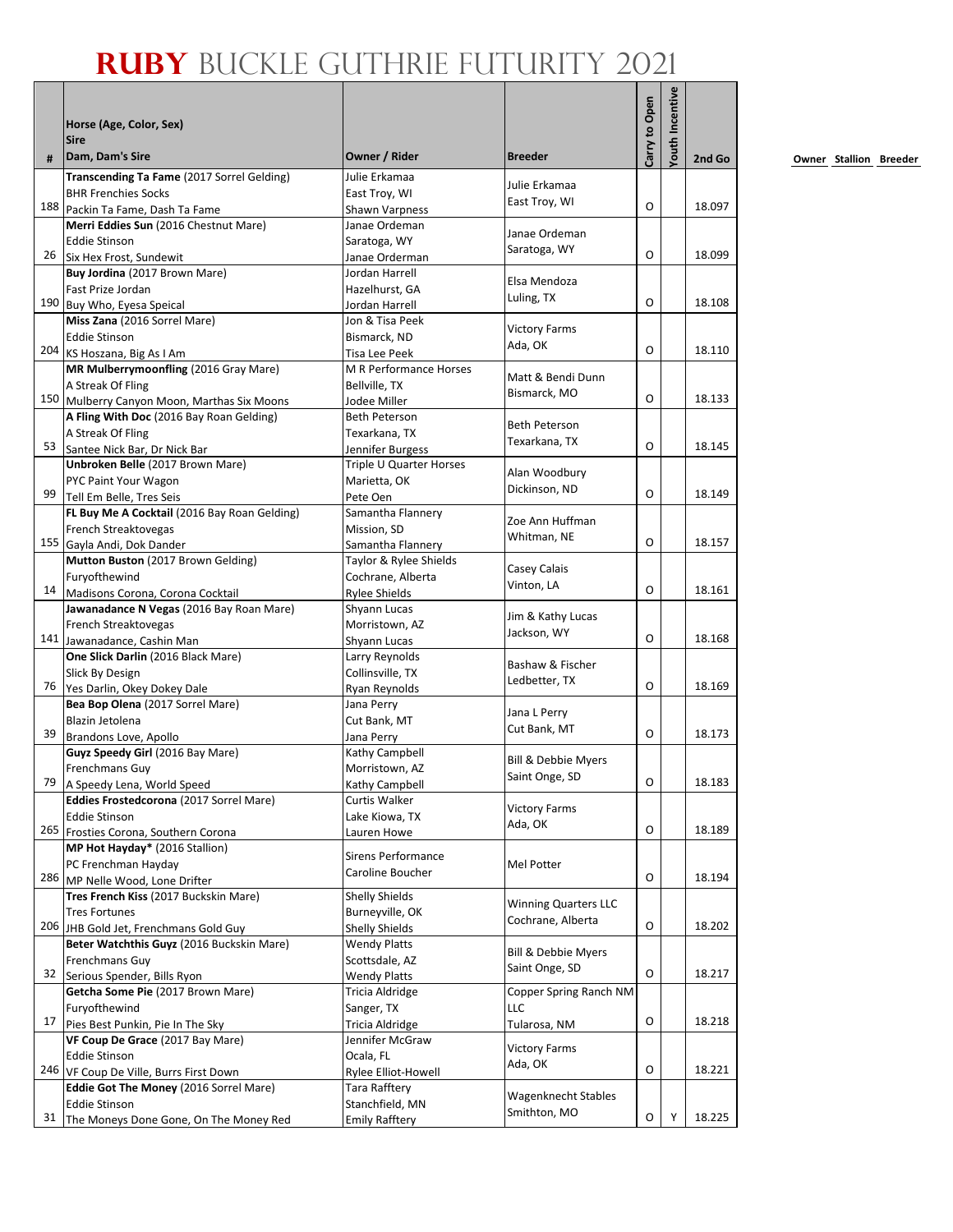|    | Horse (Age, Color, Sex)<br><b>Sire</b>                                                  |                                       |                                | Carry to Open | <b>/outh Incentive</b> |        |
|----|-----------------------------------------------------------------------------------------|---------------------------------------|--------------------------------|---------------|------------------------|--------|
| #  | Dam, Dam's Sire                                                                         | Owner / Rider                         | <b>Breeder</b>                 |               |                        | 2nd Go |
|    | Transcending Ta Fame (2017 Sorrel Gelding)                                              | Julie Erkamaa                         | Julie Erkamaa                  |               |                        |        |
|    | <b>BHR Frenchies Socks</b>                                                              | East Troy, WI                         | East Troy, WI                  | O             |                        | 18.097 |
|    | 188 Packin Ta Fame, Dash Ta Fame<br>Merri Eddies Sun (2016 Chestnut Mare)               | Shawn Varpness<br>Janae Ordeman       |                                |               |                        |        |
|    | <b>Eddie Stinson</b>                                                                    | Saratoga, WY                          | Janae Ordeman                  |               |                        |        |
| 26 | Six Hex Frost, Sundewit                                                                 | Janae Orderman                        | Saratoga, WY                   | O             |                        | 18.099 |
|    | Buy Jordina (2017 Brown Mare)                                                           | Jordan Harrell                        |                                |               |                        |        |
|    | Fast Prize Jordan                                                                       | Hazelhurst, GA                        | Elsa Mendoza                   |               |                        |        |
|    | 190 Buy Who, Eyesa Speical                                                              | Jordan Harrell                        | Luling, TX                     | O             |                        | 18.108 |
|    | Miss Zana (2016 Sorrel Mare)                                                            | Jon & Tisa Peek                       | <b>Victory Farms</b>           |               |                        |        |
|    | <b>Eddie Stinson</b>                                                                    | Bismarck, ND                          | Ada, OK                        |               |                        |        |
|    | 204 KS Hoszana, Big As I Am                                                             | Tisa Lee Peek                         |                                | O             |                        | 18.110 |
|    | MR Mulberrymoonfling (2016 Gray Mare)                                                   | <b>M R Performance Horses</b>         | Matt & Bendi Dunn              |               |                        |        |
|    | A Streak Of Fling                                                                       | Bellville, TX                         | Bismarck, MO                   | O             |                        | 18.133 |
|    | 150 Mulberry Canyon Moon, Marthas Six Moons<br>A Fling With Doc (2016 Bay Roan Gelding) | Jodee Miller<br><b>Beth Peterson</b>  |                                |               |                        |        |
|    | A Streak Of Fling                                                                       | Texarkana, TX                         | <b>Beth Peterson</b>           |               |                        |        |
| 53 | Santee Nick Bar, Dr Nick Bar                                                            | Jennifer Burgess                      | Texarkana, TX                  | O             |                        | 18.145 |
|    | Unbroken Belle (2017 Brown Mare)                                                        | Triple U Quarter Horses               |                                |               |                        |        |
|    | PYC Paint Your Wagon                                                                    | Marietta, OK                          | Alan Woodbury                  |               |                        |        |
| 99 | Tell Em Belle, Tres Seis                                                                | Pete Oen                              | Dickinson, ND                  | O             |                        | 18.149 |
|    | FL Buy Me A Cocktail (2016 Bay Roan Gelding)                                            | Samantha Flannery                     | Zoe Ann Huffman                |               |                        |        |
|    | French Streaktovegas                                                                    | Mission, SD                           | Whitman, NE                    |               |                        |        |
|    | 155 Gayla Andi, Dok Dander                                                              | Samantha Flannery                     |                                | $\Omega$      |                        | 18.157 |
|    | Mutton Buston (2017 Brown Gelding)                                                      | Taylor & Rylee Shields                | Casey Calais                   |               |                        |        |
| 14 | Furyofthewind                                                                           | Cochrane, Alberta                     | Vinton, LA                     | O             |                        | 18.161 |
|    | Madisons Corona, Corona Cocktail<br>Jawanadance N Vegas (2016 Bay Roan Mare)            | <b>Rylee Shields</b>                  |                                |               |                        |        |
|    | French Streaktovegas                                                                    | Shyann Lucas<br>Morristown, AZ        | Jim & Kathy Lucas              |               |                        |        |
|    | 141 Jawanadance, Cashin Man                                                             | <b>Shyann Lucas</b>                   | Jackson, WY                    | O             |                        | 18.168 |
|    | One Slick Darlin (2016 Black Mare)                                                      | Larry Reynolds                        |                                |               |                        |        |
|    | Slick By Design                                                                         | Collinsville, TX                      | Bashaw & Fischer               |               |                        |        |
|    | 76 Yes Darlin, Okey Dokey Dale                                                          | Ryan Reynolds                         | Ledbetter, TX                  | O             |                        | 18.169 |
|    | Bea Bop Olena (2017 Sorrel Mare)                                                        | Jana Perry                            | Jana L Perry                   |               |                        |        |
|    | Blazin Jetolena                                                                         | Cut Bank, MT                          | Cut Bank, MT                   |               |                        |        |
| 39 | Brandons Love, Apollo                                                                   | Jana Perry                            |                                | O             |                        | 18.173 |
|    | Guyz Speedy Girl (2016 Bay Mare)                                                        | Kathy Campbell                        | <b>Bill &amp; Debbie Myers</b> |               |                        |        |
|    | Frenchmans Guy<br>79 A Speedy Lena, World Speed                                         | Morristown, AZ                        | Saint Onge, SD                 | O             |                        | 18.183 |
|    | Eddies Frostedcorona (2017 Sorrel Mare)                                                 | Kathy Campbell<br>Curtis Walker       |                                |               |                        |        |
|    | <b>Eddie Stinson</b>                                                                    | Lake Kiowa, TX                        | <b>Victory Farms</b>           |               |                        |        |
|    | 265 Frosties Corona, Southern Corona                                                    | Lauren Howe                           | Ada, OK                        | O             |                        | 18.189 |
|    | MP Hot Hayday* (2016 Stallion)                                                          |                                       |                                |               |                        |        |
|    | PC Frenchman Hayday                                                                     | <b>Sirens Performance</b>             | Mel Potter                     |               |                        |        |
|    | 286 MP Nelle Wood, Lone Drifter                                                         | Caroline Boucher                      |                                | O             |                        | 18.194 |
|    | Tres French Kiss (2017 Buckskin Mare)                                                   | Shelly Shields                        | <b>Winning Quarters LLC</b>    |               |                        |        |
|    | <b>Tres Fortunes</b>                                                                    | Burneyville, OK                       | Cochrane, Alberta              |               |                        |        |
|    | 206 JHB Gold Jet, Frenchmans Gold Guy                                                   | <b>Shelly Shields</b>                 |                                | O             |                        | 18.202 |
|    | Beter Watchthis Guyz (2016 Buckskin Mare)                                               | <b>Wendy Platts</b>                   | Bill & Debbie Myers            |               |                        |        |
| 32 | Frenchmans Guy                                                                          | Scottsdale, AZ<br><b>Wendy Platts</b> | Saint Onge, SD                 | O             |                        | 18.217 |
|    | Serious Spender, Bills Ryon<br>Getcha Some Pie (2017 Brown Mare)                        | <b>Tricia Aldridge</b>                | Copper Spring Ranch NM         |               |                        |        |
|    | Furyofthewind                                                                           | Sanger, TX                            | LLC                            |               |                        |        |
| 17 | Pies Best Punkin, Pie In The Sky                                                        | Tricia Aldridge                       | Tularosa, NM                   | O             |                        | 18.218 |
|    | VF Coup De Grace (2017 Bay Mare)                                                        | Jennifer McGraw                       |                                |               |                        |        |
|    | <b>Eddie Stinson</b>                                                                    | Ocala, FL                             | <b>Victory Farms</b>           |               |                        |        |
|    | 246 VF Coup De Ville, Burrs First Down                                                  | Rylee Elliot-Howell                   | Ada, OK                        | O             |                        | 18.221 |
|    | Eddie Got The Money (2016 Sorrel Mare)                                                  | <b>Tara Rafftery</b>                  | Wagenknecht Stables            |               |                        |        |
|    | <b>Eddie Stinson</b>                                                                    | Stanchfield, MN                       | Smithton, MO                   |               |                        |        |
| 31 | The Moneys Done Gone, On The Money Red                                                  | <b>Emily Rafftery</b>                 |                                | O             | Υ                      | 18.225 |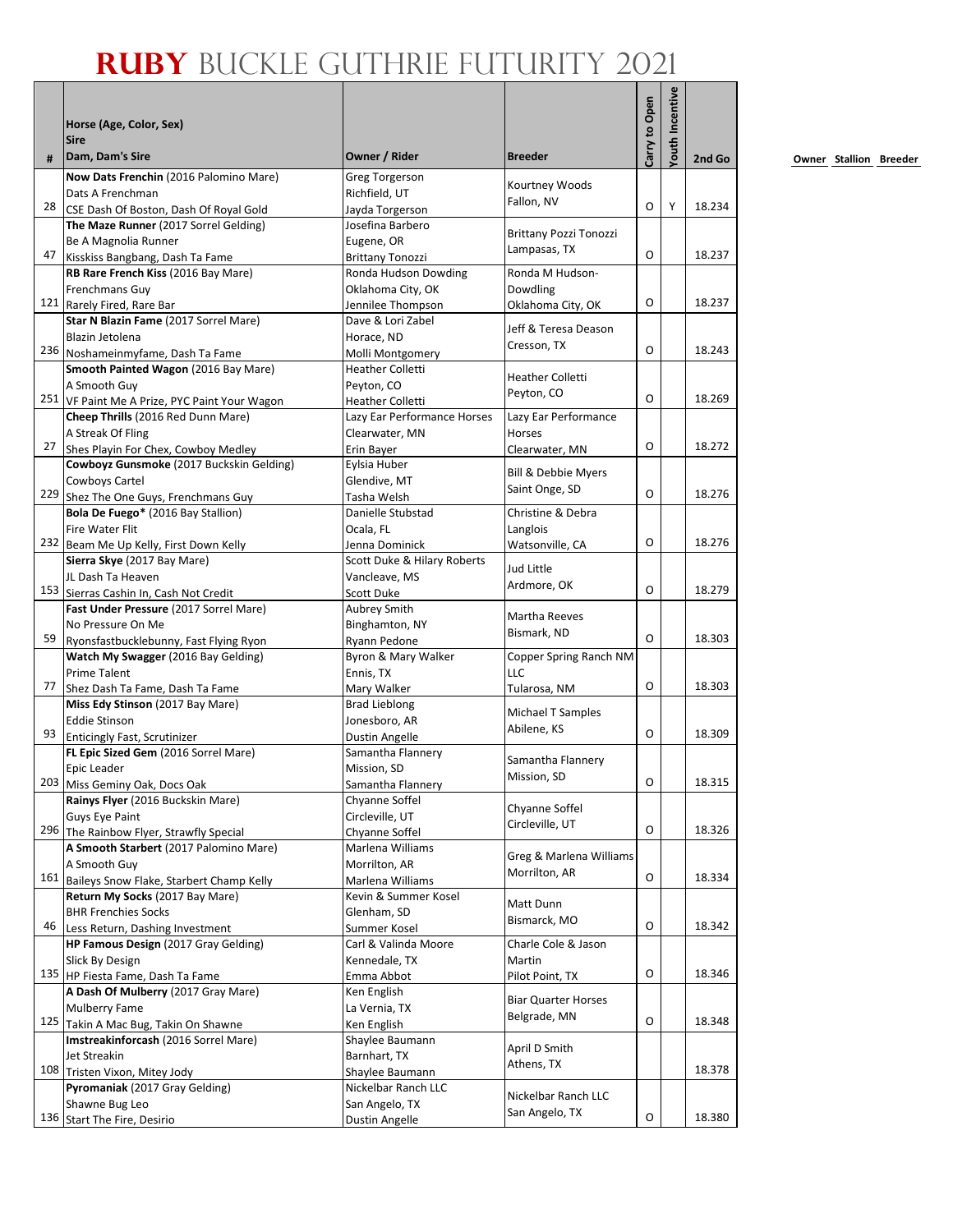|    | Horse (Age, Color, Sex)<br><b>Sire</b>                                          |                                          |                               | Carry to Open | <b>'outh Incentive</b> |        |
|----|---------------------------------------------------------------------------------|------------------------------------------|-------------------------------|---------------|------------------------|--------|
| #  | Dam, Dam's Sire                                                                 | Owner / Rider                            | <b>Breeder</b>                |               |                        | 2nd Go |
|    | Now Dats Frenchin (2016 Palomino Mare)                                          | <b>Greg Torgerson</b>                    | Kourtney Woods                |               |                        |        |
|    | Dats A Frenchman                                                                | Richfield, UT                            | Fallon, NV                    |               |                        |        |
| 28 | CSE Dash Of Boston, Dash Of Royal Gold                                          | Jayda Torgerson                          |                               | O             | Y                      | 18.234 |
|    | The Maze Runner (2017 Sorrel Gelding)<br>Be A Magnolia Runner                   | Josefina Barbero                         | <b>Brittany Pozzi Tonozzi</b> |               |                        |        |
| 47 | Kisskiss Bangbang, Dash Ta Fame                                                 | Eugene, OR<br><b>Brittany Tonozzi</b>    | Lampasas, TX                  | O             |                        | 18.237 |
|    | RB Rare French Kiss (2016 Bay Mare)                                             | Ronda Hudson Dowding                     | Ronda M Hudson-               |               |                        |        |
|    | <b>Frenchmans Guy</b>                                                           | Oklahoma City, OK                        | Dowdling                      |               |                        |        |
|    | 121 Rarely Fired, Rare Bar                                                      | Jennilee Thompson                        | Oklahoma City, OK             | 0             |                        | 18.237 |
|    | Star N Blazin Fame (2017 Sorrel Mare)                                           | Dave & Lori Zabel                        | Jeff & Teresa Deason          |               |                        |        |
|    | Blazin Jetolena                                                                 | Horace, ND                               | Cresson, TX                   |               |                        |        |
|    | 236 Noshameinmyfame, Dash Ta Fame                                               | Molli Montgomery                         |                               | O             |                        | 18.243 |
|    | Smooth Painted Wagon (2016 Bay Mare)                                            | <b>Heather Colletti</b>                  | <b>Heather Colletti</b>       |               |                        |        |
|    | A Smooth Guy                                                                    | Peyton, CO                               | Peyton, CO                    | O             |                        | 18.269 |
|    | 251 VF Paint Me A Prize, PYC Paint Your Wagon                                   | <b>Heather Colletti</b>                  |                               |               |                        |        |
|    | Cheep Thrills (2016 Red Dunn Mare)                                              | Lazy Ear Performance Horses              | Lazy Ear Performance          |               |                        |        |
| 27 | A Streak Of Fling<br>Shes Playin For Chex, Cowboy Medley                        | Clearwater, MN<br>Erin Bayer             | Horses<br>Clearwater, MN      | O             |                        | 18.272 |
|    | Cowboyz Gunsmoke (2017 Buckskin Gelding)                                        | Eylsia Huber                             |                               |               |                        |        |
|    | Cowboys Cartel                                                                  | Glendive. MT                             | Bill & Debbie Myers           |               |                        |        |
|    | 229 Shez The One Guys, Frenchmans Guy                                           | Tasha Welsh                              | Saint Onge, SD                | O             |                        | 18.276 |
|    | Bola De Fuego* (2016 Bay Stallion)                                              | Danielle Stubstad                        | Christine & Debra             |               |                        |        |
|    | <b>Fire Water Flit</b>                                                          | Ocala, FL                                | Langlois                      |               |                        |        |
|    | 232 Beam Me Up Kelly, First Down Kelly                                          | Jenna Dominick                           | Watsonville, CA               | O             |                        | 18.276 |
|    | Sierra Skye (2017 Bay Mare)                                                     | Scott Duke & Hilary Roberts              | Jud Little                    |               |                        |        |
|    | JL Dash Ta Heaven                                                               | Vancleave, MS                            | Ardmore, OK                   |               |                        |        |
|    | 153 Sierras Cashin In, Cash Not Credit                                          | <b>Scott Duke</b>                        |                               | O             |                        | 18.279 |
|    | Fast Under Pressure (2017 Sorrel Mare)                                          | Aubrey Smith                             | Martha Reeves                 |               |                        |        |
|    | No Pressure On Me                                                               | Binghamton, NY                           | Bismark, ND                   | O             |                        | 18.303 |
| 59 | Ryonsfastbucklebunny, Fast Flying Ryon                                          | Ryann Pedone                             |                               |               |                        |        |
|    | Watch My Swagger (2016 Bay Gelding)<br><b>Prime Talent</b>                      | Byron & Mary Walker<br>Ennis, TX         | Copper Spring Ranch NM<br>LLC |               |                        |        |
| 77 | Shez Dash Ta Fame, Dash Ta Fame                                                 | Mary Walker                              | Tularosa, NM                  | O             |                        | 18.303 |
|    | Miss Edy Stinson (2017 Bay Mare)                                                | <b>Brad Lieblong</b>                     |                               |               |                        |        |
|    | <b>Eddie Stinson</b>                                                            | Jonesboro, AR                            | Michael T Samples             |               |                        |        |
| 93 | Enticingly Fast, Scrutinizer                                                    | <b>Dustin Angelle</b>                    | Abilene, KS                   | O             |                        | 18.309 |
|    | FL Epic Sized Gem (2016 Sorrel Mare)                                            | Samantha Flannery                        |                               |               |                        |        |
|    | Epic Leader                                                                     | Mission, SD                              | Samantha Flannery             |               |                        |        |
|    | 203 Miss Geminy Oak, Docs Oak                                                   | Samantha Flannery                        | Mission, SD                   | 0             |                        | 18.315 |
|    | Rainys Flyer (2016 Buckskin Mare)                                               | Chyanne Soffel                           | Chyanne Soffel                |               |                        |        |
|    | <b>Guys Eye Paint</b>                                                           | Circleville, UT                          | Circleville, UT               |               |                        |        |
|    | 296 The Rainbow Flyer, Strawfly Special                                         | Chyanne Soffel                           |                               | O             |                        | 18.326 |
|    | A Smooth Starbert (2017 Palomino Mare)                                          | Marlena Williams                         | Greg & Marlena Williams       |               |                        |        |
|    | A Smooth Guy                                                                    | Morrilton, AR                            | Morrilton, AR                 | O             |                        | 18.334 |
|    | 161 Baileys Snow Flake, Starbert Champ Kelly<br>Return My Socks (2017 Bay Mare) | Marlena Williams<br>Kevin & Summer Kosel |                               |               |                        |        |
|    | <b>BHR Frenchies Socks</b>                                                      | Glenham, SD                              | Matt Dunn                     |               |                        |        |
| 46 | Less Return, Dashing Investment                                                 | Summer Kosel                             | Bismarck, MO                  | O             |                        | 18.342 |
|    | HP Famous Design (2017 Gray Gelding)                                            | Carl & Valinda Moore                     | Charle Cole & Jason           |               |                        |        |
|    | Slick By Design                                                                 | Kennedale, TX                            | Martin                        |               |                        |        |
|    | 135 HP Fiesta Fame, Dash Ta Fame                                                | Emma Abbot                               | Pilot Point, TX               | O             |                        | 18.346 |
|    | A Dash Of Mulberry (2017 Gray Mare)                                             | Ken English                              |                               |               |                        |        |
|    | <b>Mulberry Fame</b>                                                            | La Vernia, TX                            | <b>Biar Quarter Horses</b>    |               |                        |        |
|    | 125 Takin A Mac Bug, Takin On Shawne                                            | Ken English                              | Belgrade, MN                  | O             |                        | 18.348 |
|    | Imstreakinforcash (2016 Sorrel Mare)                                            | Shaylee Baumann                          | April D Smith                 |               |                        |        |
|    | Jet Streakin                                                                    | Barnhart, TX                             | Athens, TX                    |               |                        |        |
|    | 108 Tristen Vixon, Mitey Jody                                                   | Shaylee Baumann                          |                               |               |                        | 18.378 |
|    | Pyromaniak (2017 Gray Gelding)                                                  | Nickelbar Ranch LLC                      | Nickelbar Ranch LLC           |               |                        |        |
|    | Shawne Bug Leo                                                                  | San Angelo, TX                           | San Angelo, TX                | O             |                        | 18.380 |
|    | 136 Start The Fire, Desirio                                                     | <b>Dustin Angelle</b>                    |                               |               |                        |        |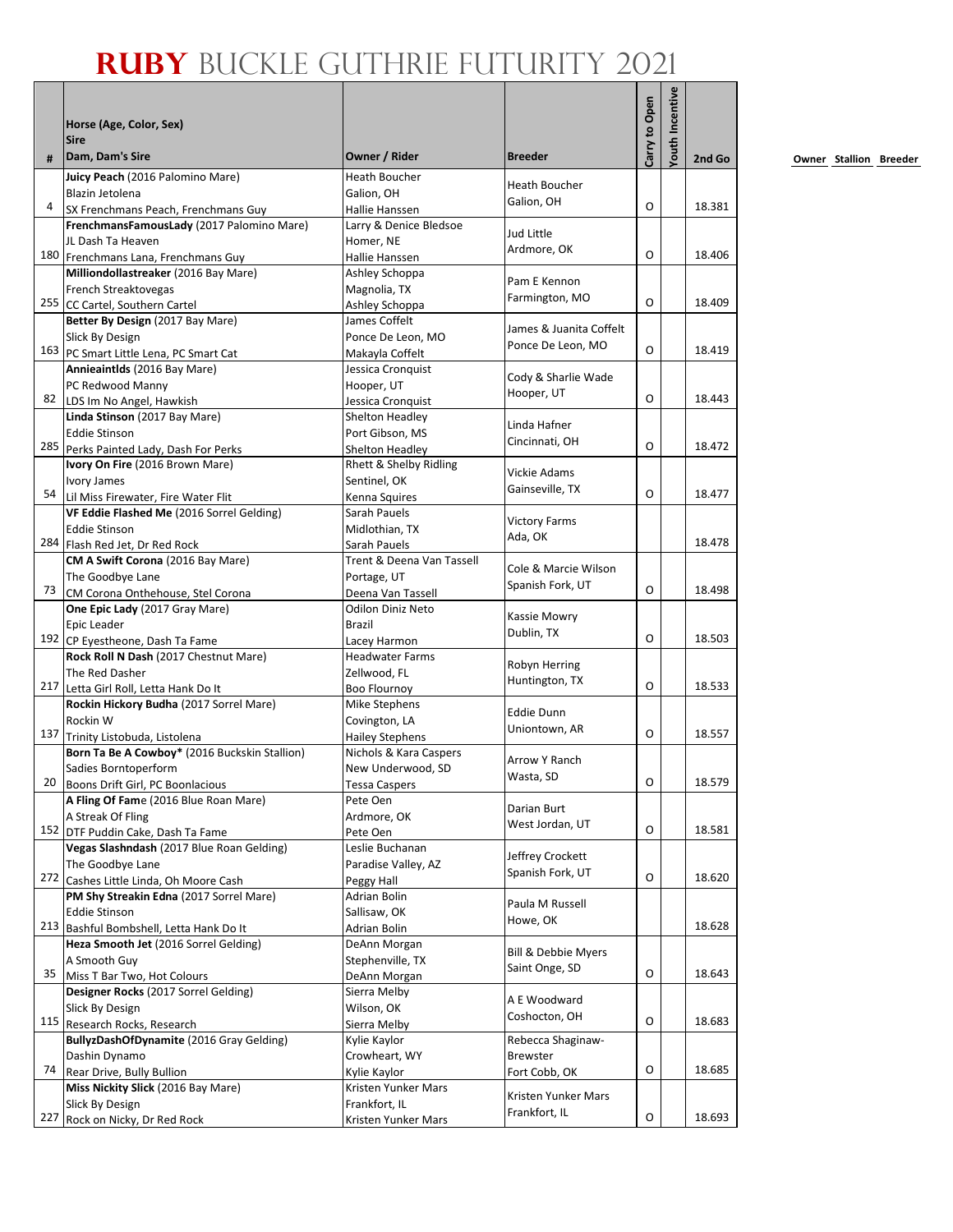|     | Horse (Age, Color, Sex)                                                          |                                               |                                      | Carry to Open | outh Incentive |        |
|-----|----------------------------------------------------------------------------------|-----------------------------------------------|--------------------------------------|---------------|----------------|--------|
| #   | <b>Sire</b><br>Dam, Dam's Sire                                                   | Owner / Rider                                 | <b>Breeder</b>                       |               |                | 2nd Go |
|     | Juicy Peach (2016 Palomino Mare)                                                 | Heath Boucher                                 | Heath Boucher                        |               |                |        |
| 4   | Blazin Jetolena                                                                  | Galion, OH                                    | Galion, OH                           | O             |                | 18.381 |
|     | SX Frenchmans Peach, Frenchmans Guy<br>FrenchmansFamousLady (2017 Palomino Mare) | Hallie Hanssen                                |                                      |               |                |        |
|     | JL Dash Ta Heaven                                                                | Larry & Denice Bledsoe<br>Homer, NE           | Jud Little                           |               |                |        |
|     | 180 Frenchmans Lana, Frenchmans Guy                                              | Hallie Hanssen                                | Ardmore, OK                          | O             |                | 18.406 |
|     | Milliondollastreaker (2016 Bay Mare)                                             | Ashley Schoppa                                |                                      |               |                |        |
|     | French Streaktovegas                                                             | Magnolia, TX                                  | Pam E Kennon                         |               |                |        |
|     | 255 CC Cartel, Southern Cartel                                                   | Ashley Schoppa                                | Farmington, MO                       | O             |                | 18.409 |
|     | Better By Design (2017 Bay Mare)                                                 | James Coffelt                                 | James & Juanita Coffelt              |               |                |        |
|     | Slick By Design                                                                  | Ponce De Leon, MO                             | Ponce De Leon, MO                    |               |                |        |
|     | 163 PC Smart Little Lena, PC Smart Cat                                           | Makayla Coffelt                               |                                      | O             |                | 18.419 |
|     | Annieaintids (2016 Bay Mare)                                                     | Jessica Cronquist                             | Cody & Sharlie Wade                  |               |                |        |
|     | PC Redwood Manny                                                                 | Hooper, UT                                    | Hooper, UT                           | O             |                | 18.443 |
|     | 82 LDS Im No Angel, Hawkish<br>Linda Stinson (2017 Bay Mare)                     | Jessica Cronquist<br>Shelton Headley          |                                      |               |                |        |
|     | Eddie Stinson                                                                    | Port Gibson, MS                               | Linda Hafner                         |               |                |        |
|     | 285 Perks Painted Lady, Dash For Perks                                           | Shelton Headley                               | Cincinnati, OH                       | O             |                | 18.472 |
|     | Ivory On Fire (2016 Brown Mare)                                                  | Rhett & Shelby Ridling                        |                                      |               |                |        |
|     | <b>Ivory James</b>                                                               | Sentinel. OK                                  | Vickie Adams                         |               |                |        |
|     | 54 Lil Miss Firewater, Fire Water Flit                                           | Kenna Squires                                 | Gainseville, TX                      | O             |                | 18.477 |
|     | VF Eddie Flashed Me (2016 Sorrel Gelding)                                        | Sarah Pauels                                  | <b>Victory Farms</b>                 |               |                |        |
|     | <b>Eddie Stinson</b>                                                             | Midlothian, TX                                | Ada, OK                              |               |                |        |
|     | 284 Flash Red Jet, Dr Red Rock                                                   | Sarah Pauels                                  |                                      |               |                | 18.478 |
|     | CM A Swift Corona (2016 Bay Mare)                                                | Trent & Deena Van Tassell                     | Cole & Marcie Wilson                 |               |                |        |
| 73  | The Goodbye Lane                                                                 | Portage, UT                                   | Spanish Fork, UT                     | O             |                | 18.498 |
|     | CM Corona Onthehouse, Stel Corona<br>One Epic Lady (2017 Gray Mare)              | Deena Van Tassell<br><b>Odilon Diniz Neto</b> |                                      |               |                |        |
|     | Epic Leader                                                                      | Brazil                                        | Kassie Mowry                         |               |                |        |
|     | 192 CP Eyestheone, Dash Ta Fame                                                  | Lacey Harmon                                  | Dublin, TX                           | O             |                | 18.503 |
|     | Rock Roll N Dash (2017 Chestnut Mare)                                            | <b>Headwater Farms</b>                        |                                      |               |                |        |
|     | The Red Dasher                                                                   | Zellwood, FL                                  | Robyn Herring                        |               |                |        |
|     | 217 Letta Girl Roll, Letta Hank Do It                                            | <b>Boo Flournoy</b>                           | Huntington, TX                       | O             |                | 18.533 |
|     | Rockin Hickory Budha (2017 Sorrel Mare)                                          | Mike Stephens                                 | <b>Eddie Dunn</b>                    |               |                |        |
|     | Rockin W                                                                         | Covington, LA                                 | Uniontown, AR                        |               |                |        |
|     | 137 Trinity Listobuda, Listolena                                                 | <b>Hailey Stephens</b>                        |                                      | O             |                | 18.557 |
|     | Born Ta Be A Cowboy* (2016 Buckskin Stallion)                                    | Nichols & Kara Caspers                        | Arrow Y Ranch                        |               |                |        |
| 20  | Sadies Borntoperform<br>Boons Drift Girl, PC Boonlacious                         | New Underwood, SD                             | Wasta, SD                            | О             |                | 18.579 |
|     | A Fling Of Fame (2016 Blue Roan Mare)                                            | Tessa Caspers<br>Pete Oen                     |                                      |               |                |        |
|     | A Streak Of Fling                                                                | Ardmore, OK                                   | Darian Burt                          |               |                |        |
|     | 152 DTF Puddin Cake, Dash Ta Fame                                                | Pete Oen                                      | West Jordan, UT                      | O             |                | 18.581 |
|     | Vegas Slashndash (2017 Blue Roan Gelding)                                        | Leslie Buchanan                               |                                      |               |                |        |
|     | The Goodbye Lane                                                                 | Paradise Valley, AZ                           | Jeffrey Crockett<br>Spanish Fork, UT |               |                |        |
|     | 272 Cashes Little Linda, Oh Moore Cash                                           | Peggy Hall                                    |                                      | O             |                | 18.620 |
|     | PM Shy Streakin Edna (2017 Sorrel Mare)                                          | Adrian Bolin                                  | Paula M Russell                      |               |                |        |
|     | <b>Eddie Stinson</b>                                                             | Sallisaw, OK                                  | Howe, OK                             |               |                |        |
|     | 213 Bashful Bombshell, Letta Hank Do It                                          | Adrian Bolin                                  |                                      |               |                | 18.628 |
|     | Heza Smooth Jet (2016 Sorrel Gelding)                                            | DeAnn Morgan                                  | Bill & Debbie Myers                  |               |                |        |
| 35  | A Smooth Guy<br>Miss T Bar Two, Hot Colours                                      | Stephenville, TX<br>DeAnn Morgan              | Saint Onge, SD                       | O             |                | 18.643 |
|     | Designer Rocks (2017 Sorrel Gelding)                                             | Sierra Melby                                  |                                      |               |                |        |
|     | Slick By Design                                                                  | Wilson, OK                                    | A E Woodward                         |               |                |        |
|     | 115 Research Rocks, Research                                                     | Sierra Melby                                  | Coshocton, OH                        | O             |                | 18.683 |
|     | BullyzDashOfDynamite (2016 Gray Gelding)                                         | Kylie Kaylor                                  | Rebecca Shaginaw-                    |               |                |        |
|     | Dashin Dynamo                                                                    | Crowheart, WY                                 | Brewster                             |               |                |        |
| 74  | Rear Drive, Bully Bullion                                                        | Kylie Kaylor                                  | Fort Cobb, OK                        | O             |                | 18.685 |
|     | Miss Nickity Slick (2016 Bay Mare)                                               | Kristen Yunker Mars                           | Kristen Yunker Mars                  |               |                |        |
|     | Slick By Design                                                                  | Frankfort, IL                                 | Frankfort, IL                        |               |                |        |
| 227 | Rock on Nicky, Dr Red Rock                                                       | Kristen Yunker Mars                           |                                      | O             |                | 18.693 |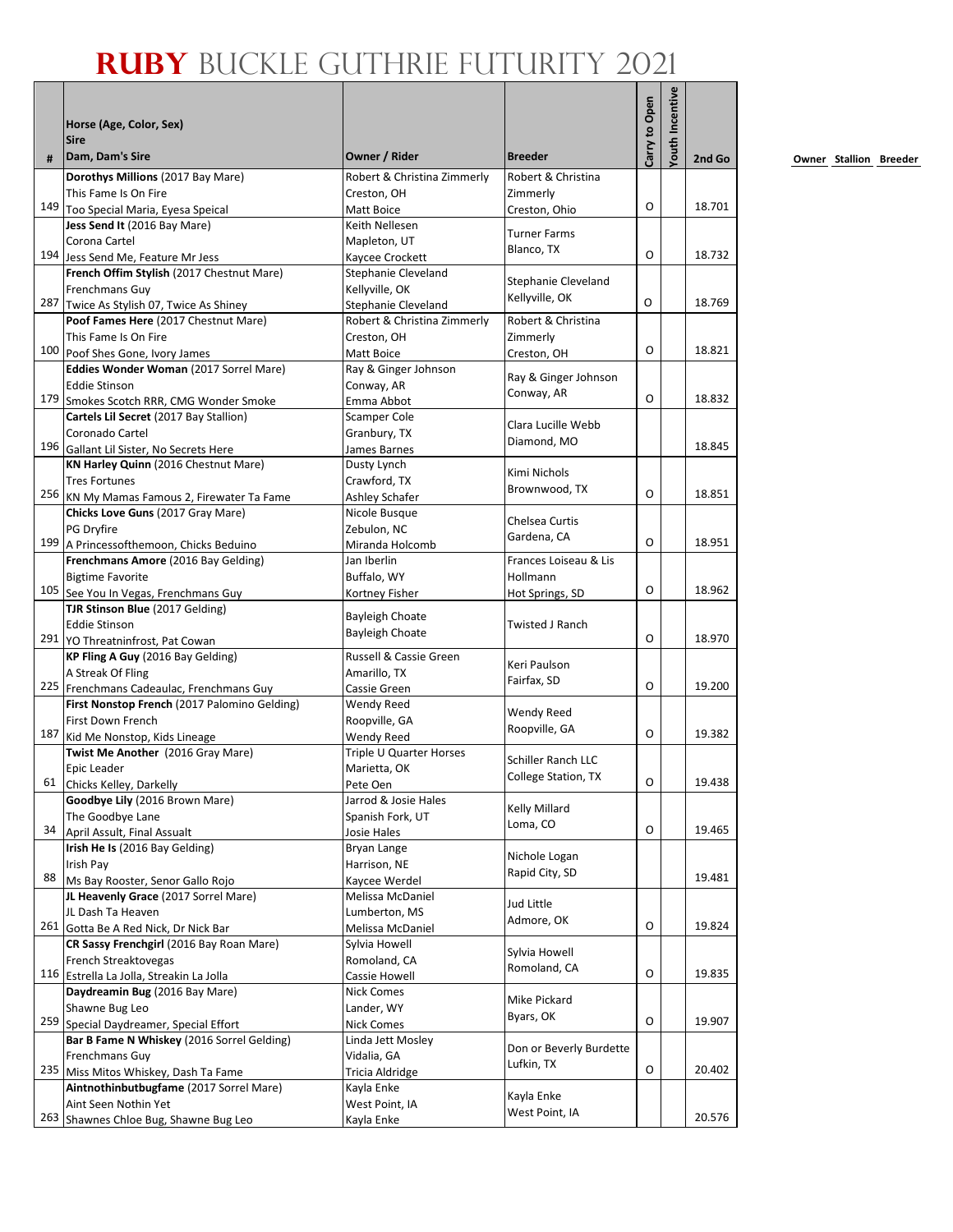|    |                                                                                      |                                                    |                                           |               | <b>/outh Incentive</b> |        |
|----|--------------------------------------------------------------------------------------|----------------------------------------------------|-------------------------------------------|---------------|------------------------|--------|
|    | Horse (Age, Color, Sex)                                                              |                                                    |                                           |               |                        |        |
| #  | <b>Sire</b><br>Dam, Dam's Sire                                                       | Owner / Rider                                      | <b>Breeder</b>                            | Carry to Open |                        | 2nd Go |
|    | Dorothys Millions (2017 Bay Mare)                                                    | Robert & Christina Zimmerly                        | Robert & Christina                        |               |                        |        |
|    | This Fame Is On Fire                                                                 | Creston. OH                                        | Zimmerly                                  |               |                        |        |
|    | 149 Too Special Maria, Eyesa Speical                                                 | Matt Boice                                         | Creston, Ohio                             | O             |                        | 18.701 |
|    | Jess Send It (2016 Bay Mare)                                                         | Keith Nellesen                                     |                                           |               |                        |        |
|    | Corona Cartel                                                                        | Mapleton, UT                                       | <b>Turner Farms</b><br>Blanco, TX         |               |                        |        |
|    | 194 Jess Send Me, Feature Mr Jess                                                    | Kaycee Crockett                                    |                                           | O             |                        | 18.732 |
|    | French Offim Stylish (2017 Chestnut Mare)                                            | Stephanie Cleveland                                | Stephanie Cleveland                       |               |                        |        |
|    | Frenchmans Guy                                                                       | Kellyville, OK                                     | Kellyville, OK                            | O             |                        | 18.769 |
|    | 287 Twice As Stylish 07, Twice As Shiney<br>Poof Fames Here (2017 Chestnut Mare)     | Stephanie Cleveland<br>Robert & Christina Zimmerly | Robert & Christina                        |               |                        |        |
|    | This Fame Is On Fire                                                                 | Creston, OH                                        | Zimmerly                                  |               |                        |        |
|    | 100 Poof Shes Gone, Ivory James                                                      | Matt Boice                                         | Creston, OH                               | O             |                        | 18.821 |
|    | Eddies Wonder Woman (2017 Sorrel Mare)                                               | Ray & Ginger Johnson                               |                                           |               |                        |        |
|    | <b>Eddie Stinson</b>                                                                 | Conway, AR                                         | Ray & Ginger Johnson                      |               |                        |        |
|    | 179 Smokes Scotch RRR, CMG Wonder Smoke                                              | Emma Abbot                                         | Conway, AR                                | $\Omega$      |                        | 18.832 |
|    | Cartels Lil Secret (2017 Bay Stallion)                                               | Scamper Cole                                       | Clara Lucille Webb                        |               |                        |        |
|    | Coronado Cartel                                                                      | Granbury, TX                                       | Diamond, MO                               |               |                        |        |
|    | 196 Gallant Lil Sister, No Secrets Here                                              | James Barnes                                       |                                           |               |                        | 18.845 |
|    | KN Harley Quinn (2016 Chestnut Mare)                                                 | Dusty Lynch                                        | Kimi Nichols                              |               |                        |        |
|    | <b>Tres Fortunes</b>                                                                 | Crawford, TX                                       | Brownwood, TX                             | O             |                        | 18.851 |
|    | 256 KN My Mamas Famous 2, Firewater Ta Fame<br>Chicks Love Guns (2017 Gray Mare)     | Ashley Schafer<br>Nicole Busque                    |                                           |               |                        |        |
|    | PG Dryfire                                                                           | Zebulon. NC                                        | Chelsea Curtis                            |               |                        |        |
|    | 199 A Princessofthemoon, Chicks Beduino                                              | Miranda Holcomb                                    | Gardena, CA                               | O             |                        | 18.951 |
|    | Frenchmans Amore (2016 Bay Gelding)                                                  | Jan Iberlin                                        | Frances Loiseau & Lis                     |               |                        |        |
|    | <b>Bigtime Favorite</b>                                                              | Buffalo, WY                                        | Hollmann                                  |               |                        |        |
|    | 105 See You In Vegas, Frenchmans Guy                                                 | Kortney Fisher                                     | Hot Springs, SD                           | O             |                        | 18.962 |
|    | TJR Stinson Blue (2017 Gelding)                                                      | <b>Bayleigh Choate</b>                             |                                           |               |                        |        |
|    | <b>Eddie Stinson</b>                                                                 | Bayleigh Choate                                    | <b>Twisted J Ranch</b>                    |               |                        |        |
|    | 291 YO Threatninfrost, Pat Cowan                                                     |                                                    |                                           | O             |                        | 18.970 |
|    | KP Fling A Guy (2016 Bay Gelding)<br>A Streak Of Fling                               | Russell & Cassie Green                             | Keri Paulson                              |               |                        |        |
|    | 225 Frenchmans Cadeaulac, Frenchmans Guy                                             | Amarillo, TX<br>Cassie Green                       | Fairfax, SD                               | O             |                        | 19.200 |
|    | First Nonstop French (2017 Palomino Gelding)                                         | Wendy Reed                                         |                                           |               |                        |        |
|    | First Down French                                                                    | Roopville, GA                                      | Wendy Reed                                |               |                        |        |
|    | 187 Kid Me Nonstop, Kids Lineage                                                     | Wendy Reed                                         | Roopville, GA                             | O             |                        | 19.382 |
|    | Twist Me Another (2016 Gray Mare)                                                    | Triple U Quarter Horses                            |                                           |               |                        |        |
|    | Epic Leader                                                                          | Marietta, OK                                       | Schiller Ranch LLC<br>College Station, TX |               |                        |        |
|    | 61 Chicks Kelley, Darkelly                                                           | Pete Oen                                           |                                           | O             |                        | 19.438 |
|    | Goodbye Lily (2016 Brown Mare)                                                       | Jarrod & Josie Hales                               | Kelly Millard                             |               |                        |        |
| 34 | The Goodbye Lane                                                                     | Spanish Fork, UT                                   | Loma, CO                                  | О             |                        | 19.465 |
|    | April Assult, Final Assualt<br>Irish He Is (2016 Bay Gelding)                        | Josie Hales                                        |                                           |               |                        |        |
|    | Irish Pay                                                                            | Bryan Lange<br>Harrison, NE                        | Nichole Logan                             |               |                        |        |
| 88 | Ms Bay Rooster, Senor Gallo Rojo                                                     | Kaycee Werdel                                      | Rapid City, SD                            |               |                        | 19.481 |
|    | JL Heavenly Grace (2017 Sorrel Mare)                                                 | Melissa McDaniel                                   |                                           |               |                        |        |
|    | JL Dash Ta Heaven                                                                    | Lumberton, MS                                      | Jud Little                                |               |                        |        |
|    | 261 Gotta Be A Red Nick, Dr Nick Bar                                                 | Melissa McDaniel                                   | Admore, OK                                | O             |                        | 19.824 |
|    | CR Sassy Frenchgirl (2016 Bay Roan Mare)                                             | Sylvia Howell                                      | Sylvia Howell                             |               |                        |        |
|    | French Streaktovegas                                                                 | Romoland, CA                                       | Romoland, CA                              |               |                        |        |
|    | 116 Estrella La Jolla, Streakin La Jolla                                             | Cassie Howell                                      |                                           | O             |                        | 19.835 |
|    | Daydreamin Bug (2016 Bay Mare)                                                       | Nick Comes                                         | Mike Pickard                              |               |                        |        |
|    | Shawne Bug Leo                                                                       | Lander, WY                                         | Byars, OK                                 | O             |                        | 19.907 |
|    | 259 Special Daydreamer, Special Effort<br>Bar B Fame N Whiskey (2016 Sorrel Gelding) | Nick Comes                                         |                                           |               |                        |        |
|    | Frenchmans Guy                                                                       | Linda Jett Mosley<br>Vidalia, GA                   | Don or Beverly Burdette                   |               |                        |        |
|    | 235 Miss Mitos Whiskey, Dash Ta Fame                                                 | Tricia Aldridge                                    | Lufkin, TX                                | O             |                        | 20.402 |
|    | Aintnothinbutbugfame (2017 Sorrel Mare)                                              | Kayla Enke                                         |                                           |               |                        |        |
|    | Aint Seen Nothin Yet                                                                 | West Point, IA                                     | Kayla Enke                                |               |                        |        |
|    | 263 Shawnes Chloe Bug, Shawne Bug Leo                                                | Kayla Enke                                         | West Point, IA                            |               |                        | 20.576 |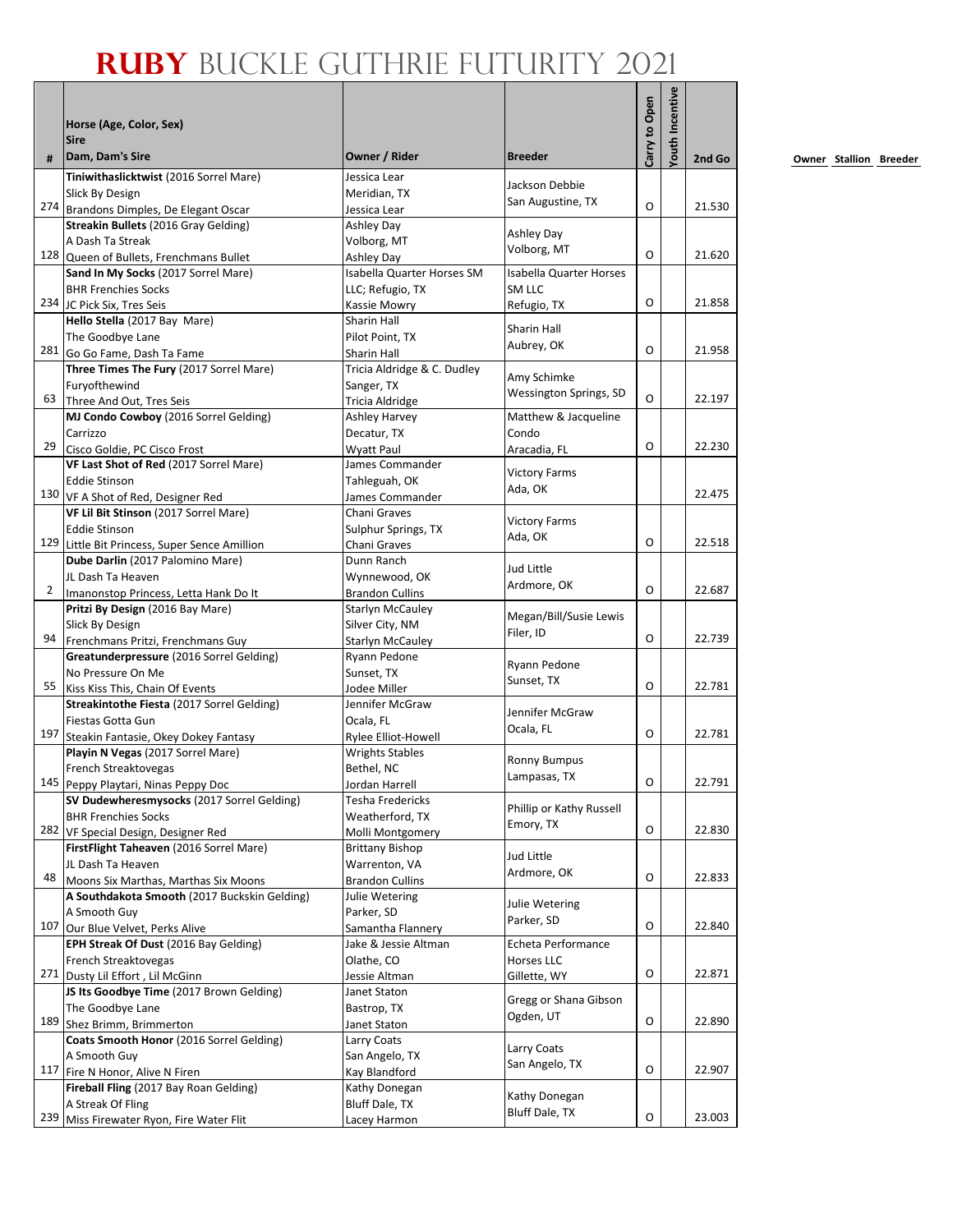| #              | Horse (Age, Color, Sex)<br><b>Sire</b><br>Dam, Dam's Sire                     | Owner / Rider                              | <b>Breeder</b>                 | Carry to Open | <b>/outh Incentive</b> | 2nd Go |
|----------------|-------------------------------------------------------------------------------|--------------------------------------------|--------------------------------|---------------|------------------------|--------|
|                | Tiniwithaslicktwist (2016 Sorrel Mare)                                        |                                            |                                |               |                        |        |
|                | Slick By Design                                                               | Jessica Lear<br>Meridian, TX               | Jackson Debbie                 |               |                        |        |
|                | 274 Brandons Dimples, De Elegant Oscar                                        | Jessica Lear                               | San Augustine, TX              | O             |                        | 21.530 |
|                | Streakin Bullets (2016 Gray Gelding)                                          | Ashley Day                                 |                                |               |                        |        |
|                | A Dash Ta Streak                                                              | Volborg, MT                                | <b>Ashley Day</b>              |               |                        |        |
|                | 128 Queen of Bullets, Frenchmans Bullet                                       | <b>Ashley Day</b>                          | Volborg, MT                    | O             |                        | 21.620 |
|                | Sand In My Socks (2017 Sorrel Mare)                                           | Isabella Quarter Horses SM                 | <b>Isabella Quarter Horses</b> |               |                        |        |
|                | <b>BHR Frenchies Socks</b>                                                    | LLC; Refugio, TX                           | SM LLC                         |               |                        |        |
|                | 234 JC Pick Six, Tres Seis                                                    | <b>Kassie Mowry</b>                        | Refugio, TX                    | O             |                        | 21.858 |
|                | Hello Stella (2017 Bay Mare)                                                  | <b>Sharin Hall</b>                         | Sharin Hall                    |               |                        |        |
|                | The Goodbye Lane                                                              | Pilot Point, TX                            | Aubrey, OK                     | O             |                        |        |
|                | 281 Go Go Fame, Dash Ta Fame                                                  | Sharin Hall                                |                                |               |                        | 21.958 |
|                | Three Times The Fury (2017 Sorrel Mare)                                       | Tricia Aldridge & C. Dudley                | Amy Schimke                    |               |                        |        |
| 63             | Furyofthewind<br>Three And Out, Tres Seis                                     | Sanger, TX<br><b>Tricia Aldridge</b>       | Wessington Springs, SD         | O             |                        | 22.197 |
|                | MJ Condo Cowboy (2016 Sorrel Gelding)                                         | <b>Ashley Harvey</b>                       | Matthew & Jacqueline           |               |                        |        |
|                | Carrizzo                                                                      | Decatur, TX                                | Condo                          |               |                        |        |
| 29             | Cisco Goldie, PC Cisco Frost                                                  | <b>Wyatt Paul</b>                          | Aracadia, FL                   | O             |                        | 22.230 |
|                | VF Last Shot of Red (2017 Sorrel Mare)                                        | James Commander                            |                                |               |                        |        |
|                | <b>Eddie Stinson</b>                                                          | Tahleguah, OK                              | <b>Victory Farms</b>           |               |                        |        |
|                | 130 VF A Shot of Red, Designer Red                                            | James Commander                            | Ada, OK                        |               |                        | 22.475 |
|                | VF Lil Bit Stinson (2017 Sorrel Mare)                                         | Chani Graves                               |                                |               |                        |        |
|                | <b>Eddie Stinson</b>                                                          | Sulphur Springs, TX                        | <b>Victory Farms</b>           |               |                        |        |
|                | 129 Little Bit Princess, Super Sence Amillion                                 | Chani Graves                               | Ada, OK                        | O             |                        | 22.518 |
|                | Dube Darlin (2017 Palomino Mare)                                              | Dunn Ranch                                 | Jud Little                     |               |                        |        |
|                | JL Dash Ta Heaven                                                             | Wynnewood, OK                              | Ardmore, OK                    |               |                        |        |
| $\overline{2}$ | Imanonstop Princess, Letta Hank Do It                                         | <b>Brandon Cullins</b>                     |                                | O             |                        | 22.687 |
|                | Pritzi By Design (2016 Bay Mare)                                              | <b>Starlyn McCauley</b>                    | Megan/Bill/Susie Lewis         |               |                        |        |
| 94             | Slick By Design                                                               | Silver City, NM                            | Filer, ID                      | $\Omega$      |                        | 22.739 |
|                | Frenchmans Pritzi, Frenchmans Guy<br>Greatunderpressure (2016 Sorrel Gelding) | <b>Starlyn McCauley</b><br>Ryann Pedone    |                                |               |                        |        |
|                | No Pressure On Me                                                             | Sunset, TX                                 | Ryann Pedone                   |               |                        |        |
| 55             | Kiss Kiss This, Chain Of Events                                               | Jodee Miller                               | Sunset, TX                     | O             |                        | 22.781 |
|                | Streakintothe Fiesta (2017 Sorrel Gelding)                                    | Jennifer McGraw                            |                                |               |                        |        |
|                | Fiestas Gotta Gun                                                             | Ocala, FL                                  | Jennifer McGraw                |               |                        |        |
| 197            | Steakin Fantasie, Okey Dokey Fantasy                                          | Rylee Elliot-Howell                        | Ocala, FL                      | $\Omega$      |                        | 22.781 |
|                | Playin N Vegas (2017 Sorrel Mare)                                             | <b>Wrights Stables</b>                     | <b>Ronny Bumpus</b>            |               |                        |        |
|                | French Streaktovegas                                                          | Bethel, NC                                 | Lampasas, TX                   |               |                        |        |
|                | 145 Peppy Playtari, Ninas Peppy Doc                                           | Jordan Harrell                             |                                | O             |                        | 22.791 |
|                | SV Dudewheresmysocks (2017 Sorrel Gelding)                                    | Tesha Fredericks                           | Phillip or Kathy Russell       |               |                        |        |
|                | <b>BHR Frenchies Socks</b><br>282 VF Special Design, Designer Red             | Weatherford, TX                            | Emory, TX                      | $\mathsf O$   |                        | 22.830 |
|                | FirstFlight Taheaven (2016 Sorrel Mare)                                       | Molli Montgomery<br><b>Brittany Bishop</b> |                                |               |                        |        |
|                | JL Dash Ta Heaven                                                             | Warrenton, VA                              | Jud Little                     |               |                        |        |
| 48             | Moons Six Marthas, Marthas Six Moons                                          | <b>Brandon Cullins</b>                     | Ardmore, OK                    | O             |                        | 22.833 |
|                | A Southdakota Smooth (2017 Buckskin Gelding)                                  | Julie Wetering                             |                                |               |                        |        |
|                | A Smooth Guy                                                                  | Parker, SD                                 | Julie Wetering                 |               |                        |        |
| 107            | Our Blue Velvet, Perks Alive                                                  | Samantha Flannery                          | Parker, SD                     | O             |                        | 22.840 |
|                | EPH Streak Of Dust (2016 Bay Gelding)                                         | Jake & Jessie Altman                       | Echeta Performance             |               |                        |        |
|                | French Streaktovegas                                                          | Olathe, CO                                 | Horses LLC                     |               |                        |        |
|                | 271 Dusty Lil Effort, Lil McGinn                                              | Jessie Altman                              | Gillette, WY                   | O             |                        | 22.871 |
|                | JS Its Goodbye Time (2017 Brown Gelding)                                      | Janet Staton                               | Gregg or Shana Gibson          |               |                        |        |
|                | The Goodbye Lane                                                              | Bastrop, TX                                | Ogden, UT                      | O             |                        | 22.890 |
|                | 189 Shez Brimm, Brimmerton                                                    | Janet Staton                               |                                |               |                        |        |
|                | Coats Smooth Honor (2016 Sorrel Gelding)                                      | Larry Coats                                | Larry Coats                    |               |                        |        |
|                | A Smooth Guy<br>117 Fire N Honor, Alive N Firen                               | San Angelo, TX<br>Kay Blandford            | San Angelo, TX                 | O             |                        | 22.907 |
|                | Fireball Fling (2017 Bay Roan Gelding)                                        | Kathy Donegan                              |                                |               |                        |        |
|                | A Streak Of Fling                                                             | Bluff Dale, TX                             | Kathy Donegan                  |               |                        |        |
| 239            | Miss Firewater Ryon, Fire Water Flit                                          | Lacey Harmon                               | Bluff Dale, TX                 | O             |                        | 23.003 |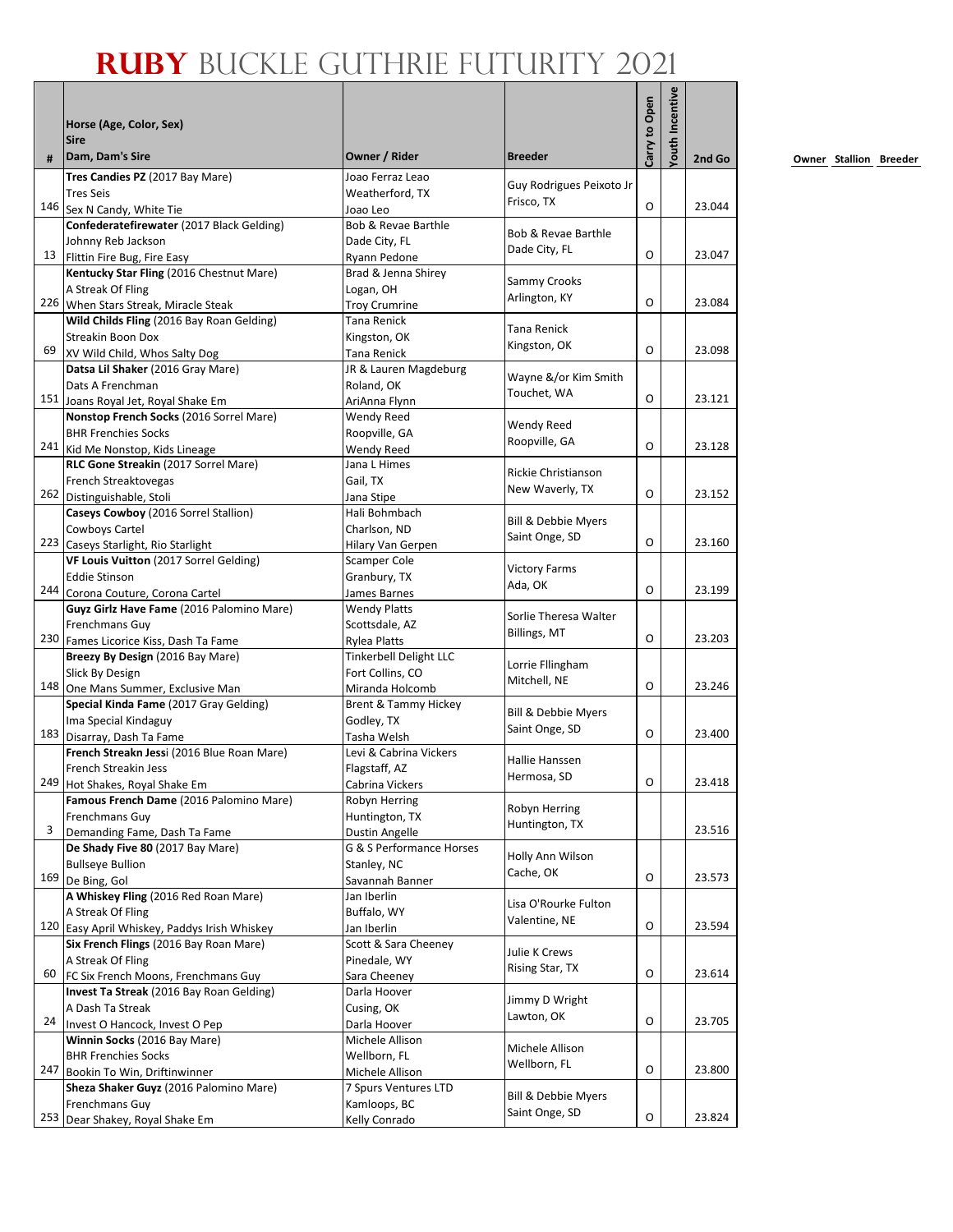| #   | Horse (Age, Color, Sex)<br><b>Sire</b><br>Dam, Dam's Sire              | Owner / Rider                              | <b>Breeder</b>           | Carry to Open | <b>/outh Incentive</b> | 2nd Go |
|-----|------------------------------------------------------------------------|--------------------------------------------|--------------------------|---------------|------------------------|--------|
|     | Tres Candies PZ (2017 Bay Mare)                                        | Joao Ferraz Leao                           |                          |               |                        |        |
|     | <b>Tres Seis</b>                                                       | Weatherford, TX                            | Guy Rodrigues Peixoto Jr |               |                        |        |
|     | 146 Sex N Candy, White Tie                                             | Joao Leo                                   | Frisco, TX               | O             |                        | 23.044 |
|     | Confederatefirewater (2017 Black Gelding)                              | Bob & Revae Barthle                        |                          |               |                        |        |
|     | Johnny Reb Jackson                                                     | Dade City, FL                              | Bob & Revae Barthle      |               |                        |        |
| 13  | Flittin Fire Bug, Fire Easy                                            | Ryann Pedone                               | Dade City, FL            | O             |                        | 23.047 |
|     | Kentucky Star Fling (2016 Chestnut Mare)                               | Brad & Jenna Shirey                        |                          |               |                        |        |
|     | A Streak Of Fling                                                      | Logan, OH                                  | Sammy Crooks             |               |                        |        |
|     | 226 When Stars Streak, Miracle Steak                                   | <b>Troy Crumrine</b>                       | Arlington, KY            | O             |                        | 23.084 |
|     | Wild Childs Fling (2016 Bay Roan Gelding)                              | Tana Renick                                |                          |               |                        |        |
|     | Streakin Boon Dox                                                      | Kingston, OK                               | Tana Renick              |               |                        |        |
| 69  | XV Wild Child, Whos Salty Dog                                          | Tana Renick                                | Kingston, OK             | O             |                        | 23.098 |
|     | Datsa Lil Shaker (2016 Gray Mare)                                      | JR & Lauren Magdeburg                      |                          |               |                        |        |
|     | Dats A Frenchman                                                       | Roland, OK                                 | Wayne &/or Kim Smith     |               |                        |        |
|     | 151 Joans Royal Jet, Royal Shake Em                                    | AriAnna Flynn                              | Touchet, WA              | O             |                        | 23.121 |
|     | Nonstop French Socks (2016 Sorrel Mare)                                | Wendy Reed                                 | Wendy Reed               |               |                        |        |
|     | <b>BHR Frenchies Socks</b>                                             | Roopville, GA                              | Roopville, GA            |               |                        |        |
|     | 241 Kid Me Nonstop, Kids Lineage                                       | Wendy Reed                                 |                          | O             |                        | 23.128 |
|     | RLC Gone Streakin (2017 Sorrel Mare)                                   | Jana L Himes                               | Rickie Christianson      |               |                        |        |
|     | French Streaktovegas                                                   | Gail, TX                                   | New Waverly, TX          |               |                        |        |
|     | 262 Distinguishable, Stoli                                             | Jana Stipe                                 |                          | O             |                        | 23.152 |
|     | Caseys Cowboy (2016 Sorrel Stallion)                                   | Hali Bohmbach                              | Bill & Debbie Myers      |               |                        |        |
|     | Cowboys Cartel                                                         | Charlson, ND                               | Saint Onge, SD           |               |                        |        |
|     | 223 Caseys Starlight, Rio Starlight                                    | Hilary Van Gerpen                          |                          | O             |                        | 23.160 |
|     | VF Louis Vuitton (2017 Sorrel Gelding)                                 | <b>Scamper Cole</b>                        | <b>Victory Farms</b>     |               |                        |        |
|     | <b>Eddie Stinson</b>                                                   | Granbury, TX                               | Ada, OK                  |               |                        |        |
|     | 244 Corona Couture, Corona Cartel                                      | James Barnes                               |                          | O             |                        | 23.199 |
|     | Guyz Girlz Have Fame (2016 Palomino Mare)                              | <b>Wendy Platts</b>                        | Sorlie Theresa Walter    |               |                        |        |
|     | Frenchmans Guy                                                         | Scottsdale, AZ                             | Billings, MT             | O             |                        | 23.203 |
|     | 230 Fames Licorice Kiss, Dash Ta Fame                                  | <b>Rylea Platts</b>                        |                          |               |                        |        |
|     | Breezy By Design (2016 Bay Mare)<br>Slick By Design                    | Tinkerbell Delight LLC<br>Fort Collins, CO | Lorrie Fllingham         |               |                        |        |
|     | 148 One Mans Summer, Exclusive Man                                     | Miranda Holcomb                            | Mitchell, NE             | O             |                        | 23.246 |
|     | Special Kinda Fame (2017 Gray Gelding)                                 | Brent & Tammy Hickey                       |                          |               |                        |        |
|     | Ima Special Kindaguy                                                   | Godley, TX                                 | Bill & Debbie Myers      |               |                        |        |
|     | 183 Disarray, Dash Ta Fame                                             | Tasha Welsh                                | Saint Onge, SD           | O             |                        | 23.400 |
|     | French Streakn Jessi (2016 Blue Roan Mare)                             | Levi & Cabrina Vickers                     |                          |               |                        |        |
|     | French Streakin Jess                                                   | Flagstaff, AZ                              | Hallie Hanssen           |               |                        |        |
|     | 249 Hot Shakes, Royal Shake Em                                         | Cabrina Vickers                            | Hermosa, SD              | О             |                        | 23.418 |
|     | Famous French Dame (2016 Palomino Mare)                                | Robyn Herring                              |                          |               |                        |        |
|     | Frenchmans Guy                                                         | Huntington, TX                             | Robyn Herring            |               |                        |        |
| 3   | Demanding Fame, Dash Ta Fame                                           | <b>Dustin Angelle</b>                      | Huntington, TX           |               |                        | 23.516 |
|     | De Shady Five 80 (2017 Bay Mare)                                       | G & S Performance Horses                   | Holly Ann Wilson         |               |                        |        |
|     | <b>Bullseye Bullion</b>                                                | Stanley, NC                                | Cache, OK                |               |                        |        |
|     | 169 De Bing, Gol                                                       | Savannah Banner                            |                          | O             |                        | 23.573 |
|     | A Whiskey Fling (2016 Red Roan Mare)                                   | Jan Iberlin                                | Lisa O'Rourke Fulton     |               |                        |        |
|     | A Streak Of Fling                                                      | Buffalo, WY                                | Valentine, NE            |               |                        |        |
|     | 120 Easy April Whiskey, Paddys Irish Whiskey                           | Jan Iberlin                                |                          | O             |                        | 23.594 |
|     | Six French Flings (2016 Bay Roan Mare)                                 | Scott & Sara Cheeney                       | Julie K Crews            |               |                        |        |
|     | A Streak Of Fling                                                      | Pinedale, WY                               | Rising Star, TX          |               |                        |        |
| 60  | FC Six French Moons, Frenchmans Guy                                    | Sara Cheeney                               |                          | O             |                        | 23.614 |
|     | Invest Ta Streak (2016 Bay Roan Gelding)                               | Darla Hoover                               | Jimmy D Wright           |               |                        |        |
| 24  | A Dash Ta Streak                                                       | Cusing, OK                                 | Lawton, OK               | O             |                        | 23.705 |
|     | Invest O Hancock, Invest O Pep                                         | Darla Hoover                               |                          |               |                        |        |
|     | Winnin Socks (2016 Bay Mare)                                           | Michele Allison                            | Michele Allison          |               |                        |        |
| 247 | <b>BHR Frenchies Socks</b>                                             | Wellborn, FL                               | Wellborn, FL             | O             |                        | 23.800 |
|     | Bookin To Win, Driftinwinner<br>Sheza Shaker Guyz (2016 Palomino Mare) | Michele Allison<br>7 Spurs Ventures LTD    |                          |               |                        |        |
|     | Frenchmans Guy                                                         | Kamloops, BC                               | Bill & Debbie Myers      |               |                        |        |
|     | 253 Dear Shakey, Royal Shake Em                                        | Kelly Conrado                              | Saint Onge, SD           | O             |                        | 23.824 |
|     |                                                                        |                                            |                          |               |                        |        |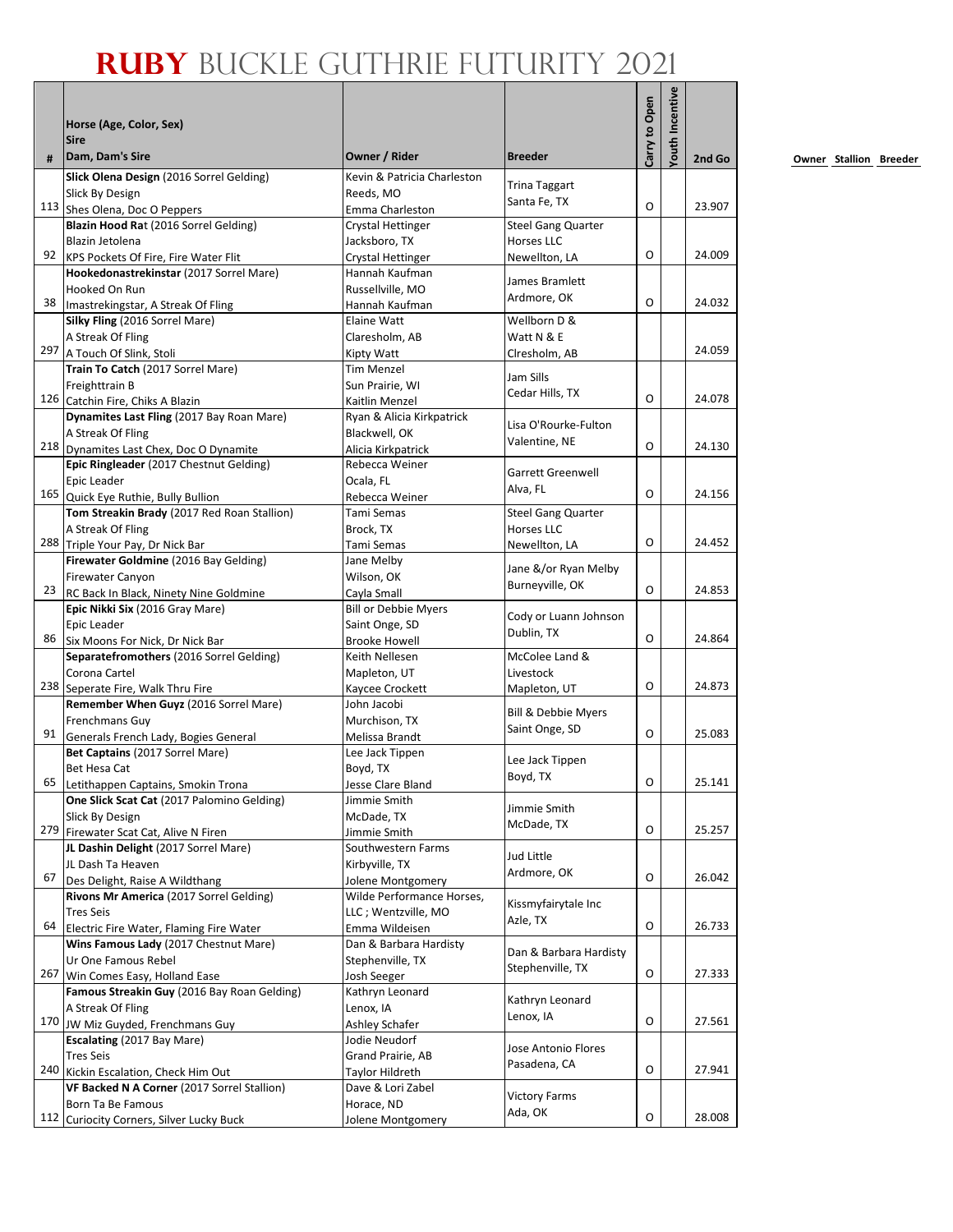|     | Horse (Age, Color, Sex)<br><b>Sire</b>                                           |                                     |                                                | Carry to Open | <b>/outh Incentive</b> |        |
|-----|----------------------------------------------------------------------------------|-------------------------------------|------------------------------------------------|---------------|------------------------|--------|
| #   | Dam, Dam's Sire                                                                  | Owner / Rider                       | <b>Breeder</b>                                 |               |                        | 2nd Go |
|     | Slick Olena Design (2016 Sorrel Gelding)                                         | Kevin & Patricia Charleston         |                                                |               |                        |        |
|     | Slick By Design                                                                  | Reeds, MO                           | <b>Trina Taggart</b><br>Santa Fe, TX           |               |                        |        |
|     | 113 Shes Olena, Doc O Peppers                                                    | Emma Charleston                     |                                                | O             |                        | 23.907 |
|     | Blazin Hood Rat (2016 Sorrel Gelding)                                            | Crystal Hettinger                   | <b>Steel Gang Quarter</b>                      |               |                        |        |
| 92  | Blazin Jetolena                                                                  | Jacksboro, TX                       | Horses LLC                                     | O             |                        | 24.009 |
|     | KPS Pockets Of Fire, Fire Water Flit<br>Hookedonastrekinstar (2017 Sorrel Mare)  | Crystal Hettinger<br>Hannah Kaufman | Newellton, LA                                  |               |                        |        |
|     | Hooked On Run                                                                    | Russellville, MO                    | James Bramlett                                 |               |                        |        |
| 38  | Imastrekingstar, A Streak Of Fling                                               | Hannah Kaufman                      | Ardmore, OK                                    | $\circ$       |                        | 24.032 |
|     | Silky Fling (2016 Sorrel Mare)                                                   | Elaine Watt                         | Wellborn D &                                   |               |                        |        |
|     | A Streak Of Fling                                                                | Claresholm, AB                      | Watt N & E                                     |               |                        |        |
|     | 297 A Touch Of Slink, Stoli                                                      | Kipty Watt                          | Clresholm, AB                                  |               |                        | 24.059 |
|     | Train To Catch (2017 Sorrel Mare)                                                | <b>Tim Menzel</b>                   | Jam Sills                                      |               |                        |        |
|     | Freighttrain B                                                                   | Sun Prairie, WI                     | Cedar Hills, TX                                |               |                        |        |
|     | 126 Catchin Fire, Chiks A Blazin                                                 | Kaitlin Menzel                      |                                                | $\Omega$      |                        | 24.078 |
|     | Dynamites Last Fling (2017 Bay Roan Mare)                                        | Ryan & Alicia Kirkpatrick           | Lisa O'Rourke-Fulton                           |               |                        |        |
|     | A Streak Of Fling                                                                | Blackwell, OK                       | Valentine, NE                                  |               |                        |        |
|     | 218 Dynamites Last Chex, Doc O Dynamite                                          | Alicia Kirkpatrick                  |                                                | O             |                        | 24.130 |
|     | Epic Ringleader (2017 Chestnut Gelding)                                          | Rebecca Weiner                      | <b>Garrett Greenwell</b>                       |               |                        |        |
|     | Epic Leader                                                                      | Ocala, FL                           | Alva, FL                                       | O             |                        | 24.156 |
|     | 165 Quick Eye Ruthie, Bully Bullion                                              | Rebecca Weiner<br>Tami Semas        |                                                |               |                        |        |
|     | Tom Streakin Brady (2017 Red Roan Stallion)<br>A Streak Of Fling                 | Brock, TX                           | <b>Steel Gang Quarter</b><br><b>Horses LLC</b> |               |                        |        |
|     | 288 Triple Your Pay, Dr Nick Bar                                                 | Tami Semas                          | Newellton, LA                                  | O             |                        | 24.452 |
|     | Firewater Goldmine (2016 Bay Gelding)                                            | Jane Melby                          |                                                |               |                        |        |
|     | Firewater Canyon                                                                 | Wilson, OK                          | Jane &/or Ryan Melby                           |               |                        |        |
| 23  | RC Back In Black, Ninety Nine Goldmine                                           | Cayla Small                         | Burneyville, OK                                | O             |                        | 24.853 |
|     | Epic Nikki Six (2016 Gray Mare)                                                  | <b>Bill or Debbie Myers</b>         |                                                |               |                        |        |
|     | Epic Leader                                                                      | Saint Onge, SD                      | Cody or Luann Johnson                          |               |                        |        |
| 86  | Six Moons For Nick, Dr Nick Bar                                                  | <b>Brooke Howell</b>                | Dublin, TX                                     | O             |                        | 24.864 |
|     | Separatefromothers (2016 Sorrel Gelding)                                         | Keith Nellesen                      | McColee Land &                                 |               |                        |        |
|     | Corona Cartel                                                                    | Mapleton, UT                        | Livestock                                      |               |                        |        |
|     | 238 Seperate Fire, Walk Thru Fire                                                | Kaycee Crockett                     | Mapleton, UT                                   | O             |                        | 24.873 |
|     | Remember When Guyz (2016 Sorrel Mare)                                            | John Jacobi                         | Bill & Debbie Myers                            |               |                        |        |
|     | Frenchmans Guy                                                                   | Murchison, TX                       | Saint Onge, SD                                 | $\circ$       |                        | 25.083 |
| 91  | Generals French Lady, Bogies General                                             | Melissa Brandt                      |                                                |               |                        |        |
|     | Bet Captains (2017 Sorrel Mare)                                                  | Lee Jack Tippen                     | Lee Jack Tippen                                |               |                        |        |
| 65  | Bet Hesa Cat                                                                     | Boyd, TX                            | Boyd, TX                                       | 0             |                        | 25.141 |
|     | Letithappen Captains, Smokin Trona<br>One Slick Scat Cat (2017 Palomino Gelding) | Jesse Clare Bland<br>Jimmie Smith   |                                                |               |                        |        |
|     | Slick By Design                                                                  | McDade, TX                          | Jimmie Smith                                   |               |                        |        |
|     | 279 Firewater Scat Cat, Alive N Firen                                            | Jimmie Smith                        | McDade, TX                                     | O             |                        | 25.257 |
|     | JL Dashin Delight (2017 Sorrel Mare)                                             | Southwestern Farms                  |                                                |               |                        |        |
|     | JL Dash Ta Heaven                                                                | Kirbyville, TX                      | Jud Little                                     |               |                        |        |
| 67  | Des Delight, Raise A Wildthang                                                   | Jolene Montgomery                   | Ardmore, OK                                    | O             |                        | 26.042 |
|     | Rivons Mr America (2017 Sorrel Gelding)                                          | Wilde Performance Horses,           | Kissmyfairytale Inc                            |               |                        |        |
|     | <b>Tres Seis</b>                                                                 | LLC; Wentzville, MO                 | Azle, TX                                       |               |                        |        |
| 64  | Electric Fire Water, Flaming Fire Water                                          | Emma Wildeisen                      |                                                | O             |                        | 26.733 |
|     | Wins Famous Lady (2017 Chestnut Mare)                                            | Dan & Barbara Hardisty              | Dan & Barbara Hardisty                         |               |                        |        |
|     | Ur One Famous Rebel                                                              | Stephenville, TX                    | Stephenville, TX                               | O             |                        |        |
| 267 | Win Comes Easy, Holland Ease                                                     | Josh Seeger                         |                                                |               |                        | 27.333 |
|     | Famous Streakin Guy (2016 Bay Roan Gelding)                                      | Kathryn Leonard                     | Kathryn Leonard                                |               |                        |        |
|     | A Streak Of Fling<br>170 JW Miz Guyded, Frenchmans Guy                           | Lenox, IA<br>Ashley Schafer         | Lenox, IA                                      | O             |                        | 27.561 |
|     | Escalating (2017 Bay Mare)                                                       | Jodie Neudorf                       |                                                |               |                        |        |
|     | <b>Tres Seis</b>                                                                 | Grand Prairie, AB                   | Jose Antonio Flores                            |               |                        |        |
| 240 | Kickin Escalation, Check Him Out                                                 | Taylor Hildreth                     | Pasadena, CA                                   | O             |                        | 27.941 |
|     | VF Backed N A Corner (2017 Sorrel Stallion)                                      | Dave & Lori Zabel                   |                                                |               |                        |        |
|     | Born Ta Be Famous                                                                | Horace, ND                          | <b>Victory Farms</b>                           |               |                        |        |
| 112 | Curiocity Corners, Silver Lucky Buck                                             | Jolene Montgomery                   | Ada, OK                                        | O             |                        | 28.008 |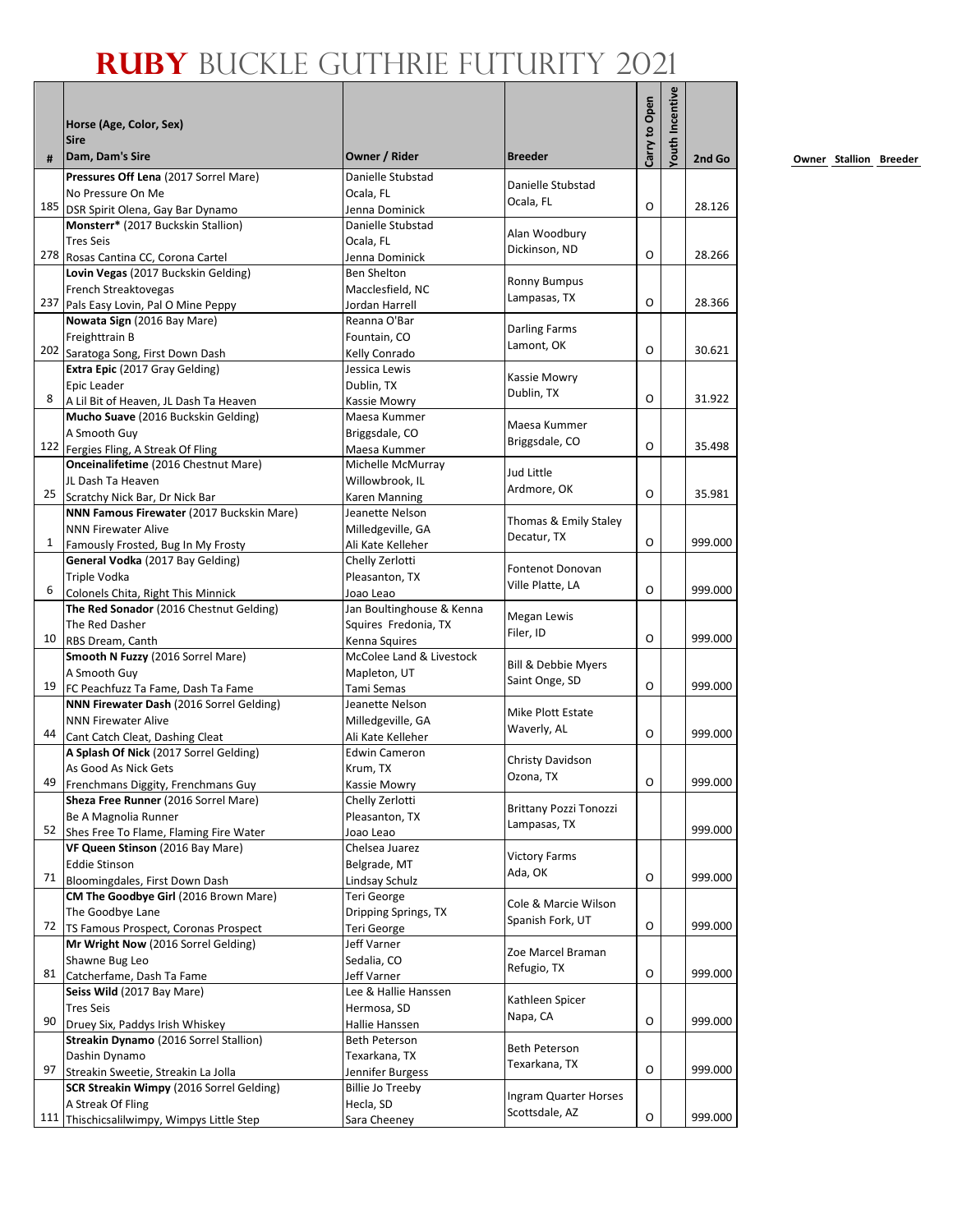|    | Horse (Age, Color, Sex)<br><b>Sire</b><br>Dam, Dam's Sire                 | Owner / Rider                           | <b>Breeder</b>                     | Carry to Open | <b>/outh Incentive</b> |         |
|----|---------------------------------------------------------------------------|-----------------------------------------|------------------------------------|---------------|------------------------|---------|
| #  |                                                                           |                                         |                                    |               |                        | 2nd Go  |
|    | Pressures Off Lena (2017 Sorrel Mare)                                     | Danielle Stubstad                       | Danielle Stubstad                  |               |                        |         |
|    | No Pressure On Me<br>185 DSR Spirit Olena, Gay Bar Dynamo                 | Ocala, FL<br>Jenna Dominick             | Ocala, FL                          | O             |                        | 28.126  |
|    | Monsterr* (2017 Buckskin Stallion)                                        | Danielle Stubstad                       |                                    |               |                        |         |
|    | <b>Tres Seis</b>                                                          | Ocala, FL                               | Alan Woodbury                      |               |                        |         |
|    | 278 Rosas Cantina CC, Corona Cartel                                       | Jenna Dominick                          | Dickinson, ND                      | O             |                        | 28.266  |
|    | Lovin Vegas (2017 Buckskin Gelding)                                       | <b>Ben Shelton</b>                      |                                    |               |                        |         |
|    | French Streaktovegas                                                      | Macclesfield, NC                        | <b>Ronny Bumpus</b>                |               |                        |         |
|    | 237 Pals Easy Lovin, Pal O Mine Peppy                                     | Jordan Harrell                          | Lampasas, TX                       | O             |                        | 28.366  |
|    | Nowata Sign (2016 Bay Mare)                                               | Reanna O'Bar                            |                                    |               |                        |         |
|    | Freighttrain B                                                            | Fountain, CO                            | <b>Darling Farms</b><br>Lamont, OK |               |                        |         |
|    | 202 Saratoga Song, First Down Dash                                        | Kelly Conrado                           |                                    | O             |                        | 30.621  |
|    | Extra Epic (2017 Gray Gelding)                                            | Jessica Lewis                           | Kassie Mowry                       |               |                        |         |
|    | Epic Leader                                                               | Dublin, TX                              | Dublin, TX                         |               |                        |         |
| 8  | A Lil Bit of Heaven, JL Dash Ta Heaven                                    | Kassie Mowry                            |                                    | O             |                        | 31.922  |
|    | Mucho Suave (2016 Buckskin Gelding)                                       | Maesa Kummer                            | Maesa Kummer                       |               |                        |         |
|    | A Smooth Guy                                                              | Briggsdale, CO                          | Briggsdale, CO                     | O             |                        | 35.498  |
|    | 122 Fergies Fling, A Streak Of Fling                                      | Maesa Kummer                            |                                    |               |                        |         |
|    | Onceinalifetime (2016 Chestnut Mare)                                      | Michelle McMurray                       | Jud Little                         |               |                        |         |
| 25 | JL Dash Ta Heaven<br>Scratchy Nick Bar, Dr Nick Bar                       | Willowbrook, IL<br><b>Karen Manning</b> | Ardmore, OK                        | O             |                        | 35.981  |
|    | NNN Famous Firewater (2017 Buckskin Mare)                                 | Jeanette Nelson                         |                                    |               |                        |         |
|    | <b>NNN Firewater Alive</b>                                                | Milledgeville, GA                       | Thomas & Emily Staley              |               |                        |         |
| 1  | Famously Frosted, Bug In My Frosty                                        | Ali Kate Kelleher                       | Decatur, TX                        | O             |                        | 999.000 |
|    | General Vodka (2017 Bay Gelding)                                          | Chelly Zerlotti                         |                                    |               |                        |         |
|    | Triple Vodka                                                              | Pleasanton, TX                          | Fontenot Donovan                   |               |                        |         |
| 6  | Colonels Chita, Right This Minnick                                        | Joao Leao                               | Ville Platte, LA                   | O             |                        | 999.000 |
|    | The Red Sonador (2016 Chestnut Gelding)                                   | Jan Boultinghouse & Kenna               |                                    |               |                        |         |
|    | The Red Dasher                                                            | Squires Fredonia, TX                    | Megan Lewis                        |               |                        |         |
| 10 | RBS Dream, Canth                                                          | Kenna Squires                           | Filer, ID                          | O             |                        | 999.000 |
|    | Smooth N Fuzzy (2016 Sorrel Mare)                                         | McColee Land & Livestock                | Bill & Debbie Myers                |               |                        |         |
|    | A Smooth Guy                                                              | Mapleton, UT                            | Saint Onge, SD                     |               |                        |         |
| 19 | FC Peachfuzz Ta Fame, Dash Ta Fame                                        | Tami Semas                              |                                    | O             |                        | 999.000 |
|    | NNN Firewater Dash (2016 Sorrel Gelding)                                  | Jeanette Nelson                         | Mike Plott Estate                  |               |                        |         |
| 44 | <b>NNN Firewater Alive</b>                                                | Milledgeville, GA                       | Waverly, AL                        | O             |                        | 999.000 |
|    | Cant Catch Cleat, Dashing Cleat                                           | Ali Kate Kelleher                       |                                    |               |                        |         |
|    | A Splash Of Nick (2017 Sorrel Gelding)<br>As Good As Nick Gets            | <b>Edwin Cameron</b>                    | Christy Davidson                   |               |                        |         |
| 49 | Frenchmans Diggity, Frenchmans Guy                                        | Krum, TX<br>Kassie Mowry                | Ozona, TX                          | O             |                        | 999.000 |
|    | Sheza Free Runner (2016 Sorrel Mare)                                      | Chelly Zerlotti                         |                                    |               |                        |         |
|    | Be A Magnolia Runner                                                      | Pleasanton, TX                          | <b>Brittany Pozzi Tonozzi</b>      |               |                        |         |
|    | 52 Shes Free To Flame, Flaming Fire Water                                 | Joao Leao                               | Lampasas, TX                       |               |                        | 999.000 |
|    | VF Queen Stinson (2016 Bay Mare)                                          | Chelsea Juarez                          |                                    |               |                        |         |
|    | <b>Eddie Stinson</b>                                                      | Belgrade, MT                            | <b>Victory Farms</b>               |               |                        |         |
| 71 | Bloomingdales, First Down Dash                                            | Lindsay Schulz                          | Ada, OK                            | O             |                        | 999.000 |
|    | CM The Goodbye Girl (2016 Brown Mare)                                     | Teri George                             | Cole & Marcie Wilson               |               |                        |         |
|    | The Goodbye Lane                                                          | Dripping Springs, TX                    | Spanish Fork, UT                   |               |                        |         |
| 72 | TS Famous Prospect, Coronas Prospect                                      | Teri George                             |                                    | O             |                        | 999.000 |
|    | Mr Wright Now (2016 Sorrel Gelding)                                       | Jeff Varner                             | Zoe Marcel Braman                  |               |                        |         |
|    | Shawne Bug Leo                                                            | Sedalia, CO                             | Refugio, TX                        | O             |                        | 999.000 |
| 81 | Catcherfame, Dash Ta Fame                                                 | Jeff Varner                             |                                    |               |                        |         |
|    | Seiss Wild (2017 Bay Mare)                                                | Lee & Hallie Hanssen                    | Kathleen Spicer                    |               |                        |         |
| 90 | <b>Tres Seis</b>                                                          | Hermosa, SD                             | Napa, CA                           | O             |                        | 999.000 |
|    | Druey Six, Paddys Irish Whiskey<br>Streakin Dynamo (2016 Sorrel Stallion) | Hallie Hanssen<br>Beth Peterson         |                                    |               |                        |         |
|    | Dashin Dynamo                                                             | Texarkana, TX                           | Beth Peterson                      |               |                        |         |
| 97 | Streakin Sweetie, Streakin La Jolla                                       | Jennifer Burgess                        | Texarkana, TX                      | O             |                        | 999.000 |
|    | SCR Streakin Wimpy (2016 Sorrel Gelding)                                  | <b>Billie Jo Treeby</b>                 |                                    |               |                        |         |
|    | A Streak Of Fling                                                         | Hecla, SD                               | Ingram Quarter Horses              |               |                        |         |
|    | 111 Thischicsalilwimpy, Wimpys Little Step                                | Sara Cheeney                            | Scottsdale, AZ                     | O             |                        | 999.000 |